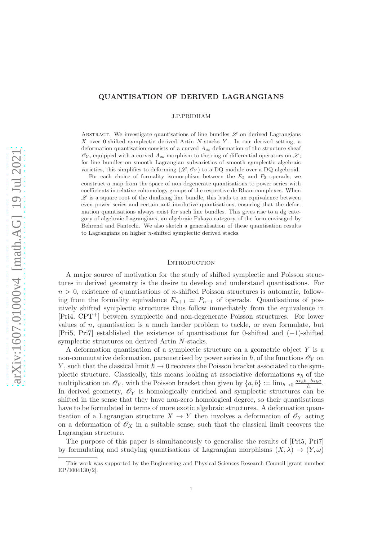# QUANTISATION OF DERIVED LAGRANGIANS

J.P.PRIDHAM

ABSTRACT. We investigate quantisations of line bundles  $\mathscr L$  on derived Lagrangians X over 0-shifted symplectic derived Artin  $N$ -stacks  $Y$ . In our derived setting, a deformation quantisation consists of a curved  $A_{\infty}$  deformation of the structure sheaf  $\mathscr{O}_Y$ , equipped with a curved  $A_\infty$  morphism to the ring of differential operators on  $\mathscr{L};$ for line bundles on smooth Lagrangian subvarieties of smooth symplectic algebraic varieties, this simplifies to deforming  $(\mathscr{L}, \mathscr{O}_Y)$  to a DQ module over a DQ algebroid.

For each choice of formality isomorphism between the  $E_2$  and  $P_2$  operads, we construct a map from the space of non-degenerate quantisations to power series with coefficients in relative cohomology groups of the respective de Rham complexes. When  $\mathscr L$  is a square root of the dualising line bundle, this leads to an equivalence between even power series and certain anti-involutive quantisations, ensuring that the deformation quantisations always exist for such line bundles. This gives rise to a dg category of algebraic Lagrangians, an algebraic Fukaya category of the form envisaged by Behrend and Fantechi. We also sketch a generalisation of these quantisation results to Lagrangians on higher n-shifted symplectic derived stacks.

### <span id="page-0-0"></span>**INTRODUCTION**

A major source of motivation for the study of shifted symplectic and Poisson structures in derived geometry is the desire to develop and understand quantisations. For  $n > 0$ , existence of quantisations of *n*-shifted Poisson structures is automatic, following from the formality equivalence  $E_{n+1} \simeq P_{n+1}$  of operads. Quantisations of positively shifted symplectic structures thus follow immediately from the equivalence in [\[Pri4,](#page-59-0) [CPT](#page-58-0)+] between symplectic and non-degenerate Poisson structures. For lower values of  $n$ , quantisation is a much harder problem to tackle, or even formulate, but [\[Pri5,](#page-59-1) [Pri7\]](#page-59-2) established the existence of quantisations for 0-shifted and (−1)-shifted symplectic structures on derived Artin N-stacks.

A deformation quantisation of a symplectic structure on a geometric object  $Y$  is a non-commutative deformation, parametrised by power series in  $\hbar$ , of the functions  $\mathscr{O}_Y$  on Y, such that the classical limit  $\hbar \to 0$  recovers the Poisson bracket associated to the symplectic structure. Classically, this means looking at associative deformations  $\star_{\hbar}$  of the multiplication on  $\mathscr{O}_Y$ , with the Poisson bracket then given by  $\{a, b\} := \lim_{\hbar \to 0} \frac{a \star_{\hbar} b - b \star_{\hbar} a}{\hbar}$  $\frac{-b\star_{\hbar}a}{\hbar}$  . In derived geometry,  $\mathscr{O}_Y$  is homologically enriched and symplectic structures can be shifted in the sense that they have non-zero homological degree, so their quantisations have to be formulated in terms of more exotic algebraic structures. A deformation quantisation of a Lagrangian structure  $X \to Y$  then involves a deformation of  $\mathcal{O}_Y$  acting on a deformation of  $\mathscr{O}_X$  in a suitable sense, such that the classical limit recovers the Lagrangian structure.

The purpose of this paper is simultaneously to generalise the results of [\[Pri5,](#page-59-1) [Pri7\]](#page-59-2) by formulating and studying quantisations of Lagrangian morphisms  $(X, \lambda) \to (Y, \omega)$ 

This work was supported by the Engineering and Physical Sciences Research Council [grant number EP/I004130/2].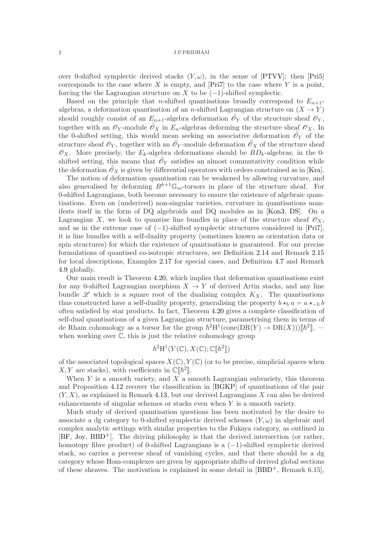over 0-shifted symplectic derived stacks  $(Y, \omega)$ , in the sense of [\[PTVV\]](#page-60-0); then [\[Pri5\]](#page-59-1) corresponds to the case where X is empty, and  $[Pr7]$  to the case where Y is a point, forcing the the Lagrangian structure on X to be  $(-1)$ -shifted symplectic.

Based on the principle that *n*-shifted quantisations broadly correspond to  $E_{n+1}$ algebras, a deformation quantisation of an n-shifted Lagrangian structure on  $(X \to Y)$ should roughly consist of an  $E_{n+1}$ -algebra deformation  $\tilde{\mathscr{O}}_Y$  of the structure sheaf  $\mathscr{O}_Y$ , together with an  $\mathscr{O}_Y$ -module  $\mathscr{O}_X$  in  $E_n$ -algebras deforming the structure sheaf  $\mathscr{O}_X$ . In the 0-shifted setting, this would mean seeking an associative deformation  $\tilde{\mathcal{O}}_Y$  of the structure sheaf  $\mathscr{O}_Y$ , together with an  $\tilde{\mathscr{O}}_Y$ -module deformation  $\tilde{\mathscr{O}}_X$  of the structure sheaf  $\mathscr{O}_X$ . More precisely, the  $E_k$ -algebra deformations should be  $BD_k$ -algebras; in the 0shifted setting, this means that  $\tilde{\mathscr{O}}_Y$  satisfies an almost commutativity condition while the deformation  $\mathscr{O}_X$  is given by differential operators with orders constrained as in [\[Kra\]](#page-59-3).

The notion of deformation quantisation can be weakened by allowing curvature, and also generalised by deforming  $B^{k+1}\mathbb{G}_m$ -torsors in place of the structure sheaf. For 0-shifted Lagrangians, both become necessary to ensure the existence of algebraic quantisations. Even on (underived) non-singular varieties, curvature in quantisations manifests itself in the form of DQ algebroids and DQ modules as in [\[Kon3,](#page-59-4) [DS\]](#page-58-1). On a Lagrangian X, we look to quantise line bundles in place of the structure sheaf  $\mathscr{O}_X$ , and as in the extreme case of  $(-1)$ -shifted symplectic structures considered in [\[Pri7\]](#page-59-2), it is line bundles with a self-duality property (sometimes known as orientation data or spin structures) for which the existence of quantisations is guaranteed. For our precise formulations of quantised co-isotropic structures, see Definition [2.14](#page-18-0) and Remark [2.15](#page-18-1) for local descriptions, Examples [2.17](#page-20-0) for special cases, and Definition [4.7](#page-36-0) and Remark [4.9](#page-36-1) globally.

Our main result is Theorem [4.20,](#page-40-0) which implies that deformation quantisations exist for any 0-shifted Lagrangian morphism  $X \to Y$  of derived Artin stacks, and any line bundle  $\mathscr L$  which is a square root of the dualising complex  $K_X$ . The quantisations thus constructed have a self-duality property, generalising the property  $b \star_h a = a \star_{h} b$ often satisfied by star products. In fact, Theorem [4.20](#page-40-0) gives a complete classification of self-dual quantisations of a given Lagrangian structure, parametrising them in terms of de Rham cohomology as a torsor for the group  $\hbar^2 H^1(\text{cone}(DR(Y) \to DR(X)))[\hbar^2],$  when working over  $\mathbb{C}$ , this is just the relative cohomology group

# $\hbar^2 H^1(Y(\mathbb{C}), X(\mathbb{C}); \mathbb{C}[\![\hbar^2]\!])$

of the associated topological spaces  $X(\mathbb{C}), Y(\mathbb{C})$  (or to be precise, simplicial spaces when  $X, Y$  are stacks), with coefficients in  $\mathbb{C}[\![\hbar^2]\!]$ .

When Y is a smooth variety, and X a smooth Lagrangian subvariety, this theorem and Proposition [4.12](#page-38-0) recover the classification in [\[BGKP\]](#page-58-2) of quantisations of the pair  $(Y, X)$ , as explained in Remark [4.13,](#page-38-1) but our derived Lagrangians X can also be derived enhancements of singular schemes or stacks even when Y is a smooth variety.

Much study of derived quantisation questions has been motivated by the desire to associate a dg category to 0-shifted symplectic derived schemes  $(Y, \omega)$  in algebraic and complex analytic settings with similar properties to the Fukaya category, as outlined in  $[BF, Joy, BBD<sup>+</sup>]$  $[BF, Joy, BBD<sup>+</sup>]$  $[BF, Joy, BBD<sup>+</sup>]$  $[BF, Joy, BBD<sup>+</sup>]$  $[BF, Joy, BBD<sup>+</sup>]$  $[BF, Joy, BBD<sup>+</sup>]$ . The driving philosophy is that the derived intersection (or rather, homotopy fibre product) of 0-shifted Lagrangians is a (−1)-shifted symplectic derived stack, so carries a perverse sheaf of vanishing cycles, and that there should be a dg category whose Hom-complexes are given by appropriate shifts of derived global sections of these sheaves. The motivation is explained in some detail in  $[BBD^+,$  Remark 6.15],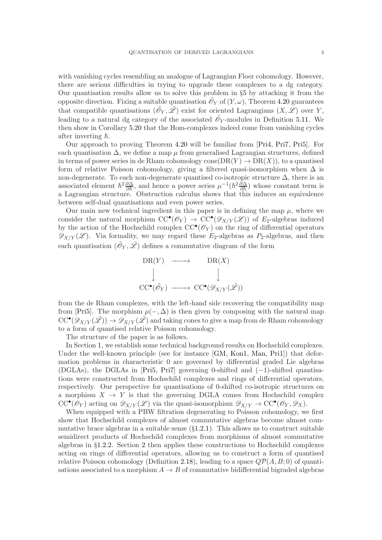with vanishing cycles resembling an analogue of Lagrangian Floer cohomology. However, there are serious difficulties in trying to upgrade these complexes to a dg category. Our quantisation results allow us to solve this problem in §[5](#page-45-0) by attacking it from the opposite direction. Fixing a suitable quantisation  $\tilde{\mathscr{O}}_Y$  of  $(Y, \omega)$ , Theorem [4.20](#page-40-0) guarantees that compatible quantisations  $(\tilde{\mathcal{O}}_Y, \tilde{\mathcal{L}})$  exist for oriented Lagrangians  $(X, \mathcal{L})$  over Y, leading to a natural dg category of the associated  $\tilde{\mathcal{O}}_Y$ -modules in Definition [5.11.](#page-50-0) We then show in Corollary [5.20](#page-57-0) that the Hom-complexes indeed come from vanishing cycles after inverting  $\hbar$ .

Our approach to proving Theorem [4.20](#page-40-0) will be familiar from [\[Pri4,](#page-59-0) [Pri7,](#page-59-2) [Pri5\]](#page-59-1). For each quantisation  $\Delta$ , we define a map  $\mu$  from generalised Lagrangian structures, defined in terms of power series in de Rham cohomology cone( $DR(Y) \rightarrow DR(X)$ ), to a quantised form of relative Poisson cohomology, giving a filtered quasi-isomorphism when  $\Delta$  is non-degenerate. To each non-degenerate quantised co-isotropic structure  $\Delta$ , there is an associated element  $\hbar^2 \frac{\partial \Delta}{\partial \hbar}$ , and hence a power series  $\mu^{-1}(\hbar^2 \frac{\partial \Delta}{\partial \hbar})$  whose constant term is a Lagrangian structure. Obstruction calculus shows that this induces an equivalence between self-dual quantisations and even power series.

Our main new technical ingredient in this paper is in defining the map  $\mu$ , where we consider the natural morphism  $CC^{\bullet}(\mathscr{O}_Y) \rightarrow CC^{\bullet}(\mathscr{D}_{X/Y}(\mathscr{L}))$  of  $E_2$ -algebras induced by the action of the Hochschild complex  $\mathrm{CC}^{\bullet}(\mathscr{O}_Y)$  on the ring of differential operators  $\mathscr{D}_{X/Y}(\mathscr{L})$ . Via formality, we may regard these E<sub>2</sub>-algebras as P<sub>2</sub>-algebras, and then each quantisation  $(\tilde{\mathscr{O}}_Y, \tilde{\mathscr{L}})$  defines a commutative diagram of the form



from the de Rham complexes, with the left-hand side recovering the compatibility map from [\[Pri5\]](#page-59-1). The morphism  $\mu(-, \Delta)$  is then given by composing with the natural map  $CC^{\bullet}(\mathscr{D}_{X/Y}(\tilde{\mathscr{L}})) \to \mathscr{D}_{X/Y}(\tilde{\mathscr{L}})$  and taking cones to give a map from de Rham cohomology to a form of quantised relative Poisson cohomology.

The structure of the paper is as follows.

In Section [1,](#page-5-0) we establish some technical background results on Hochschild complexes. Under the well-known principle (see for instance [\[GM,](#page-58-5) [Kon1,](#page-59-6) [Man,](#page-59-7) [Pri1\]](#page-59-8)) that deformation problems in characteristic 0 are governed by differential graded Lie algebras (DGLAs), the DGLAs in [\[Pri5,](#page-59-1) [Pri7\]](#page-59-2) governing 0-shifted and (−1)-shifted quantisations were constructed from Hochschild complexes and rings of differential operators, respectively. Our perspective for quantisations of 0-shifted co-isotropic structures on a morphism  $X \to Y$  is that the governing DGLA comes from Hochschild complex  $CC^{\bullet}(\mathscr{O}_Y)$  acting on  $\mathscr{D}_{X/Y}(\mathscr{L})$  via the quasi-isomorphism  $\mathscr{D}_{X/Y} \to CC^{\bullet}(\mathscr{O}_Y, \mathscr{D}_X)$ .

When equipped with a PBW filtration degenerating to Poisson cohomology, we first show that Hochschild complexes of almost commutative algebras become almost commutative brace algebras in a suitable sense  $(\S1.2.1)$  $(\S1.2.1)$ . This allows us to construct suitable semidirect products of Hochschild complexes from morphisms of almost commutative algebras in §[1.2.2.](#page-11-0) Section [2](#page-14-0) then applies these constructions to Hochschild complexes acting on rings of differential operators, allowing us to construct a form of quantised relative Poisson cohomology (Definition [2.18\)](#page-22-0), leading to a space  $Q\mathcal{P}(A, B; 0)$  of quantisations associated to a morphism  $A \to B$  of commutative bidifferential bigraded algebras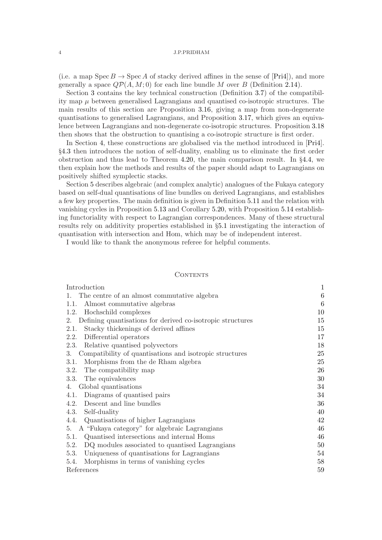(i.e. a map  $Spec B \to Spec A$  of stacky derived affines in the sense of [\[Pri4\]](#page-59-0)), and more generally a space  $Q\mathcal{P}(A, M; 0)$  for each line bundle M over B (Definition [2.14\)](#page-18-0).

Section [3](#page-24-0) contains the key technical construction (Definition [3.7\)](#page-26-0) of the compatibility map  $\mu$  between generalised Lagrangians and quantised co-isotropic structures. The main results of this section are Proposition [3.16,](#page-29-0) giving a map from non-degenerate quantisations to generalised Lagrangians, and Proposition [3.17,](#page-30-0) which gives an equivalence between Lagrangians and non-degenerate co-isotropic structures. Proposition [3.18](#page-32-0) then shows that the obstruction to quantising a co-isotropic structure is first order.

In Section [4,](#page-33-0) these constructions are globalised via the method introduced in [\[Pri4\]](#page-59-0). §[4.3](#page-39-0) then introduces the notion of self-duality, enabling us to eliminate the first order obstruction and thus lead to Theorem [4.20,](#page-40-0) the main comparison result. In §[4.4,](#page-41-0) we then explain how the methods and results of the paper should adapt to Lagrangians on positively shifted symplectic stacks.

Section [5](#page-45-0) describes algebraic (and complex analytic) analogues of the Fukaya category based on self-dual quantisations of line bundles on derived Lagrangians, and establishes a few key properties. The main definition is given in Definition [5.11](#page-50-0) and the relation with vanishing cycles in Proposition [5.13](#page-51-0) and Corollary [5.20,](#page-57-0) with Proposition [5.14](#page-52-0) establishing functoriality with respect to Lagrangian correspondences. Many of these structural results rely on additivity properties established in §[5.1](#page-45-1) investigating the interaction of quantisation with intersection and Hom, which may be of independent interest.

I would like to thank the anonymous referee for helpful comments.

### **CONTENTS**

| Introduction                                                     | $\mathbf{1}$ |
|------------------------------------------------------------------|--------------|
| The centre of an almost commutative algebra<br>1.                | $\,6\,$      |
| Almost commutative algebras<br>1.1.                              | 6            |
| Hochschild complexes<br>1.2.                                     | 10           |
| Defining quantisations for derived co-isotropic structures<br>2. | 15           |
| Stacky thickenings of derived affines<br>2.1.                    | 15           |
| Differential operators<br>2.2.                                   | 17           |
| Relative quantised polyvectors<br>2.3.                           | 18           |
| Compatibility of quantisations and isotropic structures<br>3.    | 25           |
| Morphisms from the de Rham algebra<br>3.1.                       | 25           |
| The compatibility map<br>3.2.                                    | 26           |
| The equivalences<br>3.3.                                         | 30           |
| Global quantisations<br>4.                                       | 34           |
| Diagrams of quantised pairs<br>4.1.                              | 34           |
| Descent and line bundles<br>4.2.                                 | 36           |
| Self-duality<br>4.3.                                             | 40           |
| Quantisations of higher Lagrangians<br>4.4.                      | 42           |
| A "Fukaya category" for algebraic Lagrangians<br>5.              | 46           |
| Quantised intersections and internal Homs<br>5.1.                | 46           |
| 5.2.<br>DQ modules associated to quantised Lagrangians           | 50           |
| Uniqueness of quantisations for Lagrangians<br>5.3.              | 54           |
| Morphisms in terms of vanishing cycles<br>5.4.                   | 58           |
| References                                                       | 59           |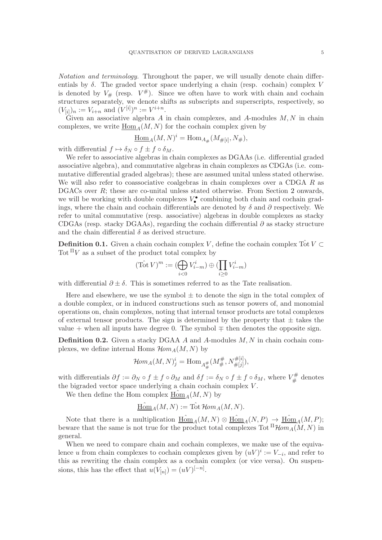Notation and terminology. Throughout the paper, we will usually denote chain differentials by  $\delta$ . The graded vector space underlying a chain (resp. cochain) complex V is denoted by  $V_{\#}$  (resp.  $V^{\#}$ ). Since we often have to work with chain and cochain structures separately, we denote shifts as subscripts and superscripts, respectively, so  $(V_{[i]})_n := V_{i+n}$  and  $(V^{[i]})^n := V^{i+n}$ .

Given an associative algebra A in chain complexes, and A-modules  $M, N$  in chain complexes, we write  $\underline{\text{Hom}}_A(M, N)$  for the cochain complex given by

Hom<sub>A</sub>
$$
(M, N)^{i}
$$
 = Hom<sub>A#</sub> $(M_{\#[i]}, N_{\#}),$ 

with differential  $f \mapsto \delta_N \circ f \pm f \circ \delta_M$ .

We refer to associative algebras in chain complexes as DGAAs (i.e. differential graded associative algebra), and commutative algebras in chain complexes as CDGAs (i.e. commutative differential graded algebras); these are assumed unital unless stated otherwise. We will also refer to coassociative coalgebras in chain complexes over a CDGA  $R$  as DGACs over R; these are co-unital unless stated otherwise. From Section [2](#page-14-0) onwards, we will be working with double complexes  $V_{\bullet}^{\bullet}$  combining both chain and cochain gradings, where the chain and cochain differentials are denoted by  $\delta$  and  $\partial$  respectively. We refer to unital commutative (resp. associative) algebras in double complexes as stacky CDGAs (resp. stacky DGAAs), regarding the cochain differential  $\partial$  as stacky structure and the chain differential  $\delta$  as derived structure.

**Definition 0.1.** Given a chain cochain complex V, define the cochain complex  $\hat{\text{Tot}} V \subset$ Tot  $\mathbb{I}V$  as a subset of the product total complex by

$$
(\operatorname{\widehat{Tot}} V)^m := (\bigoplus_{i < 0} V_{i-m}^i) \oplus (\prod_{i \ge 0} V_{i-m}^i)
$$

with differential  $\partial \pm \delta$ . This is sometimes referred to as the Tate realisation.

Here and elsewhere, we use the symbol  $\pm$  to denote the sign in the total complex of a double complex, or in induced constructions such as tensor powers of, and monomial operations on, chain complexes, noting that internal tensor products are total complexes of external tensor products. The sign is determined by the property that  $\pm$  takes the value + when all inputs have degree 0. The symbol  $\mp$  then denotes the opposite sign.

**Definition 0.2.** Given a stacky DGAA A and A-modules  $M, N$  in chain cochain complexes, we define internal Homs  $\mathcal{H}om_A(M, N)$  by

$$
\mathcal{H}om_A(M,N)^i_j = \text{Hom}_{A^{\#}_\#}(M^{\#}_\#,N^{\#[i]}_{\#[j]}),
$$

with differentials  $\partial f := \partial_N \circ f \pm f \circ \partial_M$  and  $\delta f := \delta_N \circ f \pm f \circ \delta_M$ , where  $V^{\#}_\#$  $\mathcal{I}_{\#}^{\#}$  denotes the bigraded vector space underlying a chain cochain complex V .

We then define the Hom complex  $\underline{\mathrm{Hom}}_A(M, N)$  by

$$
\underline{\mathrm{Hom}}_A(M,N):=\mathrm{Tot}\,\mathcal{H}\!\mathit{om}_A(M,N).
$$

Note that there is a multiplication  $\underline{\text{Hom}}_A(M, N) \otimes \underline{\text{Hom}}_A(N, P) \rightarrow \underline{\text{Hom}}_A(M, P);$ beware that the same is not true for the product total complexes Tot  ${}^{\Pi}$  Hom<sub>A</sub>(M, N) in general.

When we need to compare chain and cochain complexes, we make use of the equivalence u from chain complexes to cochain complexes given by  $(uV)^i := V_{-i}$ , and refer to this as rewriting the chain complex as a cochain complex (or vice versa). On suspensions, this has the effect that  $u(V_{[n]}) = (uV)^{[-n]}$ .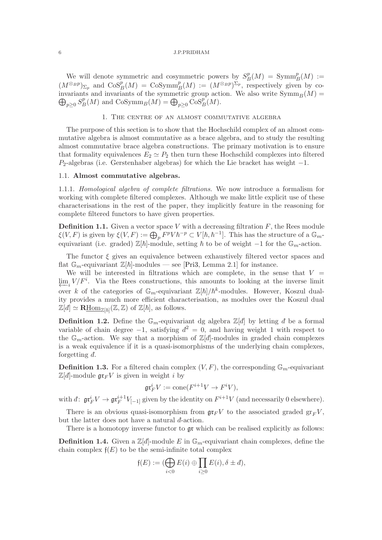We will denote symmetric and cosymmetric powers by  $S_F^p$  $B^p(M) = \text{Symm}_B^p(M) :=$  $(M^{\otimes_B p})_{\Sigma_p}$  and  $\mathrm{CoS}^p_B(M) = \mathrm{CoSymm}_B^p(M) := (M^{\otimes_B p})^{\Sigma_p}$ , respectively given by coinvariants and invariants of the symmetric group action. We also write  $\text{Symm}_B(M)$  =  $\bigoplus_{p\geq 0} S^p_E$  $_B^p(M)$  and  $\mathrm{CoSymm}_B(M) = \bigoplus_{p \geq 0} \mathrm{CoS}_B^p(M).$ 

# 1. The centre of an almost commutative algebra

<span id="page-5-0"></span>The purpose of this section is to show that the Hochschild complex of an almost commutative algebra is almost commutative as a brace algebra, and to study the resulting almost commutative brace algebra constructions. The primary motivation is to ensure that formality equivalences  $E_2 \simeq P_2$  then turn these Hochschild complexes into filtered  $P_2$ -algebras (i.e. Gerstenhaber algebras) for which the Lie bracket has weight  $-1$ .

### <span id="page-5-2"></span><span id="page-5-1"></span>1.1. Almost commutative algebras.

1.1.1. Homological algebra of complete filtrations. We now introduce a formalism for working with complete filtered complexes. Although we make little explicit use of these characterisations in the rest of the paper, they implicitly feature in the reasoning for complete filtered functors to have given properties.

**Definition 1.1.** Given a vector space V with a decreasing filtration  $F$ , the Rees module  $\xi(V, F)$  is given by  $\xi(V, F) := \bigoplus_p F^p V \hbar^{-p} \subset V[\hbar, \hbar^{-1}]$ . This has the structure of a  $\mathbb{G}_m$ equivariant (i.e. graded)  $\mathbb{Z}[\hbar]$ -module, setting  $\hbar$  to be of weight  $-1$  for the  $\mathbb{G}_m$ -action.

The functor  $\xi$  gives an equivalence between exhaustively filtered vector spaces and flat  $\mathbb{G}_m$ -equivariant  $\mathbb{Z}[\hbar]$ -modules — see [\[Pri3,](#page-59-9) Lemma 2.1] for instance.

We will be interested in filtrations which are complete, in the sense that  $V =$  $\varprojlim_i V/F^i$ . Via the Rees constructions, this amounts to looking at the inverse limit over k of the categories of  $\mathbb{G}_m$ -equivariant  $\mathbb{Z}[\hbar]/\hbar^k$ -modules. However, Koszul duality provides a much more efficient characterisation, as modules over the Koszul dual  $\mathbb{Z}[d] \simeq \mathbf{R\underline{Hom}}_{\mathbb{Z}[h]}(\mathbb{Z}, \mathbb{Z})$  of  $\mathbb{Z}[h]$ , as follows.

**Definition 1.2.** Define the  $\mathbb{G}_m$ -equivariant dg algebra  $\mathbb{Z}[d]$  by letting d be a formal variable of chain degree  $-1$ , satisfying  $d^2 = 0$ , and having weight 1 with respect to the  $\mathbb{G}_m$ -action. We say that a morphism of  $\mathbb{Z}[d]$ -modules in graded chain complexes is a weak equivalence if it is a quasi-isomorphisms of the underlying chain complexes, forgetting  $\bar{d}$ .

**Definition 1.3.** For a filtered chain complex  $(V, F)$ , the corresponding  $\mathbb{G}_m$ -equivariant  $\mathbb{Z}[d]$ -module  $\mathfrak{gr}_F V$  is given in weight i by

$$
\mathfrak{gr}_F^i V := \text{cone}(F^{i+1} V \to F^i V),
$$

with  $d: \operatorname{gr}^i_F V \to \operatorname{gr}^{i+1}_F V_{[-1]}$  given by the identity on  $F^{i+1}V$  (and necessarily 0 elsewhere).

There is an obvious quasi-isomorphism from  $\mathfrak{gr}_F V$  to the associated graded  $\mathfrak{gr}_F V$ , but the latter does not have a natural  $d$ -action.

There is a homotopy inverse functor to  $\mathfrak{gr}$  which can be realised explicitly as follows:

**Definition 1.4.** Given a  $\mathbb{Z}[d]$ -module E in  $\mathbb{G}_m$ -equivariant chain complexes, define the chain complex  $f(E)$  to be the semi-infinite total complex

$$
\mathfrak{f}(E) := (\bigoplus_{i<0} E(i) \oplus \prod_{i\geq 0} E(i), \delta \pm d),
$$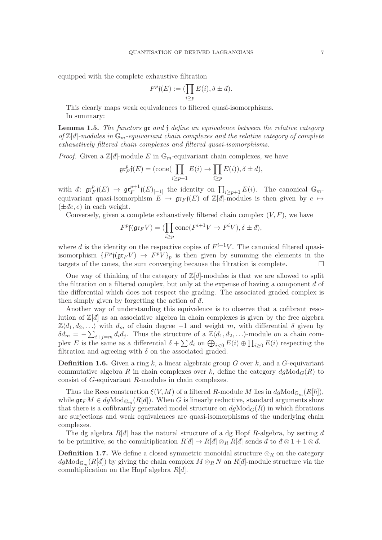equipped with the complete exhaustive filtration

$$
F^p\mathfrak{f}(E):=(\prod_{i\geq p}E(i),\delta\pm d).
$$

This clearly maps weak equivalences to filtered quasi-isomorphisms. In summary:

**Lemma 1.5.** The functors  $\mathfrak{gr}$  and  $\mathfrak{f}$  define an equivalence between the relative category of  $\mathbb{Z}[d]$ -modules in  $\mathbb{G}_m$ -equivariant chain complexes and the relative category of complete exhaustively filtered chain complexes and filtered quasi-isomorphisms.

*Proof.* Given a  $\mathbb{Z}[d]$ -module E in  $\mathbb{G}_m$ -equivariant chain complexes, we have

$$
\operatorname{gr}^p_F f(E) = (\operatorname{cone}(\prod_{i \ge p+1} E(i) \to \prod_{i \ge p} E(i)), \delta \pm d),
$$

with  $\bar{d}$ :  $\mathfrak{gr}^p_{\bar{F}}$  $\operatorname*{gr}^p_{F} \mathfrak{f}(E) \ \to \ \mathfrak{gr}^{p+1}_{F}$  $\prod_{i\geq p+1}^{p+1}$  f(E)<sub>[-1]</sub> the identity on  $\prod_{i\geq p+1} E(i)$ . The canonical  $\mathbb{G}_m$ equivariant quasi-isomorphism  $E \to \mathfrak{gr}_F\mathfrak{f}(E)$  of  $\mathbb{Z}[d]$ -modules is then given by  $e \mapsto$  $(\pm de, e)$  in each weight.

Conversely, given a complete exhaustively filtered chain complex  $(V, F)$ , we have

$$
F^{p}\mathfrak{f}(\mathfrak{gr}_{F}V)=(\prod_{i\geq p}\text{cone}(F^{i+1}V\to F^{i}V),\delta\pm\overrightarrow{d}),
$$

where  $d$  is the identity on the respective copies of  $F^{i+1}V$ . The canonical filtered quasiisomorphism  $\{F^p\mathfrak{f}(\mathfrak{gr}_F V) \to F^pV\}_p$  is then given by summing the elements in the targets of the cones, the sum converging because the filtration is complete.  $\Box$ 

One way of thinking of the category of  $\mathbb{Z}[d]$ -modules is that we are allowed to split the filtration on a filtered complex, but only at the expense of having a component  $\bar{d}$  of the differential which does not respect the grading. The associated graded complex is then simply given by forgetting the action of  $\bar{d}$ .

Another way of understanding this equivalence is to observe that a cofibrant resolution of  $\mathbb{Z}[d]$  as an associative algebra in chain complexes is given by the free algebra  $\mathbb{Z}\langle d_1, d_2, \ldots \rangle$  with  $d_m$  of chain degree −1 and weight m, with differential  $\delta$  given by  $\delta d_m = -\sum_{i+j=m} d_i d_j$ . Thus the structure of a  $\mathbb{Z}\langle d_1, d_2, \ldots \rangle$ -module on a chain complex E is the same as a differential  $\delta + \sum d_i$  on  $\bigoplus_{i<0} E(i) \oplus \prod_{i\geq 0} E(i)$  respecting the filtration and agreeing with  $\delta$  on the associated graded.

**Definition 1.6.** Given a ring k, a linear algebraic group G over k, and a G-equivariant commutative algebra R in chain complexes over k, define the category  $dq \text{Mod}_{G}(R)$  to consist of G-equivariant R-modules in chain complexes.

Thus the Rees construction  $\xi(V, M)$  of a filtered R-module M lies in  $dg\text{Mod}_{\mathbb{G}_m}(R[\hbar]),$ while  $\mathfrak{gr}_F M \in dg\mathrm{Mod}_{\mathbb{G}_m}(R[d])$ . When G is linearly reductive, standard arguments show that there is a cofibrantly generated model structure on  $dq\text{Mod}_G(R)$  in which fibrations are surjections and weak equivalences are quasi-isomorphisms of the underlying chain complexes.

The dg algebra  $R[d]$  has the natural structure of a dg Hopf R-algebra, by setting d to be primitive, so the comultiplication  $R[d] \to R[d] \otimes_R R[d]$  sends  $d$  to  $d \otimes 1 + 1 \otimes d$ .

**Definition 1.7.** We define a closed symmetric monoidal structure  $\otimes_R$  on the category  $dg\text{Mod}_{\mathbb{G}_m}(R[d])$  by giving the chain complex  $M\otimes_R N$  an  $R[d]$ -module structure via the comultiplication on the Hopf algebra  $R[d]$ .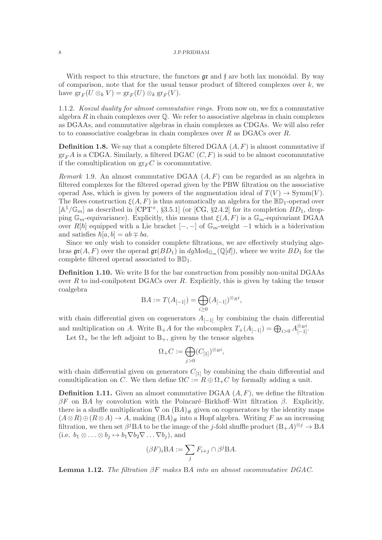With respect to this structure, the functors  $\mathfrak{gr}$  and  $\mathfrak{f}$  are both lax monoidal. By way of comparison, note that for the usual tensor product of filtered complexes over  $k$ , we have  $\operatorname{gr}_F(U \otimes_k V) = \operatorname{gr}_F(U) \otimes_k \operatorname{gr}_F(V)$ .

1.1.2. Koszul duality for almost commutative rings. From now on, we fix a commutative algebra R in chain complexes over  $\mathbb{O}$ . We refer to associative algebras in chain complexes as DGAAs, and commutative algebras in chain complexes as CDGAs. We will also refer to to coassociative coalgebras in chain complexes over  $R$  as DGACs over  $R$ .

**Definition 1.8.** We say that a complete filtered DGAA  $(A, F)$  is almost commutative if  $gr_F A$  is a CDGA. Similarly, a filtered DGAC  $(C, F)$  is said to be almost cocommutative if the comultiplication on  $gr_F C$  is cocommutative.

*Remark* 1.9. An almost commutative DGAA  $(A, F)$  can be regarded as an algebra in filtered complexes for the filtered operad given by the PBW filtration on the associative operad Ass, which is given by powers of the augmentation ideal of  $T(V) \to \text{Symm}(V)$ . The Rees construction  $\xi(A, F)$  is thus automatically an algebra for the  $\mathbb{BD}_1$ -operad over  $[A^1/\mathbb{G}_m]$  as described in [\[CPT](#page-58-0)<sup>+</sup>, §3.5.1] (or [\[CG,](#page-58-7) §2.4.2] for its completion  $BD_1$ , dropping  $\mathbb{G}_m$ -equivariance). Explicitly, this means that  $\xi(A, F)$  is a  $\mathbb{G}_m$ -equivariant DGAA over R[h] equipped with a Lie bracket  $[-,-]$  of  $\mathbb{G}_m$ -weight  $-1$  which is a biderivation and satisfies  $\hbar[a, b] = ab \mp ba$ .

Since we only wish to consider complete filtrations, we are effectively studying algebras  $\mathfrak{gr}(A, F)$  over the operad  $\mathfrak{gr}(BD_1)$  in  $dg\text{Mod}_{\mathbb{G}_m}(\mathbb{Q}[d])$ , where we write  $BD_1$  for the complete filtered operad associated to  $\mathbb{BD}_1$ .

<span id="page-7-1"></span>Definition 1.10. We write B for the bar construction from possibly non-unital DGAAs over  $R$  to ind-conilpotent DGACs over  $R$ . Explicitly, this is given by taking the tensor coalgebra

$$
BA := T(A_{[-1]}) = \bigoplus_{i \ge 0} (A_{[-1]})^{\otimes_{R} i},
$$

with chain differential given on cogenerators  $A_{[-1]}$  by combining the chain differential and multiplication on A. Write B<sub>+</sub>A for the subcomplex  $T_+(A_{[-1]}) = \bigoplus_{i>0} A_{[-1]}^{\otimes_{R_i}}$ .

Let  $\Omega_+$  be the left adjoint to  $B_+$ , given by the tensor algebra

$$
\Omega_+C:=\bigoplus_{j>0}(C_{[1]})^{\otimes_R i},
$$

with chain differential given on generators  $C_{11}$  by combining the chain differential and comultiplication on C. We then define  $\Omega C := R \oplus \Omega_+ C$  by formally adding a unit.

<span id="page-7-2"></span>**Definition 1.11.** Given an almost commutative DGAA  $(A, F)$ , we define the filtration βF on BA by convolution with the Poincaré–Birkhoff–Witt filtration β. Explicitly, there is a shuffle multiplication  $\nabla$  on  $(BA)_\#$  given on cogenerators by the identity maps  $(A\otimes R)\oplus (R\otimes A)\to A$ , making  $(BA)<sub>\#</sub>$  into a Hopf algebra. Writing F as an increasing filtration, we then set  $\beta^{j}BA$  to be the image of the j-fold shuffle product  $(B_{+}A)^{\otimes j} \to BA$ (i.e.  $b_1 \otimes \ldots \otimes b_j \mapsto b_1 \nabla b_2 \nabla \ldots \nabla b_j$ ), and

$$
(\beta F)_i \mathcal{B} A := \sum_j F_{i+j} \cap \beta^j \mathcal{B} A.
$$

<span id="page-7-0"></span>**Lemma 1.12.** The filtration  $\beta F$  makes BA into an almost cocommutative DGAC.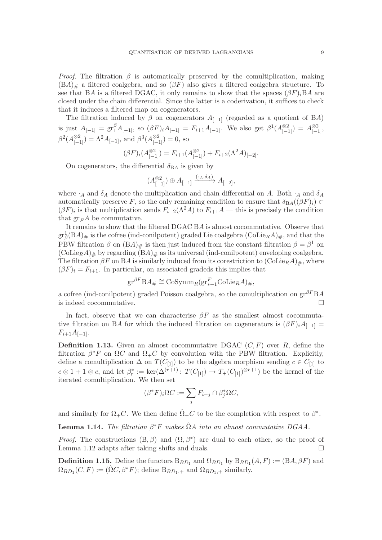*Proof.* The filtration  $\beta$  is automatically preserved by the comultiplication, making  $(BA)_\#$  a filtered coalgebra, and so  $(\beta F)$  also gives a filtered coalgebra structure. To see that BA is a filtered DGAC, it only remains to show that the spaces  $(\beta F)_iBA$  are closed under the chain differential. Since the latter is a coderivation, it suffices to check that it induces a filtered map on cogenerators.

The filtration induced by  $\beta$  on cogenerators  $A_{[-1]}$  (regarded as a quotient of BA) is just  $A_{[-1]} = \text{gr}_{1}^{\beta} A_{[-1]}$ , so  $(\beta F)_{i} A_{[-1]} = F_{i+1} A_{[-1]}$ . We also get  $\beta^{1} (A_{[-1]}^{\otimes 2}) = A_{[-1]}^{\otimes 2}$  $\beta^2(A_{[-1]}^{\otimes 2}) = \Lambda^2 A_{[-1]},$  and  $\beta^3(A_{[-1]}^{\otimes 2}) = 0$ , so

$$
(\beta F)_i (A_{[-1]}^{\otimes 2}) = F_{i+1}(A_{[-1]}^{\otimes 2}) + F_{i+2}(\Lambda^2 A)_{[-2]}.
$$

On cogenerators, the differential  $\delta_{BA}$  is given by

$$
(A_{[-1]}^{\otimes 2}) \oplus A_{[-1]} \xrightarrow{(\cdot_A, \delta_A)} A_{[-2]},
$$

where  $\cdot_A$  and  $\delta_A$  denote the multiplication and chain differential on A. Both  $\cdot_A$  and  $\delta_A$ automatically preserve F, so the only remaining condition to ensure that  $\delta_{BA}((\beta F)_i) \subset$  $(\beta F)_i$  is that multiplication sends  $F_{i+2}(\Lambda^2 A)$  to  $F_{i+1}A$  — this is precisely the condition that  $gr_F A$  be commutative.

It remains to show that the filtered DGAC BA is almost cocommutative. Observe that  $gr^1_{\beta}(BA)_{\#}$  is the cofree (ind-conilpotent) graded Lie coalgebra  $(\mathrm{Colie}_R A)_{\#}$ , and that the PBW filtration  $\beta$  on  $(BA)_{\#}$  is then just induced from the constant filtration  $\beta = \beta^1$  on  $(\text{Colie}_{R}A)_{\#}$  by regarding  $(BA)_{\#}$  as its universal (ind-conilpotent) enveloping coalgebra. The filtration  $\beta F$  on BA is similarly induced from its corestriction to  $(\mathrm{Colie}_R A)_\#$ , where  $(\beta F)_i = F_{i+1}$ . In particular, on associated gradeds this implies that

$$
\mathrm{gr}^{\beta F} \mathrm{B} A_{\#} \cong \mathrm{CoSymm}_R(\mathrm{gr}^F_{*+1} \mathrm{Colie}_R A)_{\#},
$$

a cofree (ind-conilpotent) graded Poisson coalgebra, so the comultiplication on  $\text{gr}^{\beta F} \text{B}A$ is indeed cocommutative.

In fact, observe that we can characterise  $\beta F$  as the smallest almost cocommutative filtration on BA for which the induced filtration on cogenerators is  $(\beta F)_iA_{[-1]}$  =  $F_{i+1}A_{[-1]}$ .

<span id="page-8-0"></span>**Definition 1.13.** Given an almost cocommutative DGAC  $(C, F)$  over R, define the filtration  $\beta^* F$  on  $\Omega C$  and  $\Omega_+ C$  by convolution with the PBW filtration. Explicitly, define a comultiplication  $\Delta$  on  $T(C_{[1]})$  to be the algebra morphism sending  $c \in C_{[1]}$  to  $c \otimes 1 + 1 \otimes c$ , and let  $\beta_r^* := \ker(\Delta^{(r+1)}: T(C_{[1]}) \to T_+(C_{[1]})^{\otimes r+1})$  be the kernel of the iterated comultiplication. We then set

$$
(\beta^* F)_i \Omega C := \sum_j F_{i-j} \cap \beta_j^* \Omega C,
$$

and similarly for  $\Omega_{+}C$ . We then define  $\hat{\Omega}_{+}C$  to be the completion with respect to  $\beta^*$ .

<span id="page-8-2"></span>**Lemma 1.14.** The filtration  $\beta^* F$  makes  $\hat{\Omega} A$  into an almost commutative DGAA.

*Proof.* The constructions  $(B, \beta)$  and  $(\Omega, \beta^*)$  are dual to each other, so the proof of Lemma [1.12](#page-7-0) adapts after taking shifts and duals.  $\square$ 

<span id="page-8-1"></span>**Definition 1.15.** Define the functors  $B_{BD_1}$  and  $\Omega_{BD_1}$  by  $B_{BD_1}(A, F) := (BA, \beta F)$  and  $\Omega_{BD_1}(C, F) := (\hat{\Omega}C, \beta^*F);$  define  $B_{BD_1,+}$  and  $\Omega_{BD_1,+}$  similarly.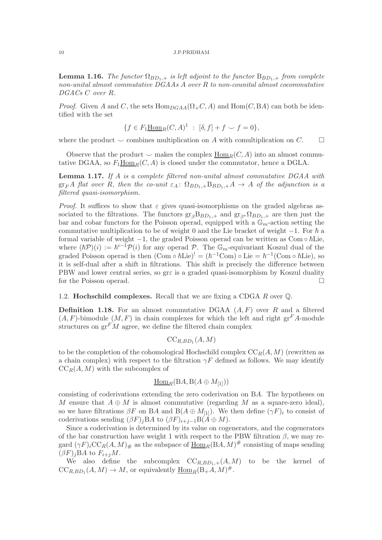<span id="page-9-3"></span>**Lemma 1.16.** The functor  $\Omega_{BD_1,+}$  is left adjoint to the functor  $B_{BD_1,+}$  from complete non-unital almost commutative DGAAs A over R to non-counital almost cocommutative DGACs C over R.

*Proof.* Given A and C, the sets  $\text{Hom}_{DGAA}(\Omega_+ C, A)$  and  $\text{Hom}(C, BA)$  can both be identified with the set

$$
\{f\in F_1\underline{\rm Hom}_R(C,A)^1\ :\ [\delta,f]+f\smile f=0\},
$$

where the product  $\smile$  combines multiplication on A with comultiplication on C.

Observe that the product  $\smile$  makes the complex  $\text{Hom}_R(C, A)$  into an almost commutative DGAA, so  $F_1\underline{\text{Hom}}_R(C, A)$  is closed under the commutator, hence a DGLA.

<span id="page-9-1"></span>**Lemma 1.17.** If A is a complete filtered non-unital almost commutative  $DGAA$  with  $gr_F A$  flat over R, then the co-unit  $\varepsilon_A$ :  $\Omega_{BD_1,+}B_{BD_1,+}A \rightarrow A$  of the adjunction is a filtered quasi-isomorphism.

*Proof.* It suffices to show that  $\varepsilon$  gives quasi-isomorphisms on the graded algebras associated to the filtrations. The functors  $gr_{\beta}B_{BD_1,+}$  and  $gr_{\beta*}\Omega_{BD_1,+}$  are then just the bar and cobar functors for the Poisson operad, equipped with a  $\mathbb{G}_m$ -action setting the commutative multiplication to be of weight 0 and the Lie bracket of weight  $-1$ . For  $\hbar$  a formal variable of weight  $-1$ , the graded Poisson operad can be written as Com ∘  $\hbar$ Lie, where  $(\hbar P)(i) := \hbar^{i-1} P(i)$  for any operad P. The  $\mathbb{G}_m$ -equivariant Koszul dual of the graded Poisson operad is then  $(\text{Com} \circ \hbar \text{Lie})^! = (\hbar^{-1} \text{Com}) \circ \text{Lie} = \hbar^{-1} (\text{Com} \circ \hbar \text{Lie}),$  so it is self-dual after a shift in filtrations. This shift is precisely the difference between PBW and lower central series, so grε is a graded quasi-isomorphism by Koszul duality for the Poisson operad.

<span id="page-9-0"></span>1.2. **Hochschild complexes.** Recall that we are fixing a CDGA  $R$  over  $\mathbb{Q}$ .

<span id="page-9-2"></span>**Definition 1.18.** For an almost commutative DGAA  $(A, F)$  over R and a filtered  $(A, F)$ -bimodule  $(M, F)$  in chain complexes for which the left and right gr<sup>F</sup>A-module structures on  $gr<sup>F</sup>M$  agree, we define the filtered chain complex

$$
\mathrm{CC}_{R,BD_1}(A,M)
$$

to be the completion of the cohomological Hochschild complex  $\mathrm{CC}_R(A, M)$  (rewritten as a chain complex) with respect to the filtration  $\gamma F$  defined as follows. We may identify  $CC_R(A, M)$  with the subcomplex of

$$
\underline{\mathrm{Hom}}_R(\mathrm{B} A, \mathrm{B} (A \oplus M_{[1]}))
$$

consisting of coderivations extending the zero coderivation on BA. The hypotheses on M ensure that  $A \oplus M$  is almost commutative (regarding M as a square-zero ideal), so we have filtrations  $\beta F$  on BA and B( $A \oplus M_{[1]}$ ). We then define  $(\gamma F)_i$  to consist of coderivations sending  $(\beta F)_iBA$  to  $(\beta F)_{i+j-1}B(A \oplus M)$ .

Since a coderivation is determined by its value on cogenerators, and the cogenerators of the bar construction have weight 1 with respect to the PBW filtration  $\beta$ , we may regard  $(\gamma F)_iCC_R(A, M)_\#$  as the subspace of  $\underline{\text{Hom}}_R(BA, M)^\#$  consisting of maps sending  $(\beta F)_iBA$  to  $F_{i+j}M$ .

We also define the subcomplex  $CC_{R,BD_1,+}(A, M)$  to be the kernel of  $CC_{R,BD_1}(A,M) \to M$ , or equivalently  $\underline{\text{Hom}}_R(B_+A,M)^{\#}$ .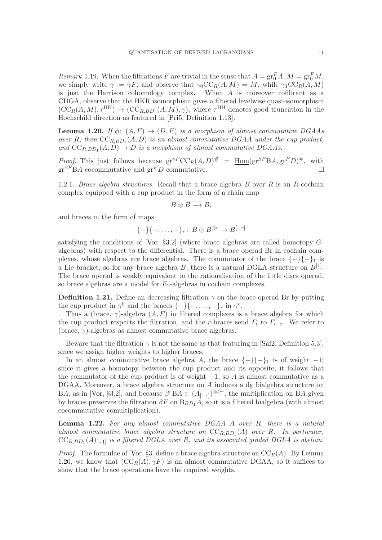<span id="page-10-3"></span>Remark 1.19. When the filtrations F are trivial in the sense that  $A = \text{gr}_{0}^{F} A$ ,  $M = \text{gr}_{0}^{F} M$ , we simply write  $\gamma := \gamma F$ , and observe that  $\gamma_0 C C_R(A, M) = M$ , while  $\gamma_1 C C_R(A, M)$ is just the Harrison cohomology complex. When A is moreover cofibrant as a CDGA, observe that the HKR isomorphism gives a filtered levelwise quasi-isomorphism  $(CC_R(A, M), \tau^{HH}) \rightarrow (CC_{R,BD_1}(A, M), \gamma)$ , where  $\tau^{HH}$  denotes good truncation in the Hochschild direction as featured in [\[Pri5,](#page-59-1) Definition [1.13\]](#page-8-0).

<span id="page-10-1"></span>**Lemma 1.20.** If  $\phi: (A, F) \rightarrow (D, F)$  is a morphism of almost commutative DGAAs over R, then  $CC_{R,BD_1}(A, D)$  is an almost commutative DGAA under the cup product, and  $CC_{R,BD_1}(A, D) \rightarrow D$  is a morphism of almost commutative DGAAs.

*Proof.* This just follows because  $gr^{\gamma F}CC_R(A, D)^{\#} = \underline{Hom}(gr^{\beta F}BA, gr^F D)^{\#}$ , with  $gr^{\beta F}BA$  cocommutative and  $gr^FD$  commutative.

<span id="page-10-0"></span>1.2.1. Brace algebra structures. Recall that a brace algebra  $B$  over  $R$  is an  $R$ -cochain complex equipped with a cup product in the form of a chain map

$$
B\otimes B\stackrel{\smile}{\longrightarrow} B,
$$

and braces in the form of maps

$$
\{-\}\{-,\ldots,-\}_r\colon B\otimes B^{\otimes r}\to B^{[-r]}
$$

satisfying the conditions of [\[Vor,](#page-60-1)  $\S 3.2$ ] (where brace algebras are called homotopy  $G$ algebras) with respect to the differential. There is a brace operad Br in cochain complexes, whose algebras are brace algebras. The commutator of the brace  $\{-\}\{-\}_1$  is a Lie bracket, so for any brace algebra  $B$ , there is a natural DGLA structure on  $B^{[1]}$ . The brace operad is weakly equivalent to the rationalisation of the little discs operad, so brace algebras are a model for  $E_2$ -algebras in cochain complexes.

<span id="page-10-2"></span>**Definition 1.21.** Define an decreasing filtration  $\gamma$  on the brace operad Br by putting the cup product in  $\gamma^0$  and the braces  $\{-\}\{-,\ldots,-\}_r$  in  $\gamma^r$ .

Thus a (brace,  $\gamma$ )-algebra  $(A, F)$  in filtered complexes is a brace algebra for which the cup product respects the filtration, and the r-braces send  $F_i$  to  $F_{i-r}$ . We refer to (brace,  $\gamma$ )-algebras as almost commutative brace algebras.

Beware that the filtration  $\gamma$  is not the same as that featuring in [\[Saf2,](#page-60-2) Definition 5.3], since we assign higher weights to higher braces.

In an almost commutative brace algebra A, the brace  $\{-\}\{-\}_1$  is of weight  $-1$ ; since it gives a homotopy between the cup product and its opposite, it follows that the commutator of the cup product is of weight  $-1$ , so A is almost commutative as a DGAA. Moreover, a brace algebra structure on A induces a dg bialgebra structure on BA, as in [\[Vor,](#page-60-1) §3.2], and because  $\beta^rBA \subset (A_{[-1]})^{\otimes \geq r}$ , the multiplication on BA given by braces preserves the filtration  $\beta F$  on  $B_{BD_1}A$ , so it is a filtered bialgebra (with almost cocommutative comultiplication).

<span id="page-10-4"></span>**Lemma 1.22.** For any almost commutative  $DGAA$  A over R, there is a natural almost commutative brace algebra structure on  $CC_{R,BD_1}(A)$  over R. In particular,  $\text{CC}_{R,BD_1}(A)_{[-1]}$  is a filtered DGLA over R, and its associated graded DGLA is abelian.

*Proof.* The formulae of [\[Vor,](#page-60-1) §3] define a brace algebra structure on  $\mathrm{CC}_R(A)$ . By Lemma [1.20,](#page-10-1) we know that  $(CC_R(A), \gamma F)$  is an almost commutative DGAA, so it suffices to show that the brace operations have the required weights.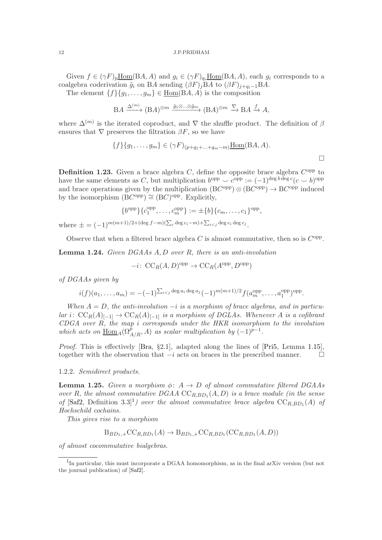Given  $f \in (\gamma F)_p \underline{\text{Hom}}(BA, A)$  and  $g_i \in (\gamma F)_{q_i} \underline{\text{Hom}}(BA, A)$ , each  $g_i$  corresponds to a coalgebra coderivation  $\tilde{g}_i$  on BA sending  $(\beta F)_jBA$  to  $(\beta F)_{j+q_i-1}BA$ .

The element  $\{f\}\{g_1, \ldots, g_m\} \in \underline{\text{Hom}}(BA, A)$  is the composition

$$
\mathcal{B}A \xrightarrow{\Delta^{(m)}} (\mathcal{B}A)^{\otimes m} \xrightarrow{\tilde{g}_1 \otimes \ldots \otimes \tilde{g}_m} (\mathcal{B}A)^{\otimes m} \xrightarrow{\nabla} \mathcal{B}A \xrightarrow{f} A,
$$

where  $\Delta^{(m)}$  is the iterated coproduct, and  $\nabla$  the shuffle product. The definition of  $\beta$ ensures that  $\nabla$  preserves the filtration  $\beta F$ , so we have

$$
\{f\}\{g_1,\ldots,g_m\} \in (\gamma F)_{(p+q_1+\ldots+q_m-m)} \underline{\text{Hom}}(\mathbf{B}A,A).
$$

<span id="page-11-3"></span>**Definition 1.23.** Given a brace algebra  $C$ , define the opposite brace algebra  $C^{\text{opp}}$  to have the same elements as C, but multiplication  $b^{\text{opp}} \smile c^{\text{opp}} := (-1)^{\text{deg }b \text{ deg }c}(c \smile b)^{\text{opp}}$ and brace operations given by the multiplication  $(BC^{opp}) \otimes (BC^{opp}) \rightarrow BC^{opp}$  induced by the isomorphism  $(\text{B}C^{\text{opp}}) \cong (\text{B}C)^{\text{opp}}$ . Explicitly,

$$
\{b^{\text{opp}}\}\{c_1^{\text{opp}},\ldots,c_m^{\text{opp}}\}:=\pm\{b\}\{c_m,\ldots,c_1\}^{\text{opp}},
$$

where  $\pm = (-1)^{m(m+1)/2 + (\text{deg } f - m)(\sum_i \text{deg } c_i - m) + \sum_{i < j} \text{deg } c_i \text{deg } c_j}$ .

Observe that when a filtered brace algebra  $C$  is almost commutative, then so is  $C^{\text{opp}}$ .

<span id="page-11-4"></span>**Lemma 1.24.** Given  $DGAAs A, D$  over R, there is an anti-involution

 $-i\colon \operatorname{CC}_R(A,D)^{\operatorname{opp}} \to \operatorname{CC}_R(A^{\operatorname{opp}},D^{\operatorname{opp}})$ 

of DGAAs given by

$$
i(f)(a_1,\ldots,a_m) = -(-1)^{\sum_{i < j} \deg a_i \deg a_j} (-1)^{m(m+1)/2} f(a_m^{\text{opp}},\ldots,a_1^{\text{opp}})^{\text{opp}}.
$$

When  $A = D$ , the anti-involution  $-i$  is a morphism of brace algebras, and in particular i:  $\mathrm{CC}_R(A)_{[-1]} \to \mathrm{CC}_R(A)_{[-1]}$  is a morphism of DGLAs. Whenever A is a cofibrant CDGA over R, the map i corresponds under the HKR isomorphism to the involution which acts on  $\underline{\text{Hom}}_A(\Omega^{\hat{p}}_{A/R}, A)$  as scalar multiplication by  $(-1)^{\hat{p}-1}$ .

Proof. This is effectively [\[Bra,](#page-58-8) §2.1], adapted along the lines of [\[Pri5,](#page-59-1) Lemma [1.15\]](#page-8-1), together with the observation that  $-i$  acts on braces in the prescribed manner.  $\Box$ 

### <span id="page-11-0"></span>1.2.2. Semidirect products.

<span id="page-11-2"></span>**Lemma 1.25.** Given a morphism  $\phi: A \rightarrow D$  of almost commutative filtered DGAAs over R, the almost commutative  $DGAA$   $CC_{R,BD_1}(A, D)$  is a brace module (in the sense of [\[Saf2,](#page-60-2) Definition 3.3]<sup>[1](#page-11-1)</sup>) over the almost commutative brace algebra  $CC_{R,BD_1}(A)$  of Hochschild cochains.

This gives rise to a morphism

$$
\mathcal{B}_{BD_1,+}\mathcal{CC}_{R,BD_1}(A) \to \mathcal{B}_{BD_1,+}\mathcal{CC}_{R,BD_1}(\mathcal{CC}_{R,BD_1}(A,D))
$$

of almost cocommutative bialgebras.

<span id="page-11-1"></span><sup>&</sup>lt;sup>1</sup>In particular, this must incorporate a DGAA homomorphism, as in the final arXiv version (but not the journal publication) of [\[Saf2\]](#page-60-2).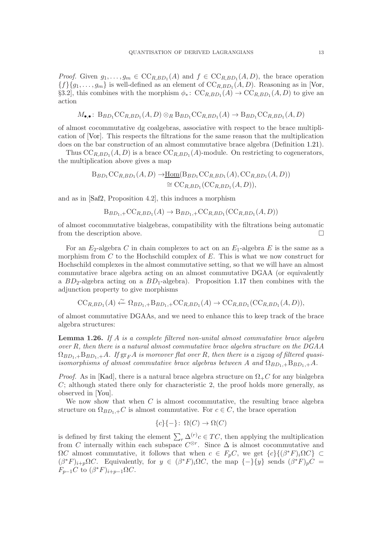*Proof.* Given  $g_1, \ldots, g_m \in CC_{R,BD_1}(A)$  and  $f \in CC_{R,BD_1}(A, D)$ , the brace operation  ${f}{g_1,\ldots,g_m}$  is well-defined as an element of  $CC_{R,BD_1}(A, D)$ . Reasoning as in [\[Vor,](#page-60-1) §3.2], this combines with the morphism  $\phi_*\colon CC_{R,BD_1}(A) \to CC_{R,BD_1}(A,D)$  to give an action

$$
M_{\bullet,\bullet}\colon B_{BD_1}\mathrm{CC}_{R,BD_1}(A,D)\otimes_R B_{BD_1}\mathrm{CC}_{R,BD_1}(A)\to B_{BD_1}\mathrm{CC}_{R,BD_1}(A,D)
$$

of almost cocommutative dg coalgebras, associative with respect to the brace multiplication of [\[Vor\]](#page-60-1). This respects the filtrations for the same reason that the multiplication does on the bar construction of an almost commutative brace algebra (Definition [1.21\)](#page-10-2).

Thus  $CC_{R,BD_1}(A, D)$  is a brace  $CC_{R,BD_1}(A)$ -module. On restricting to cogenerators, the multiplication above gives a map

$$
B_{BD_1}CC_{R,BD_1}(A, D) \rightarrow \underline{\text{Hom}}(B_{BD_1}CC_{R,BD_1}(A), CC_{R,BD_1}(A, D))
$$
  
\n
$$
\cong CC_{R,BD_1}(CC_{R,BD_1}(A, D)),
$$

and as in [\[Saf2,](#page-60-2) Proposition 4.2], this induces a morphism

$$
\mathcal{B}_{BD_1,+}\mathcal{CC}_{R,BD_1}(A) \to \mathcal{B}_{BD_1,+}\mathcal{CC}_{R,BD_1}(\mathcal{CC}_{R,BD_1}(A,D))
$$

of almost cocommutative bialgebras, compatibility with the filtrations being automatic from the description above.

For an  $E_2$ -algebra C in chain complexes to act on an  $E_1$ -algebra E is the same as a morphism from  $C$  to the Hochschild complex of  $E$ . This is what we now construct for Hochschild complexes in the almost commutative setting, so that we will have an almost commutative brace algebra acting on an almost commutative DGAA (or equivalently a  $BD_2$ -algebra acting on a  $BD_1$ -algebra). Proposition [1.17](#page-9-1) then combines with the adjunction property to give morphisms

$$
\mathrm{CC}_{R,BD_1}(A) \xleftarrow{\sim} \Omega_{BD_1,+} \mathrm{B}_{BD_1,+} \mathrm{CC}_{R,BD_1}(A) \to \mathrm{CC}_{R,BD_1}(\mathrm{CC}_{R,BD_1}(A,D)),
$$

of almost commutative DGAAs, and we need to enhance this to keep track of the brace algebra structures:

<span id="page-12-0"></span>**Lemma 1.26.** If A is a complete filtered non-unital almost commutative brace algebra over R, then there is a natural almost commutative brace algebra structure on the DGAA  $\Omega_{BD_1,+}B_{BD_1,+}A$ . If  $gr_F A$  is moreover flat over R, then there is a zigzag of filtered quasiisomorphisms of almost commutative brace algebras between A and  $\Omega_{BD_1}$ ,  $\vdash B_{BD_1}$ , A.

*Proof.* As in [\[Kad\]](#page-59-10), there is a natural brace algebra structure on  $\Omega_{+}C$  for any bialgebra  $C$ ; although stated there only for characteristic 2, the proof holds more generally, as observed in [\[You\]](#page-60-3).

We now show that when  $C$  is almost cocommutative, the resulting brace algebra structure on  $\Omega_{BD_1,+}C$  is almost commutative. For  $c \in C$ , the brace operation

$$
\{c\}\{-\} \colon \Omega(C) \to \Omega(C)
$$

is defined by first taking the element  $\sum_{r} \Delta_{\alpha}^{(r)} c \in TC$ , then applying the multiplication from C internally within each subspace  $C^{\otimes r}$ . Since  $\Delta$  is almost cocommutative and  $\Omega C$  almost commutative, it follows that when  $c \in F_p C$ , we get  $\{c\} \{(\beta^* F)_i \Omega C\} \subset$  $(\beta^* F)_{i+p} \Omega C$ . Equivalently, for  $y \in (\beta^* F)_i \Omega C$ , the map  $\{-\}\{y\}$  sends  $(\beta^* F)_p C =$  $F_{p-1}C$  to  $(\beta^*F)_{i+p-1}\Omega C$ .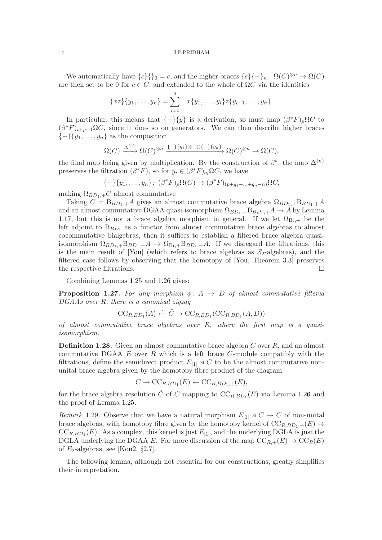We automatically have  ${c}{\lbrace \rbrace_0 = c}$ , and the higher braces  ${c}{\lbrace - \rbrace_n : \Omega(C)^{\otimes n} \to \Omega(C)}$ are then set to be 0 for  $c \in C$ , and extended to the whole of  $\Omega C$  via the identities

$$
\{xz\}\{y_1,\ldots,y_n\} = \sum_{i=0}^n \pm x\{y_1,\ldots,y_i\}z\{y_{i+1},\ldots,y_n\}.
$$

In particular, this means that  ${-}$ { $y$ } is a derivation, so must map  $(\beta^*F)_p\Omega C$  to  $(\beta^*F)_{i+p-1}\Omega C$ , since it does so on generators. We can then describe higher braces  ${-\}\{y_1,\ldots,y_n\}$  as the composition

$$
\Omega(C) \xrightarrow{\Delta^{(n)}} \Omega(C)^{\otimes n} \xrightarrow{\{-\}\{y_1\} \otimes \ldots \otimes \{-\}\{y_n\}} \Omega(C)^{\otimes n} \to \Omega(C),
$$

the final map being given by multiplication. By the construction of  $\beta^*$ , the map  $\Delta^{(n)}$ preserves the filtration  $(\beta^* F)$ , so for  $y_i \in (\beta^* F)_{q_i} \Omega C$ , we have

$$
\{-\}\{y_1, \ldots, y_n\} : (\beta^* F)_p \Omega(C) \to (\beta^* F)_{(p+q_1+\ldots+q_n-n)} \Omega C,
$$

making  $\Omega_{BD_1,+}C$  almost commutative

Taking  $C = B_{BD_1, +}A$  gives an almost commutative brace algebra  $\Omega_{BD_1, +}B_{BD_1, +}A$ and an almost commutative DGAA quasi-isomorphism  $\Omega_{BD_1,+}B_{BD_1,+}A \rightarrow A$  by Lemma [1.17,](#page-9-1) but this is not a brace algebra morphism in general. If we let  $\Omega_{\text{Br},+}$  be the left adjoint to  $B_{BD_1}$  as a functor from almost commutative brace algebras to almost cocommutative bialgebras, then it suffices to establish a filtered brace algebra quasiisomorphism  $\Omega_{BD_1,+}B_{BD_1,+}A \to \Omega_{Br,+}B_{BD_1,+}A$ . If we disregard the filtrations, this is the main result of [\[You\]](#page-60-3) (which refers to brace algebras as  $S_2$ -algebras), and the filtered case follows by observing that the homotopy of [\[You,](#page-60-3) Theorem 3.3] preserves the respective filtrations.

Combining Lemmas [1.25](#page-11-2) and [1.26](#page-12-0) gives:

<span id="page-13-0"></span>**Proposition 1.27.** For any morphism  $\phi: A \rightarrow D$  of almost commutative filtered DGAAs over R, there is a canonical zigzag

$$
\mathrm{CC}_{R,BD_1}(A) \xleftarrow{\sim} \tilde{C} \to \mathrm{CC}_{R,BD_1}(\mathrm{CC}_{R,BD_1}(A,D))
$$

of almost commutative brace algebras over  $R$ , where the first map is a quasiisomorphism.

<span id="page-13-1"></span>**Definition 1.28.** Given an almost commutative brace algebra C over  $R$ , and an almost commutative DGAA  $E$  over  $R$  which is a left brace  $C$ -module compatibly with the filtrations, define the semidirect product  $E_{11} \rtimes C$  to be the almost commutative nonunital brace algebra given by the homotopy fibre product of the diagram

$$
\tilde{C} \to \mathrm{CC}_{R,BD_1}(E) \leftarrow \mathrm{CC}_{R,BD_1,+}(E),
$$

for the brace algebra resolution  $\tilde{C}$  of C mapping to  $\mathrm{CC}_{R,BD_1}(E)$  via Lemma [1.26](#page-12-0) and the proof of Lemma [1.25.](#page-11-2)

<span id="page-13-2"></span>Remark 1.29. Observe that we have a natural morphism  $E_{[1]} \rtimes C \to C$  of non-unital brace algebras, with homotopy fibre given by the homotopy kernel of  $CC_{R,BD_1,+}(E) \rightarrow$  $CC_{R,BD_1}(E)$ . As a complex, this kernel is just  $E_{[1]}$ , and the underlying DGLA is just the DGLA underlying the DGAA E. For more discussion of the map  $CC_{R,+}(E) \rightarrow CC_{R}(E)$ of  $E_2$ -algebras, see [\[Kon2,](#page-59-11) §2.7].

The following lemma, although not essential for our constructions, greatly simplifies their interpretation.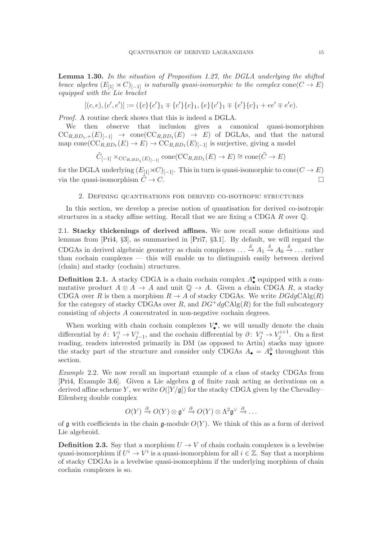<span id="page-14-4"></span>**Lemma 1.30.** In the situation of Proposition [1.27,](#page-13-0) the DGLA underlying the shifted brace algebra  $(E_{[1]} \rtimes C)_{[-1]}$  is naturally quasi-isomorphic to the complex cone  $(C \to E)$ equipped with the Lie bracket

$$
[(c,e),(c',e')]:=(\{c\}\{c'\}_1\mp\{c'\}\{c\}_1,\{e\}\{c'\}_1\mp\{e'\}\{c\}_1+ee'\mp e'e).
$$

Proof. A routine check shows that this is indeed a DGLA.

We then observe that inclusion gives a canonical quasi-isomorphism  $CC_{R,BD_1,+}(E)_{[-1]} \rightarrow \text{cone}(CC_{R,BD_1}(E) \rightarrow E)$  of DGLAs, and that the natural map cone( $\mathrm{CC}_{R,BD_1}(E) \to E$ )  $\to \mathrm{CC}_{R,BD_1}(E)_{[-1]}$  is surjective, giving a model

$$
\tilde{C}_{[-1]} \times_{\mathrm{CC}_{R,BD_1}(E)_{[-1]}} \mathrm{cone}(\mathrm{CC}_{R,BD_1}(E) \to E) \cong \mathrm{cone}(\tilde{C} \to E)
$$

<span id="page-14-0"></span>for the DGLA underlying  $(E_{[1]} \rtimes C)_{[-1]}$ . This in turn is quasi-isomorphic to cone $(C \to E)$ via the quasi-isomorphism  $\tilde{C} \to C$ .

### 2. Defining quantisations for derived co-isotropic structures

In this section, we develop a precise notion of quantisation for derived co-isotropic structures in a stacky affine setting. Recall that we are fixing a CDGA R over Q.

<span id="page-14-1"></span>2.1. Stacky thickenings of derived affines. We now recall some definitions and lemmas from [\[Pri4,](#page-59-0) §[3\]](#page-24-0), as summarised in [\[Pri7,](#page-59-2) §[3.1\]](#page-24-1). By default, we will regard the CDGAs in derived algebraic geometry as chain complexes  $\ldots \stackrel{\delta}{\to} A_1 \stackrel{\delta}{\to} A_0 \stackrel{\delta}{\to} \ldots$  rather than cochain complexes — this will enable us to distinguish easily between derived (chain) and stacky (cochain) structures.

<span id="page-14-3"></span>**Definition 2.1.** A stacky CDGA is a chain cochain complex  $A_{\bullet}^{\bullet}$  equipped with a commutative product  $A \otimes A \to A$  and unit  $\mathbb{Q} \to A$ . Given a chain CDGA R, a stacky CDGA over R is then a morphism  $R \to A$  of stacky CDGAs. We write  $DGdgChlg(R)$ for the category of stacky CDGAs over R, and  $DG^+dgCAlg(R)$  for the full subcategory consisting of objects A concentrated in non-negative cochain degrees.

When working with chain cochain complexes  $V_{\bullet}^{\bullet}$ , we will usually denote the chain differential by  $\delta: V^i_j \to V^i_{j-1}$ , and the cochain differential by  $\partial: V^i_j \to V^{i+1}_j$ . On a first reading, readers interested primarily in DM (as opposed to Artin) stacks may ignore the stacky part of the structure and consider only CDGAs  $A_{\bullet} = A_{\bullet}^{0}$  throughout this section.

<span id="page-14-2"></span>Example 2.2. We now recall an important example of a class of stacky CDGAs from [\[Pri4,](#page-59-0) Example [3.6\]](#page-26-1). Given a Lie algebra g of finite rank acting as derivations on a derived affine scheme Y, we write  $O([Y/g])$  for the stacky CDGA given by the Chevalley-Eilenberg double complex

$$
O(Y) \xrightarrow{\partial} O(Y) \otimes \mathfrak{g}^{\vee} \xrightarrow{\partial} O(Y) \otimes \Lambda^2 \mathfrak{g}^{\vee} \xrightarrow{\partial} \dots
$$

of  $\mathfrak g$  with coefficients in the chain  $\mathfrak g$ -module  $O(Y)$ . We think of this as a form of derived Lie algebroid.

**Definition 2.3.** Say that a morphism  $U \rightarrow V$  of chain cochain complexes is a levelwise quasi-isomorphism if  $U^i \to V^i$  is a quasi-isomorphism for all  $i \in \mathbb{Z}$ . Say that a morphism of stacky CDGAs is a levelwise quasi-isomorphism if the underlying morphism of chain cochain complexes is so.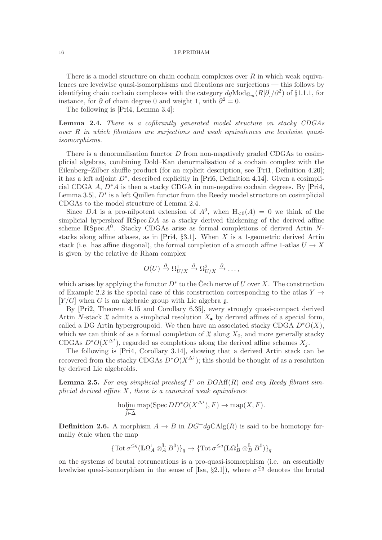There is a model structure on chain cochain complexes over  $R$  in which weak equivalences are levelwise quasi-isomorphisms and fibrations are surjections — this follows by identifying chain cochain complexes with the category  $dg\text{Mod}_{\mathbb{G}_m}(R[\partial]/\partial^2)$  of §[1.1.1,](#page-5-2) for instance, for  $\partial$  of chain degree 0 and weight 1, with  $\partial^2 = 0$ .

The following is [\[Pri4,](#page-59-0) Lemma [3.4\]](#page-25-1):

<span id="page-15-0"></span>Lemma 2.4. There is a cofibrantly generated model structure on stacky CDGAs over R in which fibrations are surjections and weak equivalences are levelwise quasiisomorphisms.

There is a denormalisation functor  $D$  from non-negatively graded CDGAs to cosimplicial algebras, combining Dold–Kan denormalisation of a cochain complex with the Eilenberg–Zilber shuffle product (for an explicit description, see [\[Pri1,](#page-59-8) Definition [4.20\]](#page-40-0); it has a left adjoint  $D^*$ , described explicitly in [\[Pri6,](#page-59-12) Definition [4.14\]](#page-39-1). Given a cosimplicial CDGA A,  $D^*A$  is then a stacky CDGA in non-negative cochain degrees. By [\[Pri4,](#page-59-0) Lemma [3.5\]](#page-26-2),  $D^*$  is a left Quillen functor from the Reedy model structure on cosimplicial CDGAs to the model structure of Lemma [2.4.](#page-15-0)

Since DA is a pro-nilpotent extension of  $A^0$ , when  $H_{\leq 0}(A) = 0$  we think of the simplicial hypersheaf  $\mathbb{R}$ Spec DA as a stacky derived thickening of the derived affine scheme  $\mathbb{R}$ Spec  $A^0$ . Stacky CDGAs arise as formal completions of derived Artin N-stacks along affine atlases, as in [\[Pri4,](#page-59-0) §[3.1\]](#page-24-1). When  $X$  is a 1-geometric derived Artin stack (i.e. has affine diagonal), the formal completion of a smooth affine 1-atlas  $U \to X$ is given by the relative de Rham complex

$$
O(U) \xrightarrow{\partial} \Omega^1_{U/X} \xrightarrow{\partial} \Omega^2_{U/X} \xrightarrow{\partial} \dots,
$$

which arises by applying the functor  $D^*$  to the Čech nerve of U over X. The construction of Example [2.2](#page-14-2) is the special case of this construction corresponding to the atlas  $Y \rightarrow$  $[Y/G]$  when G is an algebraic group with Lie algebra g.

By [\[Pri2,](#page-59-13) Theorem [4.15](#page-39-2) and Corollary 6.35], every strongly quasi-compact derived Artin N-stack  $\mathfrak X$  admits a simplicial resolution  $X_{\bullet}$  by derived affines of a special form, called a DG Artin hypergroupoid. We then have an associated stacky CDGA  $D^*O(X)$ , which we can think of as a formal completion of  $\mathfrak X$  along  $X_0$ , and more generally stacky CDGAs  $D^*O(X^{\Delta^j})$ , regarded as completions along the derived affine schemes  $X_j$ .

The following is [\[Pri4,](#page-59-0) Corollary [3.14\]](#page-29-2), showing that a derived Artin stack can be recovered from the stacky CDGAs  $D^*O(X^{\Delta^j})$ ; this should be thought of as a resolution by derived Lie algebroids.

<span id="page-15-1"></span>**Lemma 2.5.** For any simplicial presheaf F on  $DGAff(R)$  and any Reedy fibrant simplicial derived affine  $X$ , there is a canonical weak equivalence

$$
\underset{j \in \Delta}{\text{holim}} \operatorname{map}(\operatorname{Spec} DD^*O(X^{\Delta^j}), F) \to \operatorname{map}(X, F).
$$

∆<sup>j</sup>

<span id="page-15-2"></span>**Definition 2.6.** A morphism  $A \to B$  in  $DG^+dgCAlg(R)$  is said to be homotopy formally étale when the map

$$
\{\mathrm{Tot}\,\sigma^{\leq q}(\mathbf{L}\Omega^1_A\otimes^{\mathbf{L}}_A B^0)\}_q \to \{\mathrm{Tot}\,\sigma^{\leq q}(\mathbf{L}\Omega^1_B\otimes^{\mathbf{L}}_B B^0)\}_q
$$

on the systems of brutal cotruncations is a pro-quasi-isomorphism (i.e. an essentially levelwise quasi-isomorphism in the sense of [\[Isa,](#page-59-14) §2.1]), where  $\sigma^{\leq q}$  denotes the brutal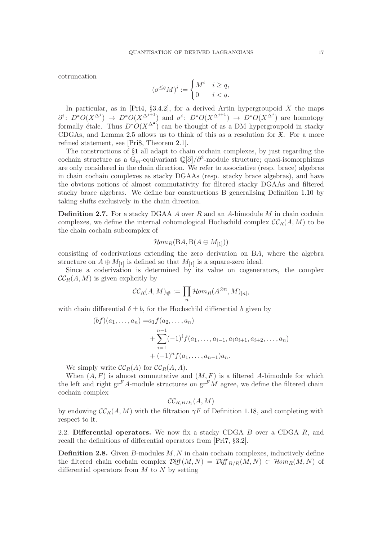cotruncation

$$
(\sigma^{\leq q}M)^i:=\begin{cases} M^i & i\geq q,\\ 0 & i< q. \end{cases}
$$

In particular, as in [\[Pri4,](#page-59-0) §3.4.2], for a derived Artin hypergroupoid  $X$  the maps  $\partial^i\colon D^*O(X^{\Delta^j}) \to D^*O(X^{\Delta^{j+1}})$  and  $\sigma^i\colon D^*O(X^{\Delta^{j+1}}) \to D^*O(X^{\Delta^j})$  are homotopy formally étale. Thus  $D^*O(X^{\Delta^{\bullet}})$  can be thought of as a DM hypergroupoid in stacky CDGAs, and Lemma [2.5](#page-15-1) allows us to think of this as a resolution for  $\mathfrak{X}$ . For a more refined statement, see [\[Pri8,](#page-59-15) Theorem [2.1\]](#page-14-3).

The constructions of §[1](#page-5-0) all adapt to chain cochain complexes, by just regarding the cochain structure as a  $\mathbb{G}_m$ -equivariant  $\mathbb{Q}[\partial]/\partial^2$ -module structure; quasi-isomorphisms are only considered in the chain direction. We refer to associative (resp. brace) algebras in chain cochain complexes as stacky DGAAs (resp. stacky brace algebras), and have the obvious notions of almost commutativity for filtered stacky DGAAs and filtered stacky brace algebras. We define bar constructions B generalising Definition [1.10](#page-7-1) by taking shifts exclusively in the chain direction.

<span id="page-16-1"></span>**Definition 2.7.** For a stacky DGAA A over R and an A-bimodule M in chain cochain complexes, we define the internal cohomological Hochschild complex  $\mathcal{CC}_R(A, M)$  to be the chain cochain subcomplex of

$$
Hom_R(\mathrm{B} A,\mathrm{B} (A\oplus M_{[1]}))
$$

consisting of coderivations extending the zero derivation on BA, where the algebra structure on  $A \oplus M_{[1]}$  is defined so that  $M_{[1]}$  is a square-zero ideal.

Since a coderivation is determined by its value on cogenerators, the complex  $\mathcal{CC}_R(A, M)$  is given explicitly by

$$
\mathcal{CC}_R(A,M)_\# := \prod_n \mathcal{H}\!{\it om}_R(A^{\otimes n},M)_{[n]},
$$

with chain differential  $\delta \pm b$ , for the Hochschild differential b given by

$$
(bf)(a_1, ..., a_n) = a_1 f(a_2, ..., a_n)
$$
  
+ 
$$
\sum_{i=1}^{n-1} (-1)^i f(a_1, ..., a_{i-1}, a_i a_{i+1}, a_{i+2}, ..., a_n)
$$
  
+ 
$$
(-1)^n f(a_1, ..., a_{n-1}) a_n.
$$

We simply write  $\mathcal{CC}_R(A)$  for  $\mathcal{CC}_R(A, A)$ .

When  $(A, F)$  is almost commutative and  $(M, F)$  is a filtered A-bimodule for which the left and right  $gr^F A$ -module structures on  $gr^F M$  agree, we define the filtered chain cochain complex

$$
\mathcal{CC}_{R,BD_1}(A,M)
$$

by endowing  $\mathcal{C}\mathcal{C}_R(A, M)$  with the filtration  $\gamma F$  of Definition [1.18,](#page-9-2) and completing with respect to it.

<span id="page-16-0"></span>2.2. Differential operators. We now fix a stacky CDGA  $B$  over a CDGA  $R$ , and recall the definitions of differential operators from [\[Pri7,](#page-59-2) §[3.2\]](#page-25-0).

**Definition 2.8.** Given  $B$ -modules  $M, N$  in chain cochain complexes, inductively define the filtered chain cochain complex  $\mathcal{Diff}(M, N) = \mathcal{Diff}_{R/R}(M, N) \subset \mathcal{H}om_R(M, N)$  of differential operators from  $M$  to  $N$  by setting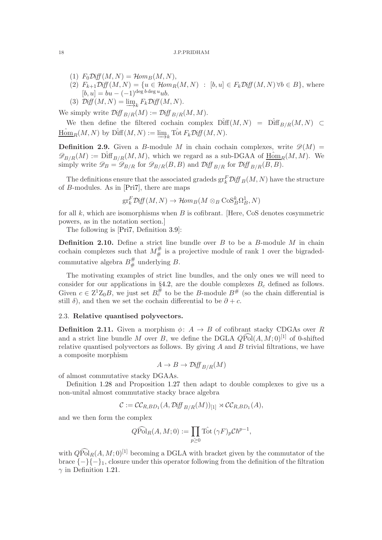- (1)  $F_0\mathcal{D}iff(M, N) = \mathcal{H}om_B(M, N),$
- (2)  $F_{k+1}\mathcal{D}iff(M,N) = \{u \in \mathcal{H}om_R(M,N) : [b,u] \in F_k\mathcal{D}iff(M,N) \forall b \in B\}$ , where  $[b, u] = bu - (-1)^{\deg b \deg u}ub.$
- (3)  $\mathcal{D}iff(M, N) = \underline{\lim}_{k} F_k \mathcal{D}iff(M, N).$

We simply write  $\mathcal{Diff}_{B/R}(M) := \mathcal{Diff}_{B/R}(M, M)$ .

We then define the filtered cochain complex  $\hat{\text{Diff}}(M, N) = \hat{\text{Diff}}_{B/R}(M, N) \subset$  $\underline{\text{Hom}}_R(M, N)$  by  $\text{Diff}(M, N) := \underline{\lim}_{k} \text{Tot } F_k \text{Diff}(M, N).$ 

**Definition 2.9.** Given a B-module M in chain cochain complexes, write  $\mathscr{D}(M)$  =  $\mathscr{D}_{B/R}(M) := \hat{\text{Diff}}_{B/R}(M, M)$ , which we regard as a sub-DGAA of  $\underline{\text{Hom}}_R(M, M)$ . We simply write  $\mathscr{D}_B = \mathscr{D}_{B/R}$  for  $\mathscr{D}_{B/R}(B, B)$  and  $\mathscr{D}_{B/R}^{\dagger}$  for  $\mathscr{D}_{B/R}^{\dagger}(B, B)$ .

The definitions ensure that the associated gradeds  $gr_k^F \mathcal{D} if f_B(M, N)$  have the structure of B-modules. As in [\[Pri7\]](#page-59-2), there are maps

$$
\operatorname{gr}^F_k\mathcal{D}\text{iff}(M,N)\to\mathcal{H}\text{om}_B(M\otimes_B\operatorname{CoS}_B^k\Omega_B^1,N)
$$

for all  $k$ , which are isomorphisms when  $B$  is cofibrant. [Here, CoS denotes cosymmetric powers, as in the notation section.]

The following is [\[Pri7,](#page-59-2) Definition [3.9\]](#page-27-0):

<span id="page-17-1"></span>**Definition 2.10.** Define a strict line bundle over  $B$  to be a  $B$ -module  $M$  in chain cochain complexes such that  $M^{\#}_{\#}$  is a projective module of rank 1 over the bigradedcommutative algebra  $B^{\#}_{\#}$  underlying B.

The motivating examples of strict line bundles, and the only ones we will need to consider for our applications in §[4.2,](#page-35-0) are the double complexes  $B_c$  defined as follows. Given  $c \in \mathbb{Z}^1 \mathbb{Z}_0 B$ , we just set  $B_c^{\#}$  to be the B-module  $B^{\#}$  (so the chain differential is still  $\delta$ ), and then we set the cochain differential to be  $\partial + c$ .

### <span id="page-17-0"></span>2.3. Relative quantised polyvectors.

<span id="page-17-2"></span>**Definition 2.11.** Given a morphism  $\phi: A \rightarrow B$  of cofibrant stacky CDGAs over R and a strict line bundle M over B, we define the DGLA  $QPol(A, M: 0)^{[1]}$  of 0-shifted relative quantised polyvectors as follows. By giving  $A$  and  $B$  trivial filtrations, we have a composite morphism

$$
A \to B \to \mathcal{D}iff_{B/R}(M)
$$

of almost commutative stacky DGAAs.

Definition [1.28](#page-13-1) and Proposition [1.27](#page-13-0) then adapt to double complexes to give us a non-unital almost commutative stacky brace algebra

$$
\mathcal{C} := \mathcal{C}\mathcal{C}_{R,BD_1}(A, \mathcal{D} \mathit{iff}_{B/R}(M))_{[1]} \rtimes \mathcal{C}\mathcal{C}_{R,BD_1}(A),
$$

and we then form the complex

$$
Q\widehat{\mathrm{Pol}}_R(A, M; 0) := \prod_{p \geq 0} \mathrm{Tot\,}(\gamma F)_p \mathcal{C} \hbar^{p-1},
$$

with  $\widehat{QPol}_R(A, M; 0)^{[1]}$  becoming a DGLA with bracket given by the commutator of the brace  $\{-\}\{-\}_1$ , closure under this operator following from the definition of the filtration  $\gamma$  in Definition [1.21.](#page-10-2)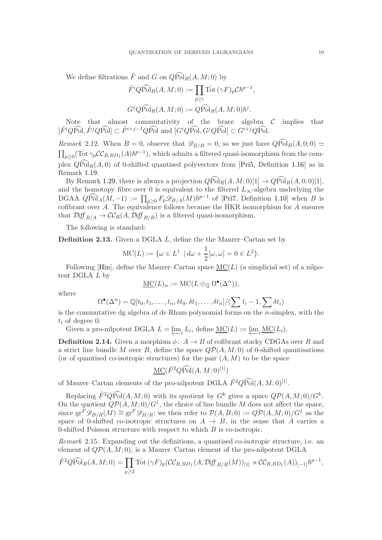We define filtrations  $\tilde{F}$  and G on  $\widehat{QPol}_R(A, M; 0)$  by

$$
\tilde{F}^i Q \widehat{\text{Pol}}_R(A, M; 0) := \prod_{p \ge i} \text{Tot}(\gamma F)_p \mathcal{C} \hbar^{p-1},
$$
  

$$
G^j Q \widehat{\text{Pol}}_R(A, M; 0) := Q \widehat{\text{Pol}}_R(A, M; 0) \hbar^j.
$$

Note that almost commutativity of the brace algebra  $C$  implies that  $[\tilde{F}^iQ\widehat{\mathrm{Pol}},\tilde{F}^jQ\widehat{\mathrm{Pol}}] \subset \tilde{F}^{i+j-1}Q\widehat{\mathrm{Pol}}$  and  $[G^iQ\widehat{\mathrm{Pol}}, G^jQ\widehat{\mathrm{Pol}}] \subset G^{i+j}Q\widehat{\mathrm{Pol}}.$ 

<span id="page-18-2"></span>Remark 2.12. When  $B = 0$ , observe that  $\mathscr{D}_{B/R} = 0$ , so we just have  $Q\widehat{Pol}_R(A, 0; 0) \simeq$  $\prod_{p\geq 0}$  (Tot  $\gamma_p$ CC<sub>R,BD<sub>1</sub></sub> (A) $\hbar^{p-1}$ ), which admits a filtered quasi-isomorphism from the complex  $QPol<sub>R</sub>(A, 0)$  of 0-shifted quantised polyvectors from [\[Pri5,](#page-59-1) Definition [1.16\]](#page-9-3) as in Remark [1.19.](#page-10-3)

By Remark [1.29,](#page-13-2) there is always a projection  $\widehat{QPol}_R(A, M; 0)[1] \to \widehat{QPol}_R(A, 0; 0)[1],$ and the homotopy fibre over 0 is equivalent to the filtered  $L_{\infty}$ -algebra underlying the DGAA  $Q\widehat{\mathrm{Pol}}_A(M,-1) := \prod_{p\geq 0} F_p \mathscr{D}_{B/A}(M) \hbar^{p-1}$  of [\[Pri7,](#page-59-2) Definition [1.10\]](#page-7-1) when B is cofibrant over A. The equivalence follows because the HKR isomorphism for A ensures that  $\mathcal{D}iff_{B/A} \to \mathcal{CC}_R(A, \mathcal{Diff}_{B/B})$  is a filtered quasi-isomorphism.

The following is standard:

**Definition 2.13.** Given a DGLA  $L$ , define the the Maurer–Cartan set by

$$
\text{MC}(L) := \{ \omega \in L^1 \mid d\omega + \frac{1}{2}[\omega, \omega] = 0 \in L^2 \}.
$$

Following  $[Hin]$ , define the Maurer–Cartan space  $MC(L)$  (a simplicial set) of a nilpotent DGLA  $L$  by

$$
\underline{\mathrm{MC}}(L)_n := \mathrm{MC}(L \otimes_{\mathbb{Q}} \Omega^{\bullet}(\Delta^n)),
$$

where

$$
\Omega^{\bullet}(\Delta^n) = \mathbb{Q}[t_0, t_1, \dots, t_n, \delta t_0, \delta t_1, \dots, \delta t_n]/(\sum t_i - 1, \sum \delta t_i)
$$

is the commutative dg algebra of de Rham polynomial forms on the  $n$ -simplex, with the  $t_i$  of degree 0.

Given a pro-nilpotent DGLA  $L = \varprojlim_i L_i$ , define  $\underline{\mathrm{MC}}(L) := \varprojlim_i \underline{\mathrm{MC}}(L_i)$ .

<span id="page-18-0"></span>**Definition 2.14.** Given a morphism  $\phi: A \rightarrow B$  of cofibrant stacky CDGAs over R and a strict line bundle M over B, define the space  $Q\mathcal{P}(A, M; 0)$  of 0-shifted quantisations (or of quantised co-isotropic structures) for the pair  $(A, M)$  to be the space

$$
\underline{\mathrm{MC}}(\tilde{F}^2 Q \widehat{\mathrm{Pol}}(A, M; 0)^{[1]})
$$

of Maurer–Cartan elements of the pro-nilpotent DGLA  $\tilde{F}^2 Q \widehat{Pol}(A, M; 0)^{[1]}$ .

Replacing  $\tilde{F}^2 Q \widehat{Pol}(A, M; 0)$  with its quotient by  $G^k$  gives a space  $Q\mathcal{P}(A, M; 0)/G^k$ . On the quotient  $Q\mathcal{P}(A, M; 0)/G^1$ , the choice of line bundle M does not affect the space, since  $\text{gr}^F \mathscr{D}_{B/B}(M) \cong \text{gr}^F \mathscr{D}_{B/B}$ ; we then refer to  $\mathcal{P}(A, B; 0) := Q\mathcal{P}(A, M; 0)/G^1$  as the space of 0-shifted co-isotropic structures on  $A \rightarrow B$ , in the sense that A carries a 0-shifted Poisson structure with respect to which  $B$  is co-isotropic.

<span id="page-18-1"></span>Remark 2.15. Expanding out the definitions, a quantised co-isotropic structure, i.e. an element of  $Q\mathcal{P}(A,M;0)$ , is a Maurer–Cartan element of the pro-nilpotent DGLA

$$
\tilde{F}^2 Q \widehat{\text{Pol}}_R(A, M; 0) = \prod_{p \ge 2} \text{Tot}(\gamma F)_p (\mathcal{CC}_{R, BD_1}(A, \mathcal{D} \text{iff }_{B/R}(M))_{[1]} \rtimes \mathcal{CC}_{R, BD_1}(A))_{[-1]} \hbar^{p-1},
$$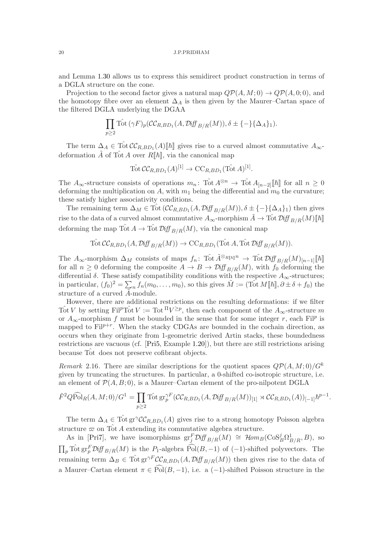and Lemma [1.30](#page-14-4) allows us to express this semidirect product construction in terms of a DGLA structure on the cone.

Projection to the second factor gives a natural map  $Q\mathcal{P}(A, M; 0) \rightarrow Q\mathcal{P}(A, 0; 0)$ , and the homotopy fibre over an element  $\Delta_A$  is then given by the Maurer–Cartan space of the filtered DGLA underlying the DGAA

$$
\prod_{p\geq 2} \hat{\mathrm{Tot}}\left(\gamma F\right)_p(\mathcal{CC}_{R,BD_1}(A,\mathcal{D} \mathrm{iff}_{B/R}(M)),\delta \pm \{-\}\{\Delta_A\}_1).
$$

The term  $\Delta_A \in \hat{\text{Tot}} C C_{R,BD_1}(A) [\![\hbar]\!]$  gives rise to a curved almost commutative  $A_{\infty}$ deformation  $\tilde{A}$  of Tot A over  $R[\![\hbar]\!]$ , via the canonical map

$$
\operatorname{Tot} \mathcal{CC}_{R,BD_1}(A)^{[1]} \to \operatorname{CC}_{R,BD_1}(\operatorname{Tot} A)^{[1]}.
$$

The  $A_{\infty}$ -structure consists of operations  $m_n$ : Tot  $A^{\otimes n} \to$  Tot  $A_{[n-2]}[\![\hbar]\!]$  for all  $n \geq 0$ deforming the multiplication on A, with  $m_1$  being the differential and  $m_0$  the curvature; these satisfy higher associativity conditions.

The remaining term  $\Delta_M \in \text{Tot}(\mathcal{CC}_{R,BD_1}(A, \mathcal{Diff}_{B/R}(M)), \delta \pm \{-\}\{\Delta_A\}_1)$  then gives rise to the data of a curved almost commutative  $A_{\infty}$ -morphism  $\tilde{A} \to \text{Tot } \mathcal{D}iff_{B/B}(M)\llbracket \hbar \rrbracket$ deforming the map  $\text{Tot } A \to \text{Tot } \mathcal{D} \text{iff}_{B/R}(M)$ , via the canonical map

$$
\operatorname{Tot} \mathcal{CC}_{R,BD_1}(A, \mathcal{D} \text{iff }_{B/R}(M)) \to \operatorname{CC}_{R,BD_1}(\operatorname{Tot} A, \operatorname{Tot} \mathcal{D} \text{iff }_{B/R}(M)).
$$

The A<sub>∞</sub>-morphism  $\Delta_M$  consists of maps  $f_n$ : Tot  $\tilde{A}^{\otimes_R}$ <sub>[k]</sub> $n \to \text{Tot } \mathcal{D}$ iff  $B/R(M)_{[n-1]}$ [k] for all  $n \geq 0$  deforming the composite  $A \to B \to \mathcal{D}$   $\mathcal{H}_{B/R}(M)$ , with  $f_0$  deforming the differential  $\delta$ . These satisfy compatibility conditions with the respective  $A_{\infty}$ -structures; in particular,  $(f_0)^2 = \sum_n f_n(m_0, \ldots, m_0)$ , so this gives  $\tilde{M} := (\text{Tot } M[\![\hbar]\!], \partial \pm \delta + f_0)$  the structure of a curved  $\tilde{A}$ -module.

However, there are additional restrictions on the resulting deformations: if we filter Tot V by setting Fil<sup>p</sup>Tot  $V := \text{Tot}^{\Pi} V^{\geq p}$ , then each component of the  $A_{\infty}$ -structure m or  $A_{\infty}$ -morphism f must be bounded in the sense that for some integer r, each Fil<sup>p</sup> is mapped to  $\text{Fil}^{p+r}$ . When the stacky CDGAs are bounded in the cochain direction, as occurs when they originate from 1-geometric derived Artin stacks, these boundedness restrictions are vacuous (cf. [\[Pri5,](#page-59-1) Example [1.20\]](#page-10-1)), but there are still restrictions arising because Tot does not preserve cofibrant objects.

<span id="page-19-0"></span>Remark 2.16. There are similar descriptions for the quotient spaces  $\mathbb{Q}P(A, M; 0)/G^k$ given by truncating the structures. In particular, a 0-shifted co-isotropic structure, i.e. an element of  $\mathcal{P}(A, B; 0)$ , is a Maurer–Cartan element of the pro-nilpotent DGLA

$$
\tilde{F}^2 Q \widehat{Pol}_R(A, M; 0) / G^1 = \prod_{p \ge 2} \widehat{Tot} \operatorname{gr}_p^{\gamma F} (\mathcal{CC}_{R, BD_1}(A, \mathcal{D} \text{iff }_{B/R}(M))_{[1]} \rtimes \mathcal{CC}_{R, BD_1}(A))_{[-1]} \hbar^{p-1}.
$$

The term  $\Delta_A \in \text{Tot}_{\mathcal{G}} \text{gr}^{\gamma} \mathcal{CC}_{R,B,D_1}(A)$  gives rise to a strong homotopy Poisson algebra structure  $\varpi$  on Tot A extending its commutative algebra structure.

As in [\[Pri7\]](#page-59-2), we have isomorphisms  $gr^F_j \mathcal{D}iff_{B/R}(M) \cong \mathcal{H}om_B(\text{CoS}_B^j \Omega_{B/R}^1, B)$ , so  $\prod_p \text{Tot} \text{gr}_p^F \text{Diff}_{B/R}(M)$  is the  $P_1$ -algebra  $\widehat{\text{Pol}}(B, -1)$  of  $(-1)$ -shifted polyvectors. The remaining term  $\Delta_B \in \text{Tot} \text{gr}^{\gamma F} C C_{R,B,D_1}(A, \mathcal{D} \text{iff}_{B/R}(M))$  then gives rise to the data of a Maurer–Cartan element  $\pi \in \widehat{\text{Pol}}(B, -1)$ , i.e. a (-1)-shifted Poisson structure in the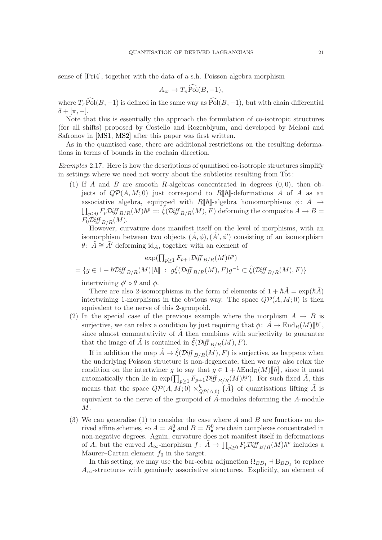sense of [\[Pri4\]](#page-59-0), together with the data of a s.h. Poisson algebra morphism

$$
A_{\varpi} \to T_{\pi} \text{Pol}(B, -1),
$$

where  $T_{\pi}$ Pol( $B, -1$ ) is defined in the same way as Pol( $B, -1$ ), but with chain differential  $\delta + [\pi, -].$ 

Note that this is essentially the approach the formulation of co-isotropic structures (for all shifts) proposed by Costello and Rozenblyum, and developed by Melani and Safronov in [\[MS1,](#page-59-16) [MS2\]](#page-59-17) after this paper was first written.

As in the quantised case, there are additional restrictions on the resulting deformations in terms of bounds in the cochain direction.

<span id="page-20-1"></span><span id="page-20-0"></span>Examples 2.17. Here is how the descriptions of quantised co-isotropic structures simplify in settings where we need not worry about the subtleties resulting from  $Tot$ :

(1) If A and B are smooth R-algebras concentrated in degrees  $(0, 0)$ , then objects of  $QP(A, M; 0)$  just correspond to  $R[[\hbar]]$ -deformations A of A as an associative algebra, equipped with  $R[\![\hbar]\!]$ -algebra homomorphisms  $\phi: \tilde{A} \rightarrow$  $\prod_{p\geq 0} F_p \mathcal{D}iff_{B/R}(M) \hbar^p =: \hat{\xi}(\mathcal{D}iff_{B/R}(M), F)$  deforming the composite  $A \to B =$  $F_0\mathcal{D}iff_{B/R}(M).$ 

However, curvature does manifest itself on the level of morphisms, with an isomorphism between two objects  $(\tilde{A}, \phi), (\tilde{A}', \phi')$  consisting of an isomorphism  $\theta$ :  $\tilde{A} \cong \tilde{A}'$  deforming id<sub>A</sub>, together with an element of

$$
\exp(\prod_{p\geq 1} F_{p+1} \mathcal{D} \text{iff}_{B/R}(M) \hbar^p)
$$
  
=  $\{g \in 1 + \hbar \mathcal{D} \text{iff}_{B/R}(M) [\![\hbar]\!] : g\hat{\xi}(\mathcal{D} \text{iff}_{B/R}(M), F)g^{-1} \subset \hat{\xi}(\mathcal{D} \text{iff}_{B/R}(M), F)\}$ 

intertwining  $\phi' \circ \theta$  and  $\phi$ .

There are also 2-isomorphisms in the form of elements of  $1 + \hbar \tilde{A} = \exp(\hbar \tilde{A})$ intertwining 1-morphisms in the obvious way. The space  $Q\mathcal{P}(A, M; 0)$  is then equivalent to the nerve of this 2-groupoid.

<span id="page-20-2"></span>(2) In the special case of the previous example where the morphism  $A \rightarrow B$  is surjective, we can relax a condition by just requiring that  $\phi: A \to \text{End}_R(M)[\![\hbar]\!]$ , since almost commutativity of  $\tilde{A}$  then combines with surjectivity to guarantee that the image of A is contained in  $\mathcal{E}(\mathcal{D}iff_{B/R}(M), F)$ .

If in addition the map  $\tilde{A} \to \hat{\xi}(\mathcal{D}iff_{B/R}(M), F)$  is surjective, as happens when the underlying Poisson structure is non-degenerate, then we may also relax the condition on the intertwiner g to say that  $g \in 1 + \hbar \text{End}_R(M)[\hbar],$  since it must automatically then lie in  $\exp(\prod_{p\geq 1} F_{p+1}\mathcal{D} \text{iff }_{B/R}(M)\hbar^p)$ . For such fixed  $\tilde{A}$ , this means that the space  $Q\mathcal{P}(A,M;0) \times_{QP(A,0)}^h {\tilde{A}}$  of quantisations lifting  $\tilde{A}$  is equivalent to the nerve of the groupoid of  $\tilde{A}$ -modules deforming the A-module  $M$ .

<span id="page-20-3"></span>(3) We can generalise [\(1\)](#page-20-1) to consider the case where  $A$  and  $B$  are functions on derived affine schemes, so  $A = A^0_\bullet$  and  $B = B^0_\bullet$  are chain complexes concentrated in non-negative degrees. Again, curvature does not manifest itself in deformations of A, but the curved  $A_{\infty}$ -morphism  $f: \tilde{A} \to \prod_{p\geq 0} F_p \mathcal{D} \text{iff}_{B/R}(M) \hbar^p$  includes a Maurer–Cartan element  $f_0$  in the target.

In this setting, we may use the bar-cobar adjunction  $\Omega_{BD_1} \dashv B_{BD_1}$  to replace  $A_{\infty}$ -structures with genuinely associative structures. Explicitly, an element of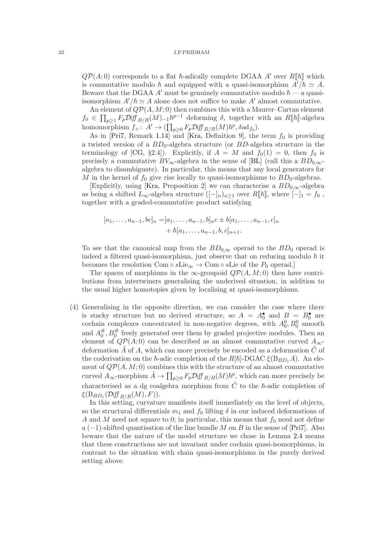$Q\mathcal{P}(A;0)$  corresponds to a flat  $\hbar$ -adically complete DGAA A' over  $R[\![\hbar]\!]$  which is commutative modulo  $\hbar$  and equipped with a quasi-isomorphism  $A'/\hbar \simeq A$ . Beware that the DGAA A' must be genuinely commutative modulo  $\hbar$  — a quasiisomorphism  $A'/\hbar \simeq A$  alone does not suffice to make A' almost commutative.

An element of  $QP(A, M; 0)$  then combines this with a Maurer–Cartan element  $f_0 \in \prod_{p\geq 1} F_p \mathcal{D} \text{iff }_{B/R}(M)_{-1} h^{p-1}$  deforming  $\delta$ , together with an  $R[\![\hbar]\!]$ -algebra homomorphism  $f_+ : A' \to (\prod_{p\geq 0} F_p \mathcal{D} \text{iff }_{B/R}(M) \hbar^p, \delta \text{ad}_{f_0}).$ 

As in [\[Pri7,](#page-59-2) Remark [1.14\]](#page-8-2) and [\[Kra,](#page-59-3) Definition 9], the term  $f_0$  is providing a twisted version of a  $BD_0$ -algebra structure (or  $BD$ -algebra structure in the terminology of [\[CG,](#page-58-7) §2.4]). Explicitly, if  $A = M$  and  $f_0(1) = 0$ , then  $f_0$  is precisely a commutative  $BV_{\infty}$ -algebra in the sense of [\[BL\]](#page-58-10) (call this a  $BD_{0,\infty}$ algebra to disambiguate). In particular, this means that any local generators for M in the kernel of  $f_0$  give rise locally to quasi-isomorphisms to  $BD_0$ -algebras.

[Explicitly, using [\[Kra,](#page-59-3) Proposition 2] we can characterise a  $BD_{0,\infty}$ -algebra as being a shifted  $L_{\infty}$ -algebra structure  $([-]_n)_{n>1}$  over  $R[\![\hbar]\!]$ , where  $[-]_1 = f_0$ , together with a graded-commutative product satisfying

$$
[a_1, \ldots, a_{n-1}, bc]_n = [a_1, \ldots, a_{n-1}, b]_n c \pm b[a_1, \ldots, a_{n-1}, c]_n
$$
  
+  $\hbar[a_1, \ldots, a_{n-1}, b, c]_{n+1}.$ 

To see that the canonical map from the  $BD_{0,\infty}$  operad to the  $BD_0$  operad is indeed a filtered quasi-isomorphism, just observe that on reducing modulo  $\hbar$  it becomes the resolution Com ∘ sLie<sub>∞</sub>  $\rightarrow$  Com ∘ sLie of the P<sub>0</sub> operad.]

The spaces of morphisms in the  $\infty$ -groupoid  $Q\mathcal{P}(A, M; 0)$  then have contributions from intertwiners generalising the underived situation, in addition to the usual higher homotopies given by localising at quasi-isomorphisms.

(4) Generalising in the opposite direction, we can consider the case where there is stacky structure but no derived structure, so  $A = A_0^{\bullet}$  and  $B = B_0^{\bullet}$  are cochain complexes concentrated in non-negative degrees, with  $A_0^0, B_0^0$  smooth and  $A_0^{\#}$  $_{0}^{\#},B_{0}^{\#}$  freely generated over them by graded projective modules. Then an element of  $QP(A; 0)$  can be described as an almost commutative curved  $A_{\infty}$ deformation A of A, which can more precisely be encoded as a deformation  $C$  of the coderivation on the  $\hbar$ -adic completion of the  $R[\hbar]$ -DGAC  $\xi(\text{B}_{BD_1}A)$ . An element of  $Q\mathcal{P}(A, M; 0)$  combines this with the structure of an almost commutative curved  $A_{\infty}$ -morphism  $\tilde{A} \to \prod_{p\geq 0} F_p \mathcal{D}$ iff  $B/R(M)\hbar^p$ , which can more precisely be characterised as a dg coalgebra morphism from  $\tilde{C}$  to the  $\hbar$ -adic completion of  $\xi(\mathrm{B}_{BD_1}(\mathcal{D}\mathrm{iff}_{B/R}(M),F)).$ 

In this setting, curvature manifests itself immediately on the level of objects, so the structural differentials  $m_1$  and  $f_0$  lifting  $\delta$  in our induced deformations of A and M need not square to 0; in particular, this means that  $f_0$  need not define a  $(-1)$ -shifted quantisation of the line bundle M on B in the sense of [\[Pri7\]](#page-59-2). Also beware that the nature of the model structure we chose in Lemma [2.4](#page-15-0) means that these constructions are not invariant under cochain quasi-isomorphisms, in contrast to the situation with chain quasi-isomorphisms in the purely derived setting above.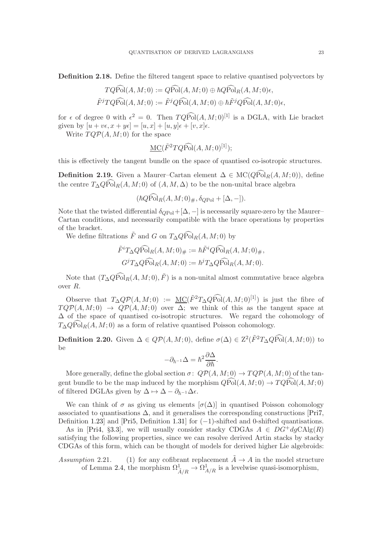<span id="page-22-0"></span>Definition 2.18. Define the filtered tangent space to relative quantised polyvectors by

$$
TQ\widehat{\mathrm{Pol}}(A, M; 0) := Q\widehat{\mathrm{Pol}}(A, M; 0) \oplus \hbar Q\widehat{\mathrm{Pol}}(A, M; 0)\epsilon,
$$
  

$$
\widetilde{F}^jTQ\widehat{\mathrm{Pol}}(A, M; 0) := \widetilde{F}^jQ\widehat{\mathrm{Pol}}(A, M; 0) \oplus \hbar \widetilde{F}^jQ\widehat{\mathrm{Pol}}(A, M; 0)\epsilon,
$$

for  $\epsilon$  of degree 0 with  $\epsilon^2 = 0$ . Then  $TQ\widehat{Pol}(A, M; 0)^{[1]}$  is a DGLA, with Lie bracket given by  $[u + v\epsilon, x + y\epsilon] = [u, x] + [u, y]\epsilon + [v, x]\epsilon$ .

Write  $TQP(A, M; 0)$  for the space

$$
\underline{\mathrm{MC}}(\tilde{F}^2TQ\widehat{\mathrm{Pol}}(A,M;0)^{[1]});
$$

this is effectively the tangent bundle on the space of quantised co-isotropic structures.

**Definition 2.19.** Given a Maurer–Cartan element  $\Delta \in \text{MC}(Q\widehat{\text{Pol}}_R(A, M; 0))$ , define the centre  $T_{\Delta} Q \widehat{\text{Pol}}_R(A, M; 0)$  of  $(A, M, \Delta)$  to be the non-unital brace algebra

$$
(\hbar Q \text{Pol}_R(A, M; 0)_{\#}, \delta_{Q \text{Pol}} + [\Delta, -]).
$$

Note that the twisted differential  $\delta_{QPol} + [\Delta, -]$  is necessarily square-zero by the Maurer– Cartan conditions, and necessarily compatible with the brace operations by properties of the bracket.

We define filtrations  $\tilde{F}$  and G on  $T_{\Delta}Q\widehat{Pol}_{R}(A, M; 0)$  by

$$
\tilde{F}^i T_{\Delta} Q \widehat{\text{Pol}}_R(A, M; 0)_{\#} := \hbar \tilde{F}^i Q \widehat{\text{Pol}}_R(A, M; 0)_{\#},
$$

$$
G^j T_{\Delta} Q \widehat{\text{Pol}}_R(A, M; 0) := \hbar^j T_{\Delta} Q \widehat{\text{Pol}}_R(A, M; 0).
$$

Note that  $(T_{\Delta}Q\widehat{Pol}_{R}(A, M; 0), \tilde{F})$  is a non-unital almost commutative brace algebra over R.

Observe that  $T_{\Delta}QP(A, M; 0) := \underline{\mathrm{MC}}(\tilde{F}^2T_{\Delta}QP\widehat{\mathrm{ol}}(A, M; 0)^{[1]})$  is just the fibre of  $TQP(A, M; 0) \rightarrow QP(A, M; 0)$  over  $\Delta$ ; we think of this as the tangent space at ∆ of the space of quantised co-isotropic structures. We regard the cohomology of  $T_{\Delta} Q_{\text{Pol}_R}(A, M; 0)$  as a form of relative quantised Poisson cohomology.

<span id="page-22-1"></span>**Definition 2.20.** Given  $\Delta \in QP(A, M; 0)$ , define  $\sigma(\Delta) \in Z^2(\tilde{F}^2T_{\Delta}Q\widehat{Pol}(A, M; 0))$  to be

$$
-\partial_{\hbar^{-1}}\Delta = \hbar^2 \frac{\partial \Delta}{\partial \hbar}.
$$

More generally, define the global section  $\sigma: Q\mathcal{P}(A, M; 0) \to TQ\mathcal{P}(A, M; 0)$  of the tangent bundle to be the map induced by the morphism  $\widehat{QPol}(A, M; 0) \to \widehat{TQPol}(A, M; 0)$ of filtered DGLAs given by  $\Delta \mapsto \Delta - \partial_{\hbar^{-1}}\Delta \epsilon$ .

We can think of  $\sigma$  as giving us elements  $[\sigma(\Delta)]$  in quantised Poisson cohomology associated to quantisations  $\Delta$ , and it generalises the corresponding constructions [\[Pri7,](#page-59-2) Definition [1.23\]](#page-11-3) and [\[Pri5,](#page-59-1) Definition 1.31] for  $(-1)$ -shifted and 0-shifted quantisations.

As in [\[Pri4,](#page-59-0) §[3.3\]](#page-29-1), we will usually consider stacky CDGAs  $A \in DG^+dgCAlg(R)$ satisfying the following properties, since we can resolve derived Artin stacks by stacky CDGAs of this form, which can be thought of models for derived higher Lie algebroids:

Assumption 2.21. (1) for any cofibrant replacement  $\tilde{A} \rightarrow A$  in the model structure of Lemma [2.4,](#page-15-0) the morphism  $\Omega^1_{\tilde{A}/R} \to \Omega^1_{A/R}$  is a levelwise quasi-isomorphism,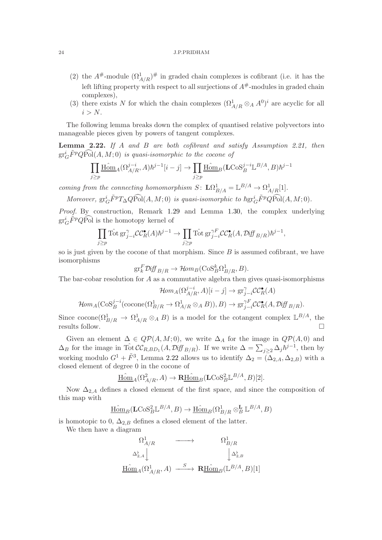- (2) the  $A^{\#}$ -module  $(\Omega^1_{A/R})^{\#}$  in graded chain complexes is cofibrant (i.e. it has the left lifting property with respect to all surjections of  $A^{\#}$ -modules in graded chain complexes),
- (3) there exists N for which the chain complexes  $(\Omega^1_{A/R} \otimes_A A^0)^i$  are acyclic for all  $i > N$ .

The following lemma breaks down the complex of quantised relative polyvectors into manageable pieces given by powers of tangent complexes.

<span id="page-23-0"></span>**Lemma 2.22.** If A and B are both cofibrant and satisfy Assumption 2.21, then  $\mathrm{gr}^i_G\tilde{F}^pQ\widehat{\mathrm{Pol}}(A,M;0)$  is quasi-isomorphic to the cocone of

$$
\prod_{j\geq p} \underline{\text{Hom}}_A(\Omega_{A/R}^{j-i},A)\hbar^{j-1}[i-j]\to \prod_{j\geq p} \underline{\text{Hom}}_B(\mathbf{L}\text{Cos}_B^{j-i}\mathbb{L}^{B/A},B)\hbar^{j-1}
$$

coming from the connecting homomorphism  $S: \mathbf{L}\Omega^1_{B/A} = \mathbb{L}^{B/A} \to \Omega^1_{A/R}[1].$ 

Moreover,  $gr_G^i \tilde{F}^p T_{\Delta} Q \widehat{Pol}(A, M; 0)$  is quasi-isomorphic to  $\hbar gr_G^i \tilde{F}^p Q \widehat{Pol}(A, M; 0)$ .

Proof. By construction, Remark [1.29](#page-13-2) and Lemma [1.30,](#page-14-4) the complex underlying  $gr_G^i \tilde{F}^p Q \widehat{Pol}$  is the homotopy kernel of

$$
\prod_{j\geq p} \text{Tot} \operatorname{gr}_{j-i}^{\gamma} \mathcal{CC}_{R}^{\bullet}(A) \hbar^{j-1} \to \prod_{j\geq p} \text{Tot} \operatorname{gr}_{j-i}^{\gamma F} \mathcal{CC}_{R}^{\bullet}(A, \mathcal{D} \text{iff }_{B/R}) \hbar^{j-1},
$$

so is just given by the cocone of that morphism. Since  $B$  is assumed cofibrant, we have isomorphisms

$$
\operatorname{gr}^F_k \mathcal{D} \text{iff}_{B/R} \to \mathcal{H} \text{om}_B(\text{CoS}_B^k \Omega^1_{B/R}, B).
$$

The bar-cobar resolution for  $A$  as a commutative algebra then gives quasi-isomorphisms

$$
\mathcal{H}om_A(\Omega_{A/R}^{j-i}, A)[i-j] \to \operatorname{gr}_{j-i}^{\gamma} \mathcal{CC}_R^{\bullet}(A)
$$

$$
\mathcal{H}om_A(\operatorname{CoS}_B^{j-i}(\operatorname{cocone}(\Omega_{B/R}^1 \to \Omega_{A/R}^1 \otimes_A B)), B) \to \operatorname{gr}_{j-i}^{\gamma F} \mathcal{CC}_R^{\bullet}(A, \mathcal{D} \text{iff }_{B/R}).
$$

Since  $\operatorname{cocone}(\Omega^1_{B/R} \to \Omega^1_{A/R} \otimes_A B)$  is a model for the cotangent complex  $\mathbb{L}^{B/A}$ , the results follow.  $\square$ 

Given an element  $\Delta \in QP(A,M;0)$ , we write  $\Delta_A$  for the image in  $QP(A,0)$  and  $\Delta_B$  for the image in  $\hat{\text{Tot}} C C_{R,BD_1}(A, \text{Diff}_{B/R})$ . If we write  $\Delta = \sum_{j\geq 2} \Delta_j \hbar^{j-1}$ , then by working modulo  $G^1 + \tilde{F}^3$ , Lemma [2.22](#page-23-0) allows us to identify  $\Delta_2 = (\Delta_{2,A}, \Delta_{2,B})$  with a closed element of degree 0 in the cocone of

$$
\underline{\text{Hom}}_A(\Omega^2_{A/R}, A) \to \mathbf{R\underline{\text{Hom}}}_B(\mathbf{L}\text{CoS}_B^2 \mathbb{L}^{B/A}, B)[2].
$$

Now  $\Delta_{2,A}$  defines a closed element of the first space, and since the composition of this map with

$$
\underline{\mathrm{Hom}}_{B}(\mathbf{L}\mathrm{CoS}^2_{B}\mathbb{L}^{B/A},B)\rightarrow \underline{\mathrm{Hom}}_{B}(\Omega^1_{B/R}\otimes^{\mathbf{L}}_{B}\mathbb{L}^{B/A},B)
$$

is homotopic to 0,  $\Delta_{2,B}$  defines a closed element of the latter.

We then have a diagram

$$
\begin{array}{ccc}\n\Omega^1_{A/R} & \xrightarrow{\hspace{1cm}} & \Omega^1_{B/R} \\
\Delta^{\flat}_{2,A} & & \downarrow \Delta^{\flat}_{2,B} \\
\hline\n\operatorname{\underline{Hom}}_A(\Omega^1_{A/R},A) & \xrightarrow{\hspace{1cm}} & \operatorname{\underline{R}\underline{Hom}}_B(\mathbb{L}^{B/A},B)[1]\n\end{array}
$$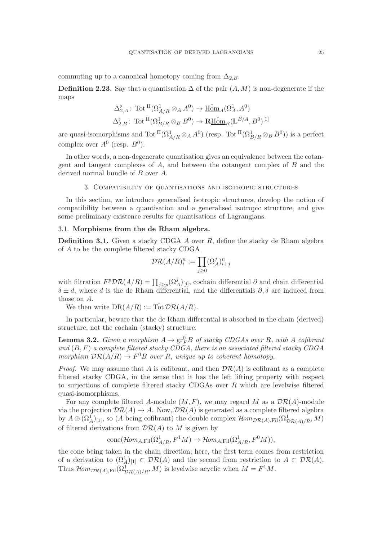commuting up to a canonical homotopy coming from  $\Delta_{2,B}$ .

<span id="page-24-3"></span>**Definition 2.23.** Say that a quantisation  $\Delta$  of the pair  $(A, M)$  is non-degenerate if the maps

$$
\Delta_{2,A}^{\flat} \colon \operatorname{Tot}^{\Pi}(\Omega^1_{A/R} \otimes_A A^0) \to \underline{\operatorname{Hom}}_A(\Omega^1_A, A^0)
$$
  

$$
\Delta_{2,B}^{\flat} \colon \operatorname{Tot}^{\Pi}(\Omega^1_{B/R} \otimes_B B^0) \to \underline{\operatorname{RHom}}_B(\mathbb{L}^{B/A}, B^0)^{[1]}
$$

are quasi-isomorphisms and Tot  $^{II}(\Omega^1_{A/R} \otimes_A A^0)$  (resp. Tot  $^{II}(\Omega^1_{B/R} \otimes_B B^0)$ ) is a perfect complex over  $A^0$  (resp.  $B^0$ ).

<span id="page-24-0"></span>In other words, a non-degenerate quantisation gives an equivalence between the cotangent and tangent complexes of A, and between the cotangent complex of B and the derived normal bundle of B over A.

# 3. Compatibility of quantisations and isotropic structures

In this section, we introduce generalised isotropic structures, develop the notion of compatibility between a quantisation and a generalised isotropic structure, and give some preliminary existence results for quantisations of Lagrangians.

## <span id="page-24-1"></span>3.1. Morphisms from the de Rham algebra.

**Definition 3.1.** Given a stacky CDGA  $\vec{A}$  over  $\vec{R}$ , define the stacky de Rham algebra of A to be the complete filtered stacky CDGA

$$
\mathcal{DR}(A/R)^n_i := \prod_{j \geq 0} (\Omega^j_A)^n_{i+j}
$$

with filtration  $F^p \mathcal{DR}(A/R) = \prod_{j \geq p} (\Omega^j_A)_{[j]},$  cochain differential  $\partial$  and chain differential  $\delta \pm d$ , where d is the de Rham differential, and the differentials  $\partial, \delta$  are induced from those on A.

We then write  $DR(A/R) := \hat{\text{Tot}} \, \mathcal{DR}(A/R)$ .

In particular, beware that the de Rham differential is absorbed in the chain (derived) structure, not the cochain (stacky) structure.

<span id="page-24-2"></span>**Lemma 3.2.** Given a morphism  $A \to \text{gr}_F^0 B$  of stacky CDGAs over R, with A cofibrant and  $(B, F)$  a complete filtered stacky CDGA, there is an associated filtered stacky CDGA morphism  $\mathcal{DR}(A/R) \to F^0B$  over R, unique up to coherent homotopy.

*Proof.* We may assume that A is cofibrant, and then  $\mathcal{DR}(A)$  is cofibrant as a complete filtered stacky CDGA, in the sense that it has the left lifting property with respect to surjections of complete filtered stacky CDGAs over  $R$  which are levelwise filtered quasi-isomorphisms.

For any complete filtered A-module  $(M, F)$ , we may regard M as a  $\mathcal{DR}(A)$ -module via the projection  $\mathcal{DR}(A) \to A$ . Now,  $\mathcal{DR}(A)$  is generated as a complete filtered algebra by  $A \oplus (\Omega^1_A)_{[1]}$ , so (A being cofibrant) the double complex  $\mathcal{H}om_{\mathcal{DR}(A),\text{Fil}}(\Omega^1_{\mathcal{DR}(A)/R},M)$ of filtered derivations from  $\mathcal{DR}(A)$  to M is given by

$$
\text{cone}(\mathcal{H}om_{A,\text{Fil}}(\Omega^1_{A/R}, F^1M) \to \mathcal{H}om_{A,\text{Fil}}(\Omega^1_{A/R}, F^0M)),
$$

the cone being taken in the chain direction; here, the first term comes from restriction of a derivation to  $(\Omega_A^1)_{[1]} \subset \mathcal{DR}(A)$  and the second from restriction to  $A \subset \mathcal{DR}(A)$ . Thus  $\mathcal{H}om_{\mathcal{DR}(A),\mathrm{Fil}}(\Omega^1_{\mathcal{DR}(A)/R},M)$  is levelwise acyclic when  $M = F^1M$ .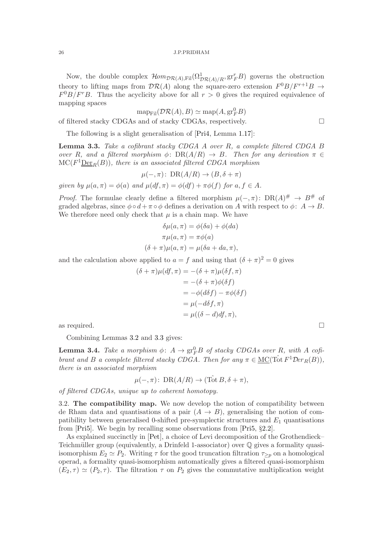Now, the double complex  $\mathcal{H}om_{\mathcal{DR}(A),\text{Fil}}(\Omega^1_{\mathcal{DR}(A)/R},\text{gr}_F^rB)$  governs the obstruction theory to lifting maps from  $\mathcal{DR}(A)$  along the square-zero extension  $F^0B/F^{r+1}B \rightarrow$  $F^{0}B/F^{r}B$ . Thus the acyclicity above for all  $r > 0$  gives the required equivalence of mapping spaces

$$
\mathrm{map}_{\mathrm{Fil}}(\mathcal{DR}(A),B)\simeq \mathrm{map}(A,\mathrm{gr}_F^0B)
$$

of filtered stacky CDGAs and of stacky CDGAs, respectively.  $\Box$ 

The following is a slight generalisation of [\[Pri4,](#page-59-0) Lemma [1.17\]](#page-9-1):

<span id="page-25-2"></span>**Lemma 3.3.** Take a cofibrant stacky CDGA A over  $R$ , a complete filtered CDGA B over R, and a filtered morphism  $\phi: DR(A/R) \rightarrow B$ . Then for any derivation  $\pi \in$  $\mathrm{MC}(F^1\underline{\mathrm{Der}}_R(B)),$  there is an associated filtered CDGA morphism

$$
\mu(-,\pi) \colon \, \text{DR}(A/R) \to (B,\delta + \pi)
$$

given by  $\mu(a,\pi) = \phi(a)$  and  $\mu(df,\pi) = \phi(df) + \pi\phi(f)$  for  $a, f \in A$ .

*Proof.* The formulae clearly define a filtered morphism  $\mu(-, \pi)$ : DR(A)<sup>#</sup>  $\rightarrow$  B<sup>#</sup> of graded algebras, since  $\phi \circ d + \pi \circ \phi$  defines a derivation on A with respect to  $\phi: A \to B$ . We therefore need only check that  $\mu$  is a chain map. We have

$$
\delta\mu(a,\pi) = \phi(\delta a) + \phi(da)
$$

$$
\pi\mu(a,\pi) = \pi\phi(a)
$$

$$
(\delta + \pi)\mu(a,\pi) = \mu(\delta a + da, \pi),
$$

and the calculation above applied to  $a = f$  and using that  $(\delta + \pi)^2 = 0$  gives

$$
(\delta + \pi)\mu(df, \pi) = -(\delta + \pi)\mu(\delta f, \pi)
$$
  
= -(\delta + \pi)\phi(\delta f)  
= -\phi(d\delta f) - \pi\phi(\delta f)  
= \mu(-d\delta f, \pi)  
= \mu((\delta - d)df, \pi),

as required.  $\Box$ 

Combining Lemmas [3.2](#page-24-2) and [3.3](#page-25-2) gives:

<span id="page-25-1"></span>**Lemma 3.4.** Take a morphism  $\phi: A \to \text{gr}_F^0 B$  of stacky CDGAs over R, with A cofibrant and B a complete filtered stacky CDGA. Then for any  $\pi \in \text{MC}(\hat{\text{Tot}} F^1 \mathcal{D}er_R(B)),$ there is an associated morphism

$$
\mu(-,\pi) \colon \operatorname{DR}(A/R) \to (\operatorname{Tot} B, \delta + \pi),
$$

<span id="page-25-0"></span>of filtered CDGAs, unique up to coherent homotopy.

3.2. The compatibility map. We now develop the notion of compatibility between de Rham data and quantisations of a pair  $(A \rightarrow B)$ , generalising the notion of compatibility between generalised 0-shifted pre-symplectic structures and  $E_1$  quantisations from [\[Pri5\]](#page-59-1). We begin by recalling some observations from [\[Pri5,](#page-59-1) §[2.2\]](#page-16-0).

As explained succinctly in [\[Pet\]](#page-59-18), a choice of Levi decomposition of the Grothendieck– Teichmüller group (equivalently, a Drinfeld 1-associator) over  $\mathbb Q$  gives a formality quasiisomorphism  $E_2 \simeq P_2$ . Writing  $\tau$  for the good truncation filtration  $\tau_{\geq p}$  on a homological operad, a formality quasi-isomorphism automatically gives a filtered quasi-isomorphism  $(E_2, \tau) \simeq (P_2, \tau)$ . The filtration  $\tau$  on  $P_2$  gives the commutative multiplication weight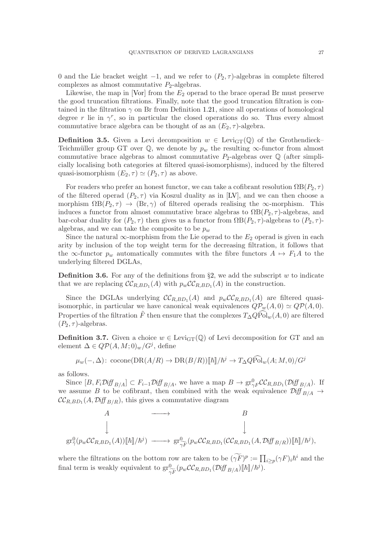0 and the Lie bracket weight  $-1$ , and we refer to  $(P_2, \tau)$ -algebras in complete filtered complexes as almost commutative  $P_2$ -algebras.

Likewise, the map in [\[Vor\]](#page-60-1) from the  $E_2$  operad to the brace operad Br must preserve the good truncation filtrations. Finally, note that the good truncation filtration is contained in the filtration  $\gamma$  on Br from Definition [1.21,](#page-10-2) since all operations of homological degree r lie in  $\gamma^r$ , so in particular the closed operations do so. Thus every almost commutative brace algebra can be thought of as an  $(E_2, \tau)$ -algebra.

<span id="page-26-2"></span>**Definition 3.5.** Given a Levi decomposition  $w \in \text{Levi}_{GT}(\mathbb{Q})$  of the Grothendieck– Teichmüller group GT over  $\mathbb{Q}$ , we denote by  $p_w$  the resulting  $\infty$ -functor from almost commutative brace algebras to almost commutative  $P_2$ -algebras over  $\mathbb Q$  (after simplicially localising both categories at filtered quasi-isomorphisms), induced by the filtered quasi-isomorphism  $(E_2, \tau) \simeq (P_2, \tau)$  as above.

For readers who prefer an honest functor, we can take a cofibrant resolution  $\Omega B(P_2, \tau)$ of the filtered operad  $(P_2, \tau)$  via Koszul duality as in [\[LV\]](#page-59-19), and we can then choose a morphism  $\Omega B(P_2, \tau) \to (\text{Br}, \gamma)$  of filtered operads realising the  $\infty$ -morphism. This induces a functor from almost commutative brace algebras to  $\Omega B(P_2, \tau)$ -algebras, and bar-cobar duality for  $(P_2, \tau)$  then gives us a functor from  $\Omega B(P_2, \tau)$ -algebras to  $(P_2, \tau)$ algebras, and we can take the composite to be  $p_w$ 

Since the natural  $\infty$ -morphism from the Lie operad to the  $E_2$  operad is given in each arity by inclusion of the top weight term for the decreasing filtration, it follows that the  $\infty$ -functor  $p_w$  automatically commutes with the fibre functors  $A \mapsto F_1A$  to the underlying filtered DGLAs,

<span id="page-26-1"></span>**Definition 3.6.** For any of the definitions from §[2,](#page-14-0) we add the subscript w to indicate that we are replacing  $\mathcal{CC}_{R,BD_1}(A)$  with  $p_w\mathcal{CC}_{R,BD_1}(A)$  in the construction.

Since the DGLAs underlying  $\mathcal{CC}_{R,BD_1}(A)$  and  $p_w\mathcal{CC}_{R,BD_1}(A)$  are filtered quasiisomorphic, in particular we have canonical weak equivalences  $Q\mathcal{P}_{w}(A, 0) \simeq Q\mathcal{P}(A, 0)$ . Properties of the filtration  $\tilde{F}$  then ensure that the complexes  $T\Delta Q\tilde{Pol}_w(A, 0)$  are filtered  $(P_2, \tau)$ -algebras.

<span id="page-26-0"></span>**Definition 3.7.** Given a choice  $w \in \text{Levi}_{GT}(\mathbb{Q})$  of Levi decomposition for GT and an element  $\Delta \in QP(A, M; 0)_w/G^j$ , define

$$
\mu_w(-,\Delta): \text{cocone}(\text{DR}(A/R) \to \text{DR}(B/R))[[\hbar]]/\hbar^j \to T_{\Delta}Q\widehat{\text{Pol}}_w(A;M,0)/G^j
$$

as follows.

Since  $[B, F_i \mathcal{D} \text{iff }_{B/A}] \subset F_{i-1} \mathcal{D} \text{iff }_{B/A}$ , we have a map  $B \to \text{gr}^0_{\gamma F} C C_{R,BD_1} (\mathcal{D} \text{iff }_{B/A})$ . If we assume B to be cofibrant, then combined with the weak equivalence  $\mathcal{D}iff_{B/A} \rightarrow$  $\mathcal{CC}_{R,BD_1}(A, \mathcal{D}iff_{B/R})$ , this gives a commutative diagram

$$
A \longrightarrow B
$$
  
\n
$$
\downarrow \qquad \qquad B
$$
  
\n
$$
\downarrow \qquad \qquad \downarrow
$$
  
\n
$$
\downarrow \qquad \qquad \downarrow
$$
  
\n
$$
\downarrow \qquad \qquad \downarrow
$$
  
\n
$$
\downarrow \qquad \qquad \downarrow
$$
  
\n
$$
\downarrow \qquad \qquad \downarrow
$$
  
\n
$$
\downarrow \qquad \qquad \downarrow
$$
  
\n
$$
\downarrow \qquad \qquad \downarrow
$$
  
\n
$$
\downarrow \qquad \qquad \downarrow
$$
  
\n
$$
\downarrow \qquad \qquad \downarrow
$$
  
\n
$$
\downarrow \qquad \qquad \downarrow
$$
  
\n
$$
\downarrow \qquad \qquad \downarrow
$$
  
\n
$$
\downarrow \qquad \qquad \downarrow
$$
  
\n
$$
\downarrow \qquad \qquad \downarrow
$$
  
\n
$$
\downarrow \qquad \qquad \downarrow
$$
  
\n
$$
\downarrow \qquad \qquad \downarrow
$$
  
\n
$$
\downarrow \qquad \qquad \downarrow
$$
  
\n
$$
\downarrow \qquad \qquad \downarrow
$$
  
\n
$$
\downarrow \qquad \qquad \downarrow
$$
  
\n
$$
\downarrow \qquad \qquad \downarrow
$$
  
\n
$$
\downarrow \qquad \qquad \downarrow
$$
  
\n
$$
\downarrow \qquad \qquad \downarrow
$$
  
\n
$$
\downarrow \qquad \qquad \downarrow
$$
  
\n
$$
\downarrow \qquad \qquad \downarrow
$$
  
\n
$$
\downarrow \qquad \qquad \downarrow
$$
  
\n
$$
\downarrow \qquad \qquad \downarrow
$$
  
\n
$$
\downarrow \qquad \qquad \downarrow
$$
  
\n
$$
\downarrow \qquad \qquad \downarrow
$$
  
\n
$$
\downarrow \qquad \qquad \downarrow
$$
  
\n
$$
\downarrow \qquad \qquad \downarrow
$$
  
\n
$$
\downarrow \qquad \qquad \downarrow
$$
  
\n
$$
\downarrow \qquad \qquad \downarrow
$$
  
\n
$$
\downarrow \qquad \qquad \
$$

where the filtrations on the bottom row are taken to be  $(\widetilde{\gamma F})^p := \prod_{i \geq p} (\gamma F)_i \hbar^i$  and the final term is weakly equivalent to  $gr^0_{\widetilde{\gamma F}}(p_w\mathcal{CC}_{R,BD_1}(\mathcal{Diff}_{B/A})[[\hbar]]/\hbar^j)$ .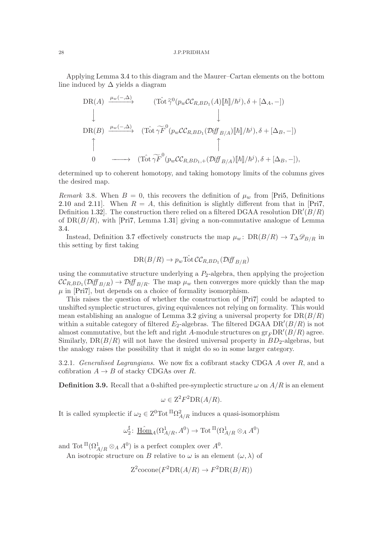Applying Lemma [3.4](#page-25-1) to this diagram and the Maurer–Cartan elements on the bottom line induced by  $\Delta$  yields a diagram

$$
\begin{array}{ccc}\n\text{DR}(A) & \xrightarrow{\mu_w(-,\Delta)} & (\text{Tot } \widetilde{\gamma}^0(p_w \mathcal{C} \mathcal{C}_{R,BD_1}(A)[\![\hbar]\!]/\hbar^j), \delta + [\Delta_A, -]) \\
\downarrow & & \downarrow \\
\text{DR}(B) & \xrightarrow{\mu_w(-,\Delta)} & (\text{Tot } \widetilde{\gamma F}^0(p_w \mathcal{C} \mathcal{C}_{R,BD_1}(D\!if\!\!f_{B/A})[\![\hbar]\!]/\hbar^j), \delta + [\Delta_B, -]) \\
\uparrow & & \uparrow \\
0 & \longrightarrow & (\text{Tot } \widetilde{\gamma F}^0(p_w \mathcal{C} \mathcal{C}_{R,BD_1,+}(D\!if\!\!f_{B/A})[\![\hbar]\!]/\hbar^j), \delta + [\Delta_B, -]),\n\end{array}
$$

determined up to coherent homotopy, and taking homotopy limits of the columns gives the desired map.

Remark 3.8. When  $B = 0$ , this recovers the definition of  $\mu_w$  from [\[Pri5,](#page-59-1) Definitions [2.10](#page-17-1) and [2.11\]](#page-17-2). When  $R = A$ , this definition is slightly different from that in [\[Pri7,](#page-59-2) Definition 1.32. The construction there relied on a filtered DGAA resolution  $DR'(B/R)$ of  $DR(B/R)$ , with [\[Pri7,](#page-59-2) Lemma 1.31] giving a non-commutative analogue of Lemma [3.4.](#page-25-1)

Instead, Definition [3.7](#page-26-0) effectively constructs the map  $\mu_w$ : DR( $B/R$ ) →  $T_{\Delta} \mathscr{D}_{B/R}$  in this setting by first taking

$$
DR(B/R) \to p_w \hat{\mathrm{Tot}} \, \mathcal{CC}_{R,BD_1} (\mathcal{D} \text{iff }_{B/R})
$$

using the commutative structure underlying a  $P_2$ -algebra, then applying the projection  $\mathcal{CC}_{R,BD_1}(\mathcal{D}iff_{B/R}) \to \mathcal{D}iff_{B/R}$ . The map  $\mu_w$  then converges more quickly than the map  $\mu$  in [\[Pri7\]](#page-59-2), but depends on a choice of formality isomorphism.

This raises the question of whether the construction of [\[Pri7\]](#page-59-2) could be adapted to unshifted symplectic structures, giving equivalences not relying on formality. This would mean establishing an analogue of Lemma [3.2](#page-24-2) giving a universal property for  $DR(B/R)$ within a suitable category of filtered  $E_2$ -algebras. The filtered DGAA DR'( $B/R$ ) is not almost commutative, but the left and right A-module structures on  $gr_FDR'(B/R)$  agree. Similarly,  $DR(B/R)$  will not have the desired universal property in  $BD_2$ -algebras, but the analogy raises the possibility that it might do so in some larger category.

3.2.1. Generalised Lagrangians. We now fix a cofibrant stacky CDGA  $A$  over  $R$ , and a cofibration  $A \rightarrow B$  of stacky CDGAs over R.

<span id="page-27-0"></span>**Definition 3.9.** Recall that a 0-shifted pre-symplectic structure  $\omega$  on  $A/R$  is an element

$$
\omega \in \mathbb{Z}^2 F^2 \mathbb{D} \mathbb{R} (A/R).
$$

It is called symplectic if  $\omega_2 \in \mathbb{Z}^0 \text{Tot}^{\Pi} \Omega^2_{A/R}$  induces a quasi-isomorphism

$$
\omega_2^\sharp\colon \operatorname{\underline{Hom}}_A(\Omega^1_{A/R},A^0)\to \operatorname{Tot}^{\Pi}(\Omega^1_{A/R}\otimes_A A^0)
$$

and Tot  $\Pi(\Omega^1_{A/R} \otimes_A A^0)$  is a perfect complex over  $A^0$ .

An isotropic structure on B relative to  $\omega$  is an element  $(\omega, \lambda)$  of

 $Z^2$ cocone $(F^2DR(A/R) \to F^2DR(B/R))$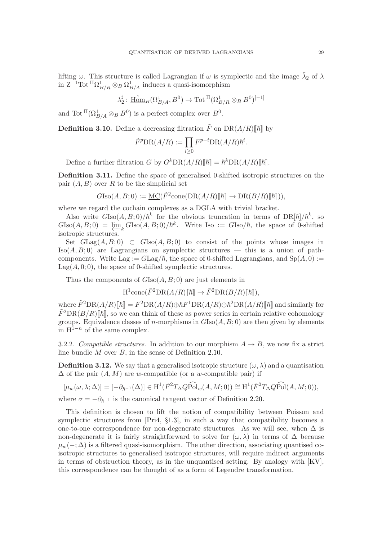lifting  $\omega$ . This structure is called Lagrangian if  $\omega$  is symplectic and the image  $\bar{\lambda}_2$  of  $\lambda$ in  $Z^{-1} \text{Tot} \, {}^{\Pi}\Omega^1_{B/R} \otimes_B \Omega^1_{B/A}$  induces a quasi-isomorphism

> $\lambda_2^\sharp$  $\mathbb{I}_2^{\sharp} \colon \underline{\mathrm{Hom}}_B(\Omega^1_{B/A}, B^0) \to \mathrm{Tot}^{\Pi}(\Omega^1_{B/R} \otimes_B B^0)^{[-1]}$

and Tot  ${}^{\Pi}(\Omega^1_{B/A} \otimes_B B^0)$  is a perfect complex over  $B^0$ .

**Definition 3.10.** Define a decreasing filtration  $\tilde{F}$  on  $DR(A/R)\llbracket \hbar \rrbracket$  by

$$
\tilde{F}^p \mathcal{D} \mathcal{R}(A/R) := \prod_{i \ge 0} F^{p-i} \mathcal{D} \mathcal{R}(A/R) \hbar^i.
$$

Define a further filtration G by  $G^k\text{DR}(A/R)\llbracket \hbar \rrbracket = \hbar^k\text{DR}(A/R)\llbracket \hbar \rrbracket$ .

<span id="page-28-0"></span>Definition 3.11. Define the space of generalised 0-shifted isotropic structures on the pair  $(A, B)$  over R to be the simplicial set

$$
G\mathrm{Iso}(A, B; 0) := \underline{\mathrm{MC}}(\tilde{F}^2 \mathrm{cone}(\mathrm{DR}(A/R)[\![\hbar]\!]) \to \mathrm{DR}(B/R)[\![\hbar]\!]))
$$

where we regard the cochain complexes as a DGLA with trivial bracket.

Also write  $G\text{Iso}(A, B; 0)/\hbar^k$  for the obvious truncation in terms of  $\text{DR}[\hbar]/\hbar^k$ , so  $G\text{Iso}(A, B; 0) = \varprojlim_k G\text{Iso}(A, B; 0)/\hbar^k$ . Write Iso :=  $G\text{Iso}/\hbar$ , the space of 0-shifted isotropic structures.

Set  $GLag(A, B; 0) \subset GIso(A, B; 0)$  to consist of the points whose images in  $Iso(A, B; 0)$  are Lagrangians on symplectic structures — this is a union of pathcomponents. Write Lag :=  $GLag/\hbar$ , the space of 0-shifted Lagrangians, and  $Sp(A, 0)$  :=  $\text{Lag}(A, 0; 0)$ , the space of 0-shifted symplectic structures.

Thus the components of  $G\text{Iso}(A, B; 0)$  are just elements in

 $\mathrm{H}^1\mathrm{cone}(\tilde{F}^2\mathrm{DR}(A/R)\llbracket \hbar \rrbracket) \rightarrow \tilde{F}^2\mathrm{DR}(B/R)\llbracket \hbar \rrbracket),$ 

where  $\tilde{F}^2\text{DR}(A/R)\llbracket \hbar \rrbracket = F^2\text{DR}(A/R) \oplus \hbar F^1\text{DR}(A/R) \oplus \hbar^2\text{DR}(A/R)\llbracket \hbar \rrbracket$  and similarly for  $\tilde{F}^2\text{DR}(B/R)\llbracket \hbar \rrbracket$ , so we can think of these as power series in certain relative cohomology groups. Equivalence classes of *n*-morphisms in  $G\text{Iso}(A, B; 0)$  are then given by elements in  $H^{1-n}$  of the same complex.

<span id="page-28-1"></span>3.2.2. Compatible structures. In addition to our morphism  $A \rightarrow B$ , we now fix a strict line bundle M over B, in the sense of Definition [2.10.](#page-17-1)

**Definition 3.12.** We say that a generalised isotropic structure  $(\omega, \lambda)$  and a quantisation  $\Delta$  of the pair  $(A, M)$  are w-compatible (or a w-compatible pair) if

$$
[\mu_w(\omega,\lambda;\Delta)] = [-\partial_{\hbar^{-1}}(\Delta)] \in \mathrm{H}^1(\tilde{F}^2 T_\Delta Q \widehat{\mathrm{Pol}}_w(A,M;0)) \cong \mathrm{H}^1(\tilde{F}^2 T_\Delta Q \widehat{\mathrm{Pol}}(A,M;0)),
$$

where  $\sigma = -\partial_{\hbar^{-1}}$  is the canonical tangent vector of Definition [2.20.](#page-22-1)

This definition is chosen to lift the notion of compatibility between Poisson and symplectic structures from [\[Pri4,](#page-59-0) §1.3], in such a way that compatibility becomes a one-to-one correspondence for non-degenerate structures. As we will see, when  $\Delta$  is non-degenerate it is fairly straightforward to solve for  $(\omega, \lambda)$  in terms of  $\Delta$  because  $\mu_w(-;\Delta)$  is a filtered quasi-isomorphism. The other direction, associating quantised coisotropic structures to generalised isotropic structures, will require indirect arguments in terms of obstruction theory, as in the unquantised setting. By analogy with [\[KV\]](#page-59-20), this correspondence can be thought of as a form of Legendre transformation.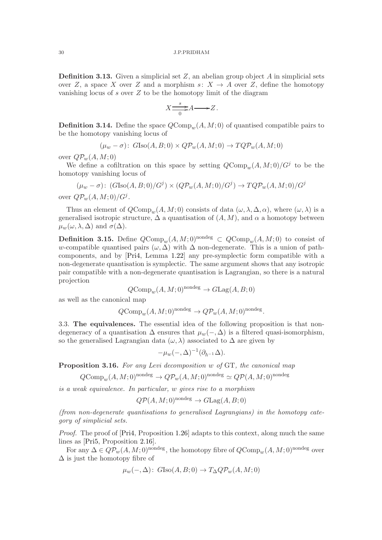**Definition 3.13.** Given a simplicial set  $Z$ , an abelian group object  $A$  in simplicial sets over Z, a space X over Z and a morphism  $s: X \to A$  over Z, define the homotopy vanishing locus of  $s$  over  $Z$  to be the homotopy limit of the diagram

$$
X \frac{\longrightarrow}{0} A \longrightarrow Z.
$$

<span id="page-29-2"></span>**Definition 3.14.** Define the space  $QComp_m(A, M; 0)$  of quantised compatible pairs to be the homotopy vanishing locus of

$$
(\mu_w - \sigma) \colon G\text{Iso}(A, B; 0) \times Q\mathcal{P}_w(A, M; 0) \to TQ\mathcal{P}_w(A, M; 0)
$$

over  $Q\mathcal{P}_w(A,M;0)$ 

We define a cofiltration on this space by setting  $QComp_w(A, M; 0)/G^j$  to be the homotopy vanishing locus of

$$
(\mu_w - \sigma) \colon (G\text{Iso}(A, B; 0)/G^j) \times (Q\mathcal{P}_w(A, M; 0)/G^j) \to TQ\mathcal{P}_w(A, M; 0)/G^j
$$

over  $Q\mathcal{P}_w(A,M;0)/G^j$ .

Thus an element of  $QComp_w(A, M; 0)$  consists of data  $(\omega, \lambda, \Delta, \alpha)$ , where  $(\omega, \lambda)$  is a generalised isotropic structure,  $\Delta$  a quantisation of  $(A, M)$ , and  $\alpha$  a homotopy between  $\mu_w(\omega, \lambda, \Delta)$  and  $\sigma(\Delta)$ .

**Definition 3.15.** Define  $QComp_w(A, M; 0)^{nondeg} \subset QComp_w(A, M; 0)$  to consist of w-compatible quantised pairs  $(\omega, \Delta)$  with  $\Delta$  non-degenerate. This is a union of pathcomponents, and by [\[Pri4,](#page-59-0) Lemma [1.22\]](#page-10-4) any pre-symplectic form compatible with a non-degenerate quantisation is symplectic. The same argument shows that any isotropic pair compatible with a non-degenerate quantisation is Lagrangian, so there is a natural projection

 $QComp_w(A, M; 0)^{nondeg} \to GLag(A, B; 0)$ 

as well as the canonical map

 $QComp_w(A, M; 0)^{\text{nondeg}} \to QP_w(A, M; 0)^{\text{nondeg}}.$ 

<span id="page-29-1"></span>3.3. The equivalences. The essential idea of the following proposition is that nondegeneracy of a quantisation  $\Delta$  ensures that  $\mu_w(-, \Delta)$  is a filtered quasi-isomorphism, so the generalised Lagrangian data  $(\omega, \lambda)$  associated to  $\Delta$  are given by

$$
-\mu_w(-,\Delta)^{-1}(\partial_{\hbar^{-1}}\Delta).
$$

<span id="page-29-0"></span>Proposition 3.16. For any Levi decomposition w of GT, the canonical map

 $QComp_w(A, M; 0)$ <sup>nondeg</sup>  $\rightarrow Q\mathcal{P}_w(A, M; 0)$ <sup>nondeg</sup>  $\simeq Q\mathcal{P}(A, M; 0)$ <sup>nondeg</sup>

is a weak equivalence. In particular, w gives rise to a morphism

 $OP(A, M: 0)$ <sup>nondeg</sup>  $\rightarrow$   $GLag(A, B: 0)$ 

(from non-degenerate quantisations to generalised Lagrangians) in the homotopy category of simplicial sets.

Proof. The proof of [\[Pri4,](#page-59-0) Proposition [1.26\]](#page-12-0) adapts to this context, along much the same lines as [\[Pri5,](#page-59-1) Proposition [2.16\]](#page-19-0).

For any  $\Delta \in Q\mathcal{P}_w(A,M;0)^{\text{nondeg}}$ , the homotopy fibre of  $Q\text{Comp}_w(A,M;0)^{\text{nondeg}}$  over  $\Delta$  is just the homotopy fibre of

$$
\mu_w(-,\Delta) \colon G\text{Iso}(A, B; 0) \to T_{\Delta}QP_w(A, M; 0)
$$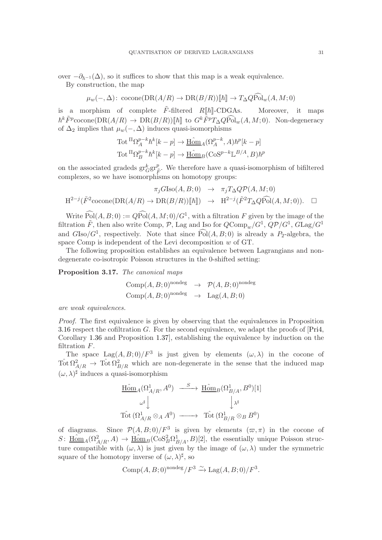over  $-\partial_{\hbar^{-1}}(\Delta)$ , so it suffices to show that this map is a weak equivalence.

By construction, the map

$$
\mu_w(-, \Delta): \text{ cocomp}(\text{DR}(A/R) \to \text{DR}(B/R))[[\hbar]] \to T_{\Delta}Q\hat{\text{Pol}}_w(A, M; 0)
$$

is a morphism of complete  $\tilde{F}$ -filtered  $R[\![\hbar]\!]$ -CDGAs. Moreover, it maps  $\hbar^k \tilde{F}^p$ cocone $(DR(A/R) \to DR(B/R))[[\hbar]]$  to  $G^k \tilde{F}^p T_{\Delta} Q \widehat{\text{Pol}}_w(A, M; 0)$ . Non-degeneracy of  $\Delta_2$  implies that  $\mu_w(-, \Delta)$  induces quasi-isomorphisms

$$
\text{Tot} \, {}^{\Pi}\Omega_A^{p-k} \hbar^k[k-p] \to \underline{\text{Hom}}_A(\Omega_A^{p-k}, A) \hbar^p[k-p]
$$
\n
$$
\text{Tot} \, {}^{\Pi}\Omega_B^{p-k} \hbar^k[k-p] \to \underline{\text{Hom}}_B(\text{Cos}^{p-k} \mathbb{L}^{B/A}, B) \hbar^p
$$

on the associated gradeds  $gr^k_G gr^p_{\hat{f}}$  $\tilde{F}$ . We therefore have a quasi-isomorphism of bifiltered complexes, so we have isomorphisms on homotopy groups:

$$
\pi_j G \text{Iso}(A, B; 0) \rightarrow \pi_j T_{\Delta} Q \mathcal{P}(A, M; 0)
$$
  

$$
H^{2-j}(\tilde{F}^2 \text{cocone}(\text{DR}(A/R) \to \text{DR}(B/R))[[\hbar]]) \rightarrow H^{2-j}(\tilde{F}^2 T_{\Delta} Q \widehat{\text{Pol}}(A, M; 0)). \square
$$

Write  $\text{Pol}(A, B; 0) := Q\text{Pol}(A, M; 0)/G^1$ , with a filtration F given by the image of the filtration  $\tilde{F}$ , then also write Comp,  $\mathcal{P}$ , Lag and Iso for  $QComp_w/G^1$ ,  $Q\mathcal{P}/G^1$ ,  $GLag/G^1$ and  $G\text{Iso}/G^1$ , respectively. Note that since  $\text{Pol}(A, B; 0)$  is already a P<sub>2</sub>-algebra, the space Comp is independent of the Levi decomposition w of GT.

The following proposition establishes an equivalence between Lagrangians and nondegenerate co-isotropic Poisson structures in the 0-shifted setting:

<span id="page-30-0"></span>Proposition 3.17. The canonical maps

Comp
$$
(A, B; 0)
$$
<sup>nondeg</sup>  $\rightarrow$   $\mathcal{P}(A, B; 0)$ <sup>nondeg</sup>  
Comp $(A, B; 0)$ <sup>nondeg</sup>  $\rightarrow$  Lag $(A, B; 0)$ 

are weak equivalences.

Proof. The first equivalence is given by observing that the equivalences in Proposition [3.16](#page-29-0) respect the cofiltration G. For the second equivalence, we adapt the proofs of [\[Pri4,](#page-59-0) Corollary 1.36 and Proposition 1.37], establishing the equivalence by induction on the filtration F.

The space  $\text{Lag}(A, B; 0)/F^3$  is just given by elements  $(\omega, \lambda)$  in the cocone of  $\text{Tot }\Omega^2_{A/R} \to \text{Tot }\Omega^2_{B/R}$  which are non-degenerate in the sense that the induced map  $(\omega, \lambda)$ <sup> $\sharp$ </sup> induces a quasi-isomorphism

$$
\begin{array}{ccc}\n\underbrace{\operatorname{Hom}\nolimits}_{A}(\Omega_{A/R}^{1}, A^{0}) & \xrightarrow{\quad S\quad} \underline{\operatorname{Hom}\nolimits}_{B}(\Omega_{B/A}^{1}, B^{0})[1] \\
& \omega^{\sharp}\downarrow & & \downarrow \lambda^{\sharp} \\
\operatorname{Tot}\nolimits(\Omega_{A/R}^{1} \otimes_{A} A^{0}) & \xrightarrow{\quad \ \ \, \operatorname{Tot}\nolimits(\Omega_{B/R}^{1} \otimes_{B} B^{0})\n\end{array}
$$

of diagrams. Since  $\mathcal{P}(A, B; 0)/F^3$  is given by elements  $(\varpi, \pi)$  in the cocone of  $S: \underline{\text{Hom}}_A(\Omega^2_{A/R}, A) \to \underline{\text{Hom}}_B(\text{Cos}_B^2 \Omega^1_{B/A}, B) [2]$ , the essentially unique Poisson structure compatible with  $(\omega, \lambda)$  is just given by the image of  $(\omega, \lambda)$  under the symmetric square of the homotopy inverse of  $(\omega, \lambda)^\sharp$ , so

$$
Comp(A, B; 0)^{\text{nondeg}}/F^3 \xrightarrow{\sim} \text{Lag}(A, B; 0)/F^3.
$$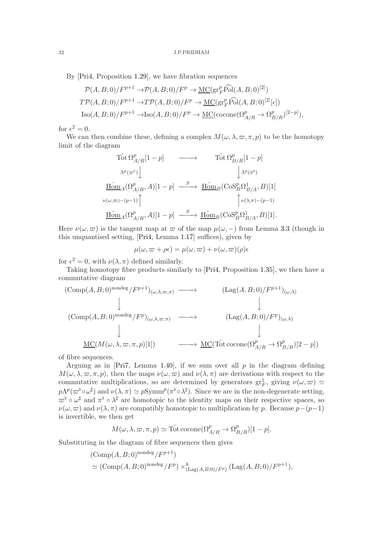By [\[Pri4,](#page-59-0) Proposition [1.29\]](#page-13-2), we have fibration sequences

$$
\mathcal{P}(A, B; 0)/F^{p+1} \to \mathcal{P}(A, B; 0)/F^p \to \underline{\mathrm{MC}}(\mathrm{gr}_F^p \widehat{\mathrm{Pol}}(A, B; 0)^{[2]})
$$
  

$$
T\mathcal{P}(A, B; 0)/F^{p+1} \to T\mathcal{P}(A, B; 0)/F^p \to \underline{\mathrm{MC}}(\mathrm{gr}_F^p \widehat{\mathrm{Pol}}(A, B; 0)^{[2]}[\epsilon])
$$
  

$$
\mathrm{Iso}(A, B; 0)/F^{p+1} \to \mathrm{Iso}(A, B; 0)/F^p \to \underline{\mathrm{MC}}(\mathrm{cocone}(\Omega_{A/R}^p \to \Omega_{B/R}^p)^{[2-p]}),
$$

for  $\epsilon^2 = 0$ .

We can then combine these, defining a complex  $M(\omega, \lambda, \varpi, \pi, p)$  to be the homotopy limit of the diagram

$$
\begin{array}{ccc}\n\text{Tot } \Omega^p_{A/R}[1-p] & \longrightarrow & \text{T\^{ot} of } \Omega^p_{B/R}[1-p] \\
\text{A}^p(\varpi^\flat) & & \downarrow_{\Lambda^p(\pi^\flat)} \\
\text{H\^{om}}_A(\Omega^p_{A/R},A)[1-p] & \xrightarrow{S} & \text{H\^{om}}_B(\text{CoS}^p_B\Omega^1_{B/A},B)[1] \\
\text{A}^p(\varpi^\flat) & & \downarrow_{\Lambda^p(\pi^\flat)} \\
\text{H\^{om}}_A(\Omega^p_{A/R},A)[1-p] & \xrightarrow{S} & \text{H\^{om}}_B(\text{CoS}^p_B\Omega^1_{B/A},B)[1].\n\end{array}
$$

Here  $\nu(\omega, \overline{\omega})$  is the tangent map at  $\overline{\omega}$  of the map  $\mu(\omega, -)$  from Lemma [3.3](#page-25-2) (though in this unquantised setting, [\[Pri4,](#page-59-0) Lemma [1.17\]](#page-9-1) suffices), given by

$$
\mu(\omega, \varpi + \rho \epsilon) = \mu(\omega, \varpi) + \nu(\omega, \varpi)(\rho) \epsilon
$$

for  $\epsilon^2 = 0$ , with  $\nu(\lambda, \pi)$  defined similarly.

Taking homotopy fibre products similarly to [\[Pri4,](#page-59-0) Proposition 1.35], we then have a commutative diagram

$$
\begin{array}{ccc}\n(\text{Comp}(A, B; 0)^{\text{nondeg}}/F^{p+1})_{(\omega, \lambda, \varpi, \pi)} & \longrightarrow & (\text{Lag}(A, B; 0)/F^{p+1})_{(\omega, \lambda)} \\
\downarrow & & \downarrow \\
(\text{Comp}(A, B; 0)^{\text{nondeg}}/F^{p})_{(\omega, \lambda, \varpi, \pi)} & \longrightarrow & (\text{Lag}(A, B; 0)/F^{p})_{(\omega, \lambda)} \\
\downarrow & & \downarrow \\
\underline{\text{MC}}(M(\omega, \lambda, \varpi, \pi, p)[1]) & \longrightarrow & \underline{\text{MC}}(\hat{\text{Tot}} \hat{\text{cocone}}(\Omega^{p}_{A/R} \to \Omega^{p}_{B/R})[2 - p])\n\end{array}
$$

of fibre sequences.

Arguing as in [\[Pri7,](#page-59-2) Lemma 1.40], if we sum over all  $p$  in the diagram defining  $M(\omega, \lambda, \overline{\omega}, \pi, p)$ , then the maps  $\nu(\omega, \overline{\omega})$  and  $\nu(\lambda, \pi)$  are derivations with respect to the commutative multiplications, so are determined by generators  $gr_F^1$ , giving  $\nu(\omega, \omega) \simeq$  $p\Lambda^p(\varpi^{\flat} \circ \omega^{\sharp})$  and  $\nu(\lambda, \pi) \simeq p\text{Symm}^p(\pi^{\flat} \circ \lambda^{\sharp})$ . Since we are in the non-degenerate setting,  $\varpi^{\flat} \circ \omega^{\sharp}$  and  $\pi^{\flat} \circ \lambda^{\sharp}$  are homotopic to the identity maps on their respective spaces, so  $\nu(\omega, \overline{\omega})$  and  $\nu(\lambda, \pi)$  are compatibly homotopic to multiplication by p. Because  $p-(p-1)$ is invertible, we then get

$$
M(\omega, \lambda, \varpi, \pi, p) \simeq \hat{\mathrm{Tot}} \operatorname{cocone}(\Omega_{A/R}^p \to \Omega_{B/R}^p)[1-p].
$$

Substituting in the diagram of fibre sequences then gives

$$
(\text{Comp}(A, B; 0)^{\text{nondeg}} / F^{p+1})
$$
  
 
$$
\simeq (\text{Comp}(A, B; 0)^{\text{nondeg}} / F^p) \times_{(\text{Lag}(A, B; 0) / F^p)}^h (\text{Lag}(A, B; 0) / F^{p+1}),
$$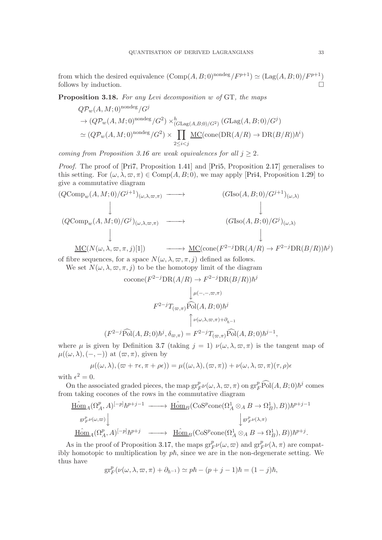from which the desired equivalence  $(\text{Comp}(A, B; 0)^{\text{nondeg}}/F^{p+1}) \simeq (\text{Lag}(A, B; 0)/F^{p+1})$ follows by induction.

<span id="page-32-0"></span>Proposition 3.18. For any Levi decomposition w of GT, the maps

$$
Q\mathcal{P}_w(A, M; 0)^{\text{nondeg}}/G^j
$$
  
\n
$$
\rightarrow (Q\mathcal{P}_w(A, M; 0)^{\text{nondeg}}/G^2) \times_{(G\text{Lag}(A, B; 0)/G^2)}^h (G\text{Lag}(A, B; 0)/G^j)
$$
  
\n
$$
\simeq (Q\mathcal{P}_w(A, M; 0)^{\text{nondeg}}/G^2) \times \prod_{2 \leq i < j} \underline{\text{MC}}(\text{cone}(\text{DR}(A/R) \rightarrow \text{DR}(B/R))\hbar^i)
$$

coming from Proposition [3.16](#page-29-0) are weak equivalences for all  $j \geq 2$ .

Proof. The proof of [\[Pri7,](#page-59-2) Proposition 1.41] and [\[Pri5,](#page-59-1) Proposition [2.17\]](#page-20-0) generalises to this setting. For  $(\omega, \lambda, \varpi, \pi) \in \text{Comp}(A, B; 0)$ , we may apply [\[Pri4,](#page-59-0) Proposition [1.29\]](#page-13-2) to give a commutative diagram

$$
(QComp_w(A, M; 0)/G^{j+1})_{(\omega, \lambda, \varpi, \pi)} \longrightarrow (GIso(A, B; 0)/G^{j+1})_{(\omega, \lambda)}
$$
  
\n
$$
\downarrow \qquad (QComp_w(A, M; 0)/G^j)_{(\omega, \lambda, \varpi, \pi)} \longrightarrow (GIso(A, B; 0)/G^j)_{(\omega, \lambda)}
$$
  
\n
$$
\downarrow \qquad (GIso(A, B; 0)/G^j)_{(\omega, \lambda)}
$$
  
\n
$$
\downarrow \qquad \qquad \downarrow
$$
  
\n
$$
\underline{\text{MC}}(N(\omega, \lambda, \varpi, \pi, j)[1]) \longrightarrow \underline{\text{MC}}(\text{cone}(F^{2-j} \text{DR}(A/R) \to F^{2-j} \text{DR}(B/R))\hbar^j)
$$

of fibre sequences, for a space  $N(\omega, \lambda, \omega, \pi, j)$  defined as follows.

We set 
$$
N(\omega, \lambda, \varpi, \pi, j)
$$
 to be the homotopy limit of the diagram  
\n
$$
\operatorname{cocone}(F^{2-j} \operatorname{DR}(A/R) \to F^{2-j} \operatorname{DR}(B/R))\hbar^j
$$
\n
$$
\downarrow^{\mu(-,-,\varpi,\pi)}
$$
\n
$$
F^{2-j}T_{(\varpi,\pi)}\widehat{\operatorname{Pol}}(A,B;0)\hbar^j
$$
\n
$$
\uparrow^{\nu(\omega,\lambda,\varpi,\pi)+\partial_{h-1}}
$$
\n
$$
(F^{2-j}\widehat{\operatorname{Pol}}(A,B;0)\hbar^j,\delta_{\varpi,\pi}) = F^{2-j}T_{(\varpi,\pi)}\widehat{\operatorname{Pol}}(A,B;0)\hbar^{j-1},
$$

where  $\mu$  is given by Definition [3.7](#page-26-0) (taking  $j = 1$ )  $\nu(\omega, \lambda, \varpi, \pi)$  is the tangent map of  $\mu((\omega,\lambda),(-,-))$  at  $(\varpi,\pi)$ , given by

$$
\mu((\omega,\lambda),(\varpi+\tau\epsilon,\pi+\rho\epsilon))=\mu((\omega,\lambda),(\varpi,\pi))+\nu(\omega,\lambda,\varpi,\pi)(\tau,\rho)\epsilon
$$

with  $\epsilon^2 = 0$ .

On the associated graded pieces, the map  $gr_F^p\nu(\omega, \lambda, \omega, \pi)$  on  $gr_F^p\widehat{Pol}(A, B; 0)\hbar^j$  comes from taking cocones of the rows in the commutative diagram

$$
\underline{\underline{\mathrm{Hom}}}_A(\Omega^p_A, A)^{[-p]} \hbar^{p+j-1} \xrightarrow{\hspace*{1.5cm}} \underline{\underline{\mathrm{Hom}}}_B(\mathrm{CoS}^p \mathrm{cone}(\Omega^1_A \otimes_A B \to \Omega^1_B), B)) \hbar^{p+j-1} \n\downarrow \underline{\underline{\mathrm{gr}}^p_{F}\nu(\omega, \pi)} \qquad \qquad \downarrow \underline{\underline{\mathrm{gr}}^p_{F}\nu(\lambda, \pi)} \n\underline{\underline{\mathrm{Hom}}}_A(\Omega^p_A, A)^{[-p]} \hbar^{p+j} \xrightarrow{\hspace*{1.5cm}} \underline{\underline{\mathrm{Hom}}}_B(\mathrm{CoS}^p \mathrm{cone}(\Omega^1_A \otimes_A B \to \Omega^1_B), B)) \hbar^{p+j}.
$$

As in the proof of Proposition [3.17,](#page-30-0) the maps  $gr_F^p\nu(\omega,\varpi)$  and  $gr_F^p\nu(\lambda,\pi)$  are compatibly homotopic to multiplication by  $p\hbar$ , since we are in the non-degenerate setting. We thus have

$$
\operatorname{gr}^p_F(\nu(\omega,\lambda,\varpi,\pi)+\partial_{\hbar^{-1}})\simeq p\hbar-(p+j-1)\hbar=(1-j)\hbar,
$$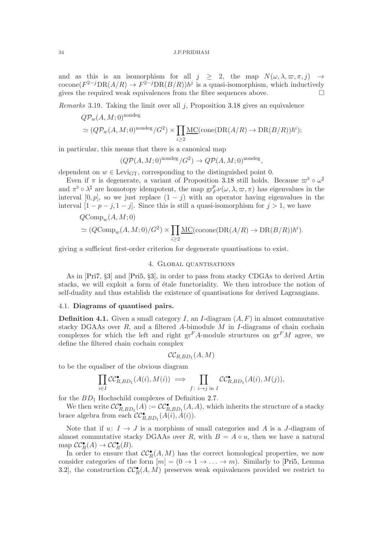and as this is an isomorphism for all  $j \geq 2$ , the map  $N(\omega, \lambda, \omega, \pi, j) \rightarrow$ cocone $(F^{2-j}DR(A/R) \to F^{2-j}DR(B/R))\hbar^j$  is a quasi-isomorphism, which inductively gives the required weak equivalences from the fibre sequences above.  $\Box$ 

*Remarks* 3.19. Taking the limit over all  $i$ , Proposition [3.18](#page-32-0) gives an equivalence

$$
Q\mathcal{P}_w(A, M; 0)^{\text{nondeg}}
$$
  
\n $\simeq (Q\mathcal{P}_w(A, M; 0)^{\text{nondeg}}/G^2) \times \prod_{i \geq 2} \underline{\mathrm{MC}}(\text{cone}(\mathrm{DR}(A/R) \to \mathrm{DR}(B/R))\hbar^i);$ 

in particular, this means that there is a canonical map

$$
(Q\mathcal{P}(A,M;0)^{\text{nondeg}}/G^2) \to Q\mathcal{P}(A,M;0)^{\text{nondeg}},
$$

dependent on  $w \in \text{Levi}_{GT}$ , corresponding to the distinguished point 0.

Even if  $\pi$  is degenerate, a variant of Proposition [3.18](#page-32-0) still holds. Because  $\varpi^{\flat} \circ \omega^{\sharp}$ and  $\pi^{\flat} \circ \lambda^{\sharp}$  are homotopy idempotent, the map  $gr_F^p \nu(\omega, \lambda, \omega, \pi)$  has eigenvalues in the interval [0, p], so we just replace  $(1 - j)$  with an operator having eigenvalues in the interval  $[1 - p - j, 1 - j]$ . Since this is still a quasi-isomorphism for  $j > 1$ , we have

$$
QComp_w(A, M; 0)
$$
  
\n
$$
\simeq (QComp_w(A, M; 0)/G^2) \times \prod_{i \geq 2} \underline{MC}(\text{cocone}(\text{DR}(A/R) \to \text{DR}(B/R))\hbar^i).
$$

<span id="page-33-0"></span>giving a sufficient first-order criterion for degenerate quantisations to exist.

# 4. Global quantisations

As in [\[Pri7,](#page-59-2) §[3\]](#page-24-0) and [\[Pri5,](#page-59-1) §[3\]](#page-24-0), in order to pass from stacky CDGAs to derived Artin stacks, we will exploit a form of étale functoriality. We then introduce the notion of self-duality and thus establish the existence of quantisations for derived Lagrangians.

# <span id="page-33-1"></span>4.1. Diagrams of quantised pairs.

<span id="page-33-2"></span>**Definition 4.1.** Given a small category I, an I-diagram  $(A, F)$  in almost commutative stacky DGAAs over  $R$ , and a filtered A-bimodule  $M$  in I-diagrams of chain cochain complexes for which the left and right  $gr<sup>F</sup>A$ -module structures on  $gr<sup>F</sup>M$  agree, we define the filtered chain cochain complex

$$
\mathcal{CC}_{R,BD_1}(A,M)
$$

to be the equaliser of the obvious diagram

$$
\prod_{i \in I} \mathcal{CC}_{R,BD_1}^{\bullet}(A(i), M(i)) \implies \prod_{f \colon i \to j \text{ in } I} \mathcal{CC}_{R,BD_1}^{\bullet}(A(i), M(j)),
$$

for the  $BD_1$  Hochschild complexes of Definition [2.7.](#page-16-1)

We then write  $\mathcal{CC}_{R,BD_1}^{\bullet}(A) := \mathcal{CC}_{R,BD_1}^{\bullet}(A, A)$ , which inherits the structure of a stacky brace algebra from each  $\mathcal{CC}_{R,BD_1}^{\bullet}(A(i),\overline{A}(i)).$ 

Note that if  $u: I \to J$  is a morphism of small categories and A is a J-diagram of almost commutative stacky DGAAs over R, with  $B = A \circ u$ , then we have a natural map  $\mathcal{CC}_{R}^{\bullet}(A) \to \mathcal{CC}_{R}^{\bullet}(B)$ .

In order to ensure that  $\mathcal{CC}_{R}^{\bullet}(A,M)$  has the correct homological properties, we now consider categories of the form  $[m] = (0 \to 1 \to \dots \to m)$ . Similarly to [\[Pri5,](#page-59-1) Lemma 3.2, the construction  $\mathcal{CC}_{R}^{\bullet}(A,M)$  preserves weak equivalences provided we restrict to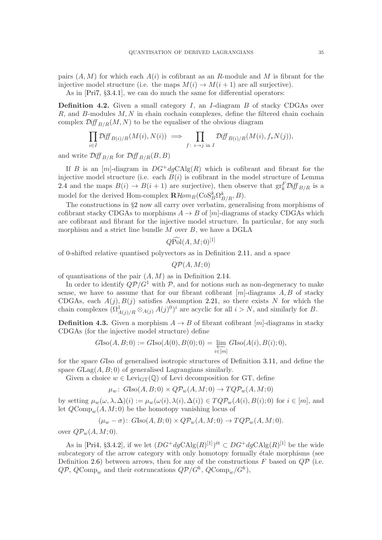pairs  $(A, M)$  for which each  $A(i)$  is cofibrant as an R-module and M is fibrant for the injective model structure (i.e. the maps  $M(i) \to M(i+1)$  are all surjective).

As in [\[Pri7,](#page-59-2) §3.4.1], we can do much the same for differential operators:

**Definition 4.2.** Given a small category I, an I-diagram B of stacky CDGAs over  $R$ , and  $B$ -modules  $M, N$  in chain cochain complexes, define the filtered chain cochain complex  $\mathcal{D}iff_{B/R}(M, N)$  to be the equaliser of the obvious diagram

$$
\prod_{i \in I} \mathcal{D} \text{iff}_{B(i)/R}(M(i), N(i)) \implies \prod_{f: i \to j \text{ in } I} \mathcal{D} \text{iff}_{B(i)/R}(M(i), f_*N(j)),
$$

and write  $\mathcal{D}iff_{B/R}$  for  $\mathcal{Diff}_{B/R}(B, B)$ 

If B is an  $[m]$ -diagram in  $DG^+dgCAlg(R)$  which is cofibrant and fibrant for the injective model structure (i.e. each  $B(i)$  is cofibrant in the model structure of Lemma [2.4](#page-15-0) and the maps  $B(i) \to B(i+1)$  are surjective), then observe that  $gr_k^F \mathcal{D} if_{B/R}$  is a model for the derived Hom-complex  $\mathbf{R}\mathcal{H}\hspace{-1pt}\textit{om}_B(\text{CoS}_B^k\Omega_{B/R}^k,B).$ 

The constructions in §[2](#page-14-0) now all carry over verbatim, generalising from morphisms of cofibrant stacky CDGAs to morphisms  $A \rightarrow B$  of [m]-diagrams of stacky CDGAs which are cofibrant and fibrant for the injective model structure. In particular, for any such morphism and a strict line bundle  $M$  over  $B$ , we have a DGLA

 $Q\widehat{\rm Pol}(A,M;0)^{[1]}$ 

of 0-shifted relative quantised polyvectors as in Definition [2.11,](#page-17-2) and a space

 $QP(A, M; 0)$ 

of quantisations of the pair  $(A, M)$  as in Definition [2.14.](#page-18-0)

In order to identify  $Q\mathcal{P}/G^1$  with  $\mathcal{P}$ , and for notions such as non-degeneracy to make sense, we have to assume that for our fibrant cofibrant  $[m]$ -diagrams  $A, B$  of stacky CDGAs, each  $A(j), B(j)$  satisfies Assumption 2.21, so there exists N for which the chain complexes  $(\Omega^1_{A(j)/R} \otimes_{A(j)} A(j)^0)^i$  are acyclic for all  $i > N$ , and similarly for B.

**Definition 4.3.** Given a morphism  $A \rightarrow B$  of fibrant cofibrant  $[m]$ -diagrams in stacky CDGAs (for the injective model structure) define

$$
G\text{Iso}(A, B; 0) := G\text{Iso}(A(0), B(0); 0) = \varprojlim_{i \in [m]} G\text{Iso}(A(i), B(i); 0),
$$

for the space GIso of generalised isotropic structures of Definition [3.11,](#page-28-0) and define the space  $GLag(A, B; 0)$  of generalised Lagrangians similarly.

Given a choice  $w \in \text{Levi}_{GT}(\mathbb{Q})$  of Levi decomposition for GT, define

$$
\mu_w \colon G\mathbf{Iso}(A, B; 0) \times Q\mathcal{P}_w(A, M; 0) \to TQ\mathcal{P}_w(A, M; 0)
$$

by setting  $\mu_w(\omega, \lambda, \Delta)(i) := \mu_w(\omega(i), \lambda(i), \Delta(i)) \in TQP_w(A(i), B(i); 0)$  for  $i \in [m]$ , and let  $QComp_w(A, M; 0)$  be the homotopy vanishing locus of

$$
(\mu_w - \sigma) \colon G\mathrm{Iso}(A, B; 0) \times Q\mathcal{P}_w(A, M; 0) \to TQ\mathcal{P}_w(A, M; 0).
$$

over  $QP_w(A, M; 0)$ .

As in [\[Pri4,](#page-59-0) §3.4.2], if we let  $(DG^+dgCAlg(R)^{[1]})^{\text{\'et}} \subset DG^+dgCAlg(R)^{[1]}$  be the wide subcategory of the arrow category with only homotopy formally étale morphisms (see Definition [2.6\)](#page-15-2) between arrows, then for any of the constructions  $F$  based on  $Q\mathcal{P}$  (i.e.  $Q\mathcal{P}, Q\text{Comp}_w$  and their cotruncations  $Q\mathcal{P}/G^k, Q\text{Comp}_w/G^k$ ,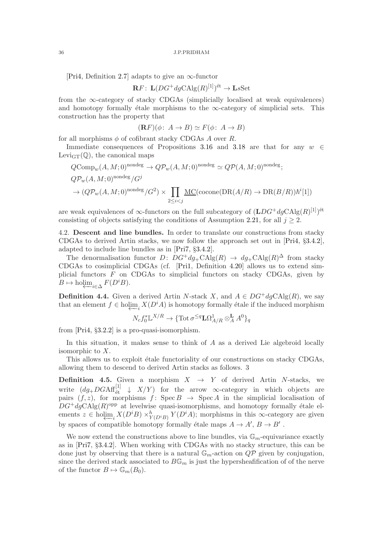[\[Pri4,](#page-59-0) Definition [2.7\]](#page-16-1) adapts to give an  $\infty$ -functor

$$
\mathbf{R}F\colon\operatorname{L}(DG^+dg\mathrm{CAlg}(R)^{[1]})^{\mathrm{\acute{e}t}}\to\operatorname{LsSet}
$$

from the ∞-category of stacky CDGAs (simplicially localised at weak equivalences) and homotopy formally étale morphisms to the  $\infty$ -category of simplicial sets. This construction has the property that

$$
(\mathbf{R}F)(\phi: A \to B) \simeq F(\phi: A \to B)
$$

for all morphisms  $\phi$  of cofibrant stacky CDGAs A over R.

Immediate consequences of Propositions [3.16](#page-29-0) and [3.18](#page-32-0) are that for any  $w \in$ Levi $_{\text{GT}}(\mathbb{Q})$ , the canonical maps

$$
QComp_w(A, M; 0)^{\text{nondeg}} \to Q\mathcal{P}_w(A, M; 0)^{\text{nondeg}} \simeq Q\mathcal{P}(A, M; 0)^{\text{nondeg}};
$$
  

$$
Q\mathcal{P}_w(A, M; 0)^{\text{nondeg}}/G^j
$$
  

$$
\to (Q\mathcal{P}_w(A, M; 0)^{\text{nondeg}}/G^2) \times \prod_{2 \le i < j} \underline{\mathrm{MC}}(\mathrm{cocone}(\mathrm{DR}(A/R) \to \mathrm{DR}(B/R))\hbar^i[1])
$$

are weak equivalences of  $\infty$ -functors on the full subcategory of  $(\mathbf{L}DG^+dg\mathbf{CAlg}(R)^{[1]})^{\text{\'et}}$ consisting of objects satisfying the conditions of Assumption 2.21, for all  $j \geq 2$ .

<span id="page-35-0"></span>4.2. Descent and line bundles. In order to translate our constructions from stacky CDGAs to derived Artin stacks, we now follow the approach set out in [\[Pri4,](#page-59-0) §3.4.2], adapted to include line bundles as in [\[Pri7,](#page-59-2) §3.4.2].

The denormalisation functor  $D: DG^+ dg_+CAlg(R) \to dg_+CAlg(R)^{\Delta}$  from stacky CDGAs to cosimplicial CDGAs (cf. [\[Pri1,](#page-59-8) Definition [4.20\]](#page-40-0) allows us to extend simplicial functors  $F$  on CDGAs to simplicial functors on stacky CDGAs, given by  $B \mapsto \operatorname{holim}_{i \in \Delta} F(D^i B).$ 

<span id="page-35-2"></span>**Definition 4.4.** Given a derived Artin N-stack X, and  $A \in DG^+dgCAlg(R)$ , we say that an element  $f \in \text{holim}_{i} X(D^i A)$  is homotopy formally étale if the induced morphism

$$
N_cf_0^* \mathbb{L}^{X/R} \to \{\text{Tot}\,\sigma^{\leq q}\mathbf{L}\Omega^1_{A/R}\otimes^{\mathbf{L}}_A A^0\}_q
$$

from [\[Pri4,](#page-59-0) §[3.2.2\]](#page-28-1) is a pro-quasi-isomorphism.

In this situation, it makes sense to think of A as a derived Lie algebroid locally isomorphic to X.

This allows us to exploit étale functoriality of our constructions on stacky CDGAs, allowing them to descend to derived Artin stacks as follows. 3

<span id="page-35-1"></span>**Definition 4.5.** Given a morphism  $X \rightarrow Y$  of derived Artin N-stacks, we write  $(dg_{+}DGAf_{\text{\'et}}^{[1]} \downarrow X/Y)$  for the arrow  $\infty$ -category in which objects are pairs  $(f, z)$ , for morphisms  $f: \text{Spec } B \to \text{Spec } A$  in the simplicial localisation of  $DG^+dgCAlg(R)^{\text{opp}}$  at levelwise quasi-isomorphisms, and homotopy formally étale elements  $z \in \text{holim}_{i} X(D^{i}B) \times_{Y(D^{i}B)}^{h} Y(D^{i}A)$ ; morphisms in this ∞-category are given by spaces of compatible homotopy formally étale maps  $A \to A', B \to B'$ .

We now extend the constructions above to line bundles, via  $\mathbb{G}_m$ -equivariance exactly as in [\[Pri7,](#page-59-2) §3.4.2]. When working with CDGAs with no stacky structure, this can be done just by observing that there is a natural  $\mathbb{G}_m$ -action on  $Q\mathcal{P}$  given by conjugation, since the derived stack associated to  $B\mathbb{G}_m$  is just the hypersheafification of of the nerve of the functor  $B \mapsto \mathbb{G}_m(B_0)$ .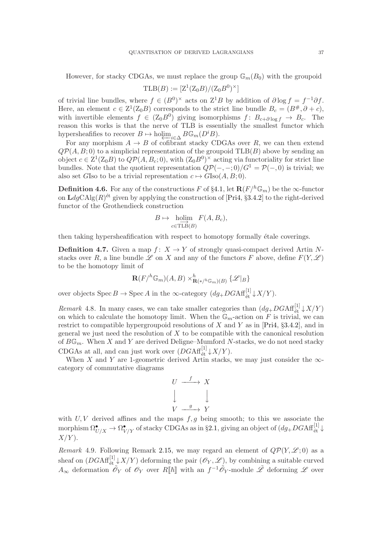However, for stacky CDGAs, we must replace the group  $\mathbb{G}_m(B_0)$  with the groupoid

$$
\mathrm{TLB}(B) := [Z^1(Z_0B)/(Z_0B^0)^{\times}]
$$

of trivial line bundles, where  $f \in (B^0)^{\times}$  acts on  $Z^1B$  by addition of  $\partial \log f = f^{-1}\partial f$ . Here, an element  $c \in \mathbb{Z}^1(\mathbb{Z}_0 B)$  corresponds to the strict line bundle  $B_c = (B^{\#}, \partial + c)$ , with invertible elements  $f \in (Z_0 B^0)$  giving isomorphisms  $f: B_{c+\partial \log f} \to B_c$ . The reason this works is that the nerve of TLB is essentially the smallest functor which hypersheafifies to recover  $B \mapsto \text{holim}_{i \in \Delta} B \mathbb{G}_m(D^i B)$ .

For any morphism  $A \to B$  of cofibrant stacky CDGAs over R, we can then extend  $QP(A, B; 0)$  to a simplicial representation of the groupoid  $TLB(B)$  above by sending an object  $c \in \mathbb{Z}^1(\mathbb{Z}_0 B)$  to  $\mathbb{Q} \mathcal{P}(A, B_c; 0)$ , with  $(\mathbb{Z}_0 B^0)^{\times}$  acting via functoriality for strict line bundles. Note that the quotient representation  $Q\mathcal{P}(-,-;0)/G^1 = \mathcal{P}(-,0)$  is trivial; we also set GIso to be a trivial representation  $c \mapsto G\text{Iso}(A, B; 0)$ .

<span id="page-36-2"></span>**Definition 4.6.** For any of the constructions F of §[4.1,](#page-33-1) let  $\mathbb{R}(F/h\mathbb{G}_m)$  be the  $\infty$ -functor on  $\text{LdgCAlg}(R)^{\text{\'et}}$  given by applying the construction of [\[Pri4,](#page-59-0) §3.4.2] to the right-derived functor of the Grothendieck construction

$$
B \mapsto \underset{c \in TLB(B)}{\text{holim}} F(A, B_c),
$$

then taking hypersheafification with respect to homotopy formally étale coverings.

<span id="page-36-0"></span>**Definition 4.7.** Given a map  $f: X \to Y$  of strongly quasi-compact derived Artin Nstacks over R, a line bundle  $\mathscr L$  on X and any of the functors F above, define  $F(Y, \mathscr L)$ to be the homotopy limit of

$$
\mathbf{R}(F/\mathbf{b}_{m})(A,B) \times^h_{\mathbf{R}(*/\mathbf{b}_{m})(B)} \{\mathscr{L}|_{B}\}
$$

over objects  $\text{Spec } B \to \text{Spec } A$  in the  $\infty$ -category  $(dg_+DGAff_{\text{\'et}}^{[1]} \downarrow X/Y)$ .

<span id="page-36-3"></span>Remark 4.8. In many cases, we can take smaller categories than  $(dg_+DGAf_{\text{\'et}}^{[1]}\downarrow X/Y)$ on which to calculate the homotopy limit. When the  $\mathbb{G}_m$ -action on F is trivial, we can restrict to compatible hypergroupoid resolutions of X and Y as in [\[Pri4,](#page-59-0) §3.4.2], and in general we just need the resolution of  $X$  to be compatible with the canonical resolution of  $B\mathbb{G}_m$ . When X and Y are derived Deligne–Mumford N-stacks, we do not need stacky CDGAs at all, and can just work over  $(DGAff_{\acute{e}t}^{[1]}\downarrow X/Y)$ .

When X and Y are 1-geometric derived Artin stacks, we may just consider the  $\infty$ category of commutative diagrams

$$
U \xrightarrow{f} X
$$
  

$$
\downarrow \qquad \qquad \downarrow
$$
  

$$
V \xrightarrow{g} Y
$$

with  $U, V$  derived affines and the maps  $f, q$  being smooth; to this we associate the morphism  $\Omega^{\bullet}_{U/X} \to \Omega^{\bullet}_{V/Y}$  of stacky CDGAs as in §[2.1,](#page-14-1) giving an object of  $(dg_+DGA\mathbf{f}_{\mathrm{\acute{e}t}}^{[1]}\downarrow)$  $X/Y$ ).

<span id="page-36-1"></span>Remark 4.9. Following Remark [2.15,](#page-18-1) we may regard an element of  $Q\mathcal{P}(Y,\mathcal{L};0)$  as a sheaf on  $(DGAff_{\text{\'et}}^{[1]}\downarrow X/Y)$  deforming the pair  $(\mathscr{O}_Y,\mathscr{L})$ , by combining a suitable curved  $A_{\infty}$  deformation  $\tilde{\mathscr{O}}_Y$  of  $\mathscr{O}_Y$  over  $R[\![\hbar]\!]$  with an  $f^{-1}\tilde{\mathscr{O}}_Y$ -module  $\tilde{\mathscr{L}}$  deforming  $\mathscr{L}$  over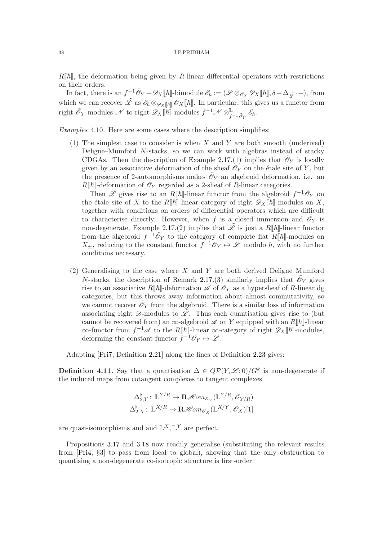$R[\![\hbar]\!]$ , the deformation being given by R-linear differential operators with restrictions on their orders.

In fact, there is an  $f^{-1}\tilde{\mathscr{O}}_Y - \mathscr{D}_X[\![\hbar]\!]$ -bimodule  $\mathscr{E}_{\hbar} := (\mathscr{L} \otimes_{\mathscr{O}_X} \mathscr{D}_X[\![\hbar]\!], \delta + \Delta_{\tilde{\mathscr{L}}} \cdot -),$  from which we can recover  $\tilde{\mathscr{L}}$  as  $\mathscr{E}_{\hbar} \otimes_{\mathscr{D}_X[\hbar]} \mathscr{O}_X[\hbar].$  In particular, this gives us a functor from right  $\tilde{\mathscr{O}}_Y$ -modules  $\mathscr{N}$  to right  $\mathscr{D}_X[\![\hbar]\!]$ -modules  $f^{-1}\mathscr{N}\otimes^{\mathbf{L}}_{f^{-1}\tilde{\mathscr{O}}_Y}\mathscr{E}_{\hbar}.$ 

<span id="page-37-1"></span><span id="page-37-0"></span>Examples 4.10. Here are some cases where the description simplifies:

(1) The simplest case to consider is when  $X$  and  $Y$  are both smooth (underived) Deligne–Mumford N-stacks, so we can work with algebras instead of stacky CDGAs. Then the description of Example [2.17.](#page-20-0)[\(1\)](#page-20-1) implies that  $\tilde{\mathcal{O}}_Y$  is locally given by an associative deformation of the sheaf  $\mathscr{O}_Y$  on the étale site of Y, but the presence of 2-automorphisms makes  $\tilde{\mathcal{O}}_Y$  an algebroid deformation, i.e. an  $R[\![\hbar]\!]$ -deformation of  $\mathscr{O}_Y$  regarded as a 2-sheaf of R-linear categories.

Then  $\tilde{\mathscr{L}}$  gives rise to an R[[h]-linear functor from the algebroid  $f^{-1}\tilde{\mathscr{O}}_Y$  on the étale site of X to the R||h||-linear category of right  $\mathscr{D}_X\llbracket \hbar \rrbracket$ -modules on X, together with conditions on orders of differential operators which are difficult to characterise directly. However, when f is a closed immersion and  $\tilde{\mathcal{O}}_Y$  is non-degenerate, Example [2.17.](#page-20-0)[\(2\)](#page-20-2) implies that  $\tilde{\mathscr{L}}$  is just a  $R[\![\hbar]\!]$ -linear functor from the algebroid  $f^{-1}\tilde{\mathcal{O}}_Y$  to the category of complete flat  $R[\![\hbar]\!]$ -modules on  $X_{\text{\'et}}$ , reducing to the constant functor  $f^{-1}\mathscr{O}_Y \mapsto \mathscr{L}$  modulo  $\hbar$ , with no further conditions necessary.

<span id="page-37-2"></span>(2) Generalising to the case where  $X$  and  $Y$  are both derived Deligne–Mumford *N*-stacks, the description of Remark [2.17.](#page-20-0)[\(3\)](#page-20-3) similarly implies that  $\tilde{\mathcal{O}}_Y$  gives rise to an associative  $R[\hbar]$ -deformation  $\mathscr A$  of  $\mathscr O_Y$  as a hypersheaf of R-linear dg categories, but this throws away information about almost commutativity, so we cannot recover  $\tilde{\mathcal{O}}_Y$  from the algebroid. There is a similar loss of information associating right  $\mathscr{D}$ -modules to  $\tilde{\mathscr{L}}$ . Thus each quantisation gives rise to (but cannot be recovered from) an  $\infty$ -algebroid  $\mathscr A$  on Y equipped with an  $R[\![\hbar]\!]$ -linear  $\infty$ -functor from  $f^{-1}\mathscr{A}$  to the  $R[\![\hbar]\!]$ -linear  $\infty$ -category of right  $\mathscr{D}_X[\![\hbar]\!]$ -modules, deforming the constant functor  $\bar{f}^{-1}\mathscr{O}_Y \mapsto \mathscr{L}$ .

Adapting [\[Pri7,](#page-59-2) Definition 2.21] along the lines of Definition [2.23](#page-24-3) gives:

**Definition 4.11.** Say that a quantisation  $\Delta \in QP(Y, \mathscr{L}; 0)/G^k$  is non-degenerate if the induced maps from cotangent complexes to tangent complexes

$$
\Delta_{2,Y}^{\flat} \colon \mathbb{L}^{Y/R} \to \mathbf{R} \mathcal{H}om_{\mathscr{O}_Y}(\mathbb{L}^{Y/R}, \mathscr{O}_{Y/R})
$$

$$
\Delta_{2,X}^{\flat} \colon \mathbb{L}^{X/R} \to \mathbf{R} \mathcal{H}om_{\mathscr{O}_X}(\mathbb{L}^{X/Y}, \mathscr{O}_X)[1]
$$

are quasi-isomorphisms and and  $\mathbb{L}^{X}, \mathbb{L}^{Y}$  are perfect.

Propositions [3.17](#page-30-0) and [3.18](#page-32-0) now readily generalise (substituting the relevant results from [\[Pri4,](#page-59-0) §[3\]](#page-24-0) to pass from local to global), showing that the only obstruction to quantising a non-degenerate co-isotropic structure is first-order: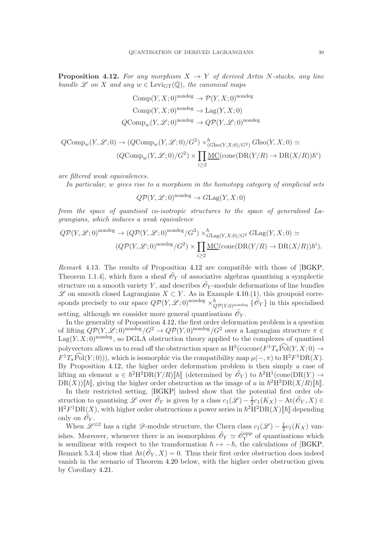<span id="page-38-0"></span>**Proposition 4.12.** For any morphism  $X \to Y$  of derived Artin N-stacks, any line bundle L on X and any  $w \in \text{Levi}_{GT}(\mathbb{Q})$ , the canonical maps

Comp
$$
(Y, X; 0)
$$
<sup>nondeg</sup>  $\rightarrow$   $\mathcal{P}(Y, X; 0)$ <sup>nondeg</sup>  
Comp $(Y, X; 0)$ <sup>nondeg</sup>  $\rightarrow$  Lag $(Y, X; 0)$   
 $QComp_w(Y, \mathcal{L}; 0)$ <sup>nondeg</sup>  $\rightarrow Q\mathcal{P}(Y, \mathcal{L}; 0)$ <sup>nondeg</sup>

$$
QComp_w(Y, \mathcal{L}; 0) \to (QComp_w(Y, \mathcal{L}; 0)/G^2) \times_{(GIso(Y, X; 0)/G^2)}^{h} GIso(Y, X; 0) \simeq
$$
  

$$
(QComp_w(Y, \mathcal{L}; 0)/G^2) \times \prod_{i \ge 2} \underline{MC}(\text{cone}(\text{DR}(Y/R) \to \text{DR}(X/R))\hbar^i)
$$

are filtered weak equivalences.

In particular, w gives rise to a morphism in the homotopy category of simplicial sets

$$
Q\mathcal{P}(Y,\mathcal{L};0)^{\text{nondeg}} \to G\text{Lag}(Y,X;0)
$$

from the space of quantised co-isotropic structures to the space of generalised Lagrangians, which induces a weak equivalence

$$
Q\mathcal{P}(Y,\mathcal{L};0)^{\text{nondeg}} \to (Q\mathcal{P}(Y,\mathcal{L};0)^{\text{nondeg}}/G^2) \times_{GLag(Y,X;0)/G^2}^h GLag(Y,X;0) \simeq
$$
  

$$
(Q\mathcal{P}(Y,\mathcal{L};0)^{\text{nondeg}}/G^2) \times \prod_{i\geq 2} \underline{\mathrm{MC}}(\text{cone}(\mathrm{DR}(Y/R) \to \mathrm{DR}(X/R))\hbar^i).
$$

<span id="page-38-1"></span>Remark 4.13. The results of Proposition [4.12](#page-38-0) are compatible with those of [\[BGKP,](#page-58-2) Theorem 1.1.4, which fixes a sheaf  $\tilde{\mathcal{O}}_Y$  of associative algebras quantising a symplectic structure on a smooth variety Y, and describes  $\tilde{\mathscr{O}}_Y$ -module deformations of line bundles  $\mathscr L$  on smooth closed Lagrangians  $X \subset Y$ . As in Example [4.10.](#page-37-0)[\(1\)](#page-37-1), this groupoid corresponds precisely to our space  $Q\mathcal{P}(Y,\mathcal{L};0)$ <sup>nondeg</sup>  $\times_{Q\mathcal{P}(Y,0)$ <sup>nondeg</sup>  $\{\tilde{\mathcal{O}}_Y\}$  in this specialised

setting, although we consider more general quantisations  $\tilde{\mathscr{O}}_Y$ .

In the generality of Proposition [4.12,](#page-38-0) the first order deformation problem is a question of lifting  $Q\mathcal{P}(Y,\mathscr{L};0)$ <sup>nondeg</sup>/ $G^2 \to Q\mathcal{P}(Y,0)$ <sup>nondeg</sup>/ $G^2$  over a Lagrangian structure  $\pi \in$  $\text{Lag}(Y, X; 0)$ <sup>nondeg</sup>, so DGLA obstruction theory applied to the complexes of quantised polyvectors allows us to read off the obstruction space as  $H^3$  (cocone  $(F^1T_{\pi}P_0](Y,X;0) \to$  $F^1T_{\pi}Pol(Y;0))$ , which is isomorphic via the compatibility map  $\mu(-,\pi)$  to  $H^2F^1DR(X)$ . By Proposition [4.12,](#page-38-0) the higher order deformation problem is then simply a case of lifting an element  $u \in \hbar^2 H^2DR(Y/R)[\![\hbar]\!]$  (determined by  $\tilde{\mathcal{O}}_Y$ ) to  $\hbar^2H^1(\text{cone}(DR(Y) \to$  $DR(X)) \llbracket \hbar \rrbracket$ , giving the higher order obstruction as the image of u in  $\hbar^2 H^2DR(X/R) \llbracket \hbar \rrbracket$ .

In their restricted setting, [\[BGKP\]](#page-58-2) indeed show that the potential first order obstruction to quantising L over  $\tilde{\mathscr{O}}_Y$  is given by a class  $c_1(\mathscr{L}) - \frac{1}{2}$  $\frac{1}{2}c_1(K_X) - \text{At}(\tilde{\mathscr{O}}_Y, X) \in$  $H^2F^1DR(X)$ , with higher order obstructions a power series in  $\hbar^2H^2DR(X)\llbracket \hbar \rrbracket$  depending only on  $\tilde{\mathscr{O}}_Y$ .

When  $\mathscr{L}^{\otimes 2}$  has a right  $\mathscr{D}$ -module structure, the Chern class  $c_1(\mathscr{L}) - \frac{1}{2}$  $\frac{1}{2}c_1(K_X)$  vanishes. Moreover, whenever there is an isomorphism  $\tilde{\mathscr{O}}_Y \simeq \tilde{\mathscr{O}}_Y^{\text{opp}}$  of quantisations which is semilinear with respect to the transformation  $\hbar \mapsto -\hbar$ , the calculations of [\[BGKP,](#page-58-2) Remark 5.3.4] show that  $\text{At}(\tilde{\mathcal{O}}_Y, X) = 0$ . Thus their first order obstruction does indeed vanish in the scenario of Theorem [4.20](#page-40-0) below, with the higher order obstruction given by Corollary [4.21.](#page-41-1)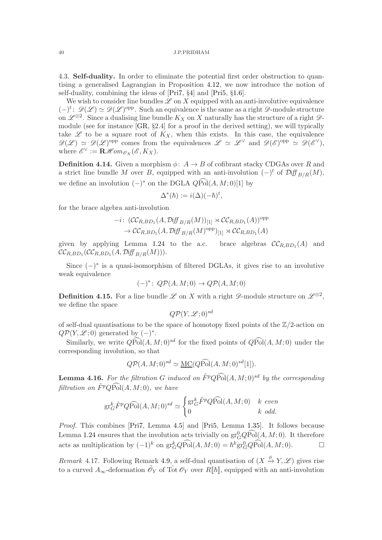<span id="page-39-0"></span>4.3. Self-duality. In order to eliminate the potential first order obstruction to quantising a generalised Lagrangian in Proposition [4.12,](#page-38-0) we now introduce the notion of self-duality, combining the ideas of [\[Pri7,](#page-59-2) §[4\]](#page-33-0) and [\[Pri5,](#page-59-1) §1.6].

We wish to consider line bundles  $\mathscr L$  on  $X$  equipped with an anti-involutive equivalence  $(-)^t$ :  $\mathscr{D}(\mathscr{L}) \simeq \mathscr{D}(\mathscr{L})^{\text{opp}}$ . Such an equivalence is the same as a right  $\mathscr{D}$ -module structure on  $\mathscr{L}^{\otimes 2}$ . Since a dualising line bundle  $K_X$  on X naturally has the structure of a right  $\mathscr{D}$ module (see for instance [\[GR,](#page-58-11) §2.4] for a proof in the derived setting), we will typically take  $\mathscr L$  to be a square root of  $K_X$ , when this exists. In this case, the equivalence  $\mathscr{D}(\mathscr{L}) \simeq \mathscr{D}(\mathscr{L})^{\text{opp}}$  comes from the equivalences  $\mathscr{L} \simeq \mathscr{L}^{\vee}$  and  $\mathscr{D}(\mathscr{E})^{\text{opp}} \simeq \mathscr{D}(\mathscr{E}^{\vee}),$ where  $\mathscr{E}^{\vee} := \mathbf{R}\mathscr{H}\hspace{-1pt}\mathscr{H}\hspace{-1pt}\mathscr{m}_{\mathscr{O}_X}(\mathscr{E},K_X).$ 

<span id="page-39-1"></span>**Definition 4.14.** Given a morphism  $\phi: A \rightarrow B$  of cofibrant stacky CDGAs over R and a strict line bundle M over B, equipped with an anti-involution  $(-)^t$  of  $\mathcal{Diff}_{B/R}(M)$ , we define an involution  $(-)^*$  on the DGLA  $Q\widehat{Pol}(A, M; 0)[1]$  by

$$
\Delta^*(\hbar) := i(\Delta)(-\hbar)^t,
$$

for the brace algebra anti-involution

$$
-i: (\mathcal{CC}_{R,BD_1}(A, \mathcal{D}iff_{B/R}(M))_{[1]} \rtimes \mathcal{CC}_{R,BD_1}(A))^{\text{opp}} \\ \to \mathcal{CC}_{R,BD_1}(A, \mathcal{D}iff_{B/R}(M)^{\text{opp}})_{[1]} \rtimes \mathcal{CC}_{R,BD_1}(A)
$$

given by applying Lemma  $1.24$  to the a.c. brace algebras  $\mathcal{CC}_{R,BD_1}(A)$  and  ${\cal C}{\cal C}_{R,BD_1}({\cal C}{\cal C}_{R,BD_1}(A,{\cal D}{\it iff\,}_{B/R}(M))).$ 

Since  $(-)$ <sup>\*</sup> is a quasi-isomorphism of filtered DGLAs, it gives rise to an involutive weak equivalence

$$
(-)^{*} \colon Q\mathcal{P}(A,M;0) \to Q\mathcal{P}(A,M;0)
$$

<span id="page-39-2"></span>**Definition 4.15.** For a line bundle L on X with a right  $\mathscr{D}$ -module structure on  $\mathscr{L}^{\otimes 2}$ , we define the space

$$
Q\mathcal{P}(Y,\mathcal{L};0)^{sd}
$$

of self-dual quantisations to be the space of homotopy fixed points of the Z/2-action on  $Q\mathcal{P}(Y,\mathcal{L};0)$  generated by  $(-)^*$ .

Similarly, we write  $Q\widehat{\rm Pol}(A, M; 0)^{sd}$  for the fixed points of  $Q\widehat{\rm Pol}(A, M; 0)$  under the corresponding involution, so that

$$
Q\mathcal{P}(A,M;0)^{sd} \simeq \underline{\mathrm{MC}}(Q\widehat{\mathrm{Pol}}(A,M;0)^{sd}[1]).
$$

<span id="page-39-3"></span>**Lemma 4.16.** For the filtration G induced on  $\tilde{F}^p Q \widehat{Pol}(A, M; 0)^{sd}$  by the corresponding filtration on  $\widetilde{F}^p Q \widehat{Pol}(A, M; 0)$ , we have

$$
\mathrm{gr}_G^k \tilde{F}^p Q \widehat{\mathrm{Pol}}(A,M;0)^{sd} \simeq \begin{cases} \mathrm{gr}_G^k \tilde{F}^p Q \widehat{\mathrm{Pol}}(A,M;0) & k \ even \\ 0 & k \ odd. \end{cases}
$$

Proof. This combines [\[Pri7,](#page-59-2) Lemma [4.5\]](#page-35-1) and [\[Pri5,](#page-59-1) Lemma 1.35]. It follows because Lemma [1.24](#page-11-4) ensures that the involution acts trivially on  $gr_G^0QPO( A, M; 0)$ . It therefore acts as multiplication by  $(-1)^k$  on  $\text{gr}_G^kQ\widehat{\text{Pol}}(A,M;0) = \hbar^k\text{gr}_G^0Q\widehat{\text{Pol}}(A,M;0).$  □

<span id="page-39-4"></span>Remark 4.17. Following Remark [4.9,](#page-36-1) a self-dual quantisation of  $(X \xrightarrow{\phi} Y, \mathscr{L})$  gives rise to a curved  $A_{\infty}$ -deformation  $\tilde{\mathscr{O}}_Y$  of Tot  $\mathscr{O}_Y$  over  $R[\![\hbar]\!]$ , equipped with an anti-involution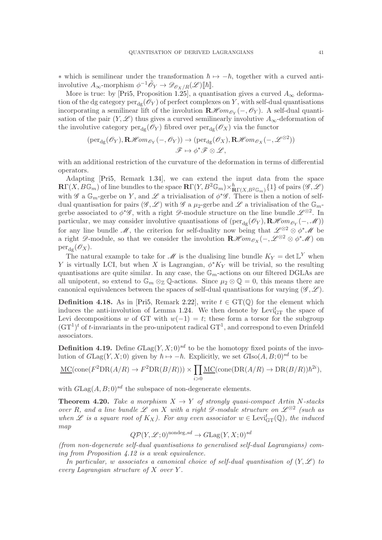\* which is semilinear under the transformation  $\hbar \mapsto -\hbar$ , together with a curved antiinvolutive  $A_{\infty}$ -morphism  $\phi^{-1}\tilde{\mathscr{O}}_Y \to \mathscr{D}_{\mathscr{O}_X/R}(\mathscr{L})[\![\hbar]\!].$ 

More is true: by [\[Pri5,](#page-59-1) Proposition [1.25\]](#page-11-2), a quantisation gives a curved  $A_{\infty}$  deformation of the dg category  $per_{dg}(\mathcal{O}_Y)$  of perfect complexes on Y, with self-dual quantisations incorporating a semilinear lift of the involution  $\mathbf{R}\mathcal{H}om_{\mathcal{O}_Y}(-,\mathcal{O}_Y)$ . A self-dual quantisation of the pair  $(Y, \mathscr{L})$  thus gives a curved semilinearly involutive  $A_{\infty}$ -deformation of the involutive category  $per_{\text{de}}(\mathscr{O}_Y)$  fibred over  $per_{\text{de}}(\mathscr{O}_X)$  via the functor

$$
(\mathrm{per}_{\mathrm{dg}}(\mathscr{O}_Y), \mathbf{R}\mathscr{H}\mathit{om}_{\mathscr{O}_Y}(-,\mathscr{O}_Y)) \to (\mathrm{per}_{\mathrm{dg}}(\mathscr{O}_X), \mathbf{R}\mathscr{H}\mathit{om}_{\mathscr{O}_X}(-,\mathscr{L}^{\otimes 2}))
$$

$$
\mathscr{F} \mapsto \phi^* \mathscr{F} \otimes \mathscr{L},
$$

with an additional restriction of the curvature of the deformation in terms of differential operators.

Adapting [\[Pri5,](#page-59-1) Remark 1.34], we can extend the input data from the space  $\mathbf{R}\Gamma(X, B\mathbb{G}_m)$  of line bundles to the space  $\mathbf{R}\Gamma(Y, B^2\mathbb{G}_m)\times_{\mathbf{R}\Gamma(X, B^2\mathbb{G}_m)}^{h}\{1\}$  of pairs  $(\mathscr{G}, \mathscr{L})$ with  $\mathscr{G}$  a  $\mathbb{G}_m$ -gerbe on Y, and  $\mathscr{L}$  a trivialisation of  $\phi^*\mathscr{G}$ . There is then a notion of selfdual quantisation for pairs  $(\mathscr{G}, \mathscr{L})$  with  $\mathscr{G}$  a  $\mu_2$ -gerbe and  $\mathscr{L}$  a trivialisation of the  $\mathbb{G}_m$ gerbe associated to  $\phi^*\mathscr{G}$ , with a right  $\mathscr{D}$ -module structure on the line bundle  $\mathscr{L}^{\otimes 2}$ . In particular, we may consider involutive quantisations of  $(\text{per}_{dg}(\mathscr{O}_Y), \mathbf{R}\mathscr{H}\text{om}_{\mathscr{O}_Y}(-, \mathscr{M}))$ for any line bundle  $\mathscr{M}$ , the criterion for self-duality now being that  $\mathscr{L}^{\otimes 2} \otimes \phi^* \mathscr{M}$  be a right  $\mathscr{D}$ -module, so that we consider the involution  $\mathbf{R}\mathscr{H}\mathit{om}_{\mathscr{O}_X}(-,\mathscr{L}^{\otimes 2} \otimes \phi^*\mathscr{M})$  on  $per_{dg}(\mathscr{O}_X).$ 

The natural example to take for  $\mathscr M$  is the dualising line bundle  $K_Y = \det \mathbb{L}^Y$  when Y is virtually LCI, but when X is Lagrangian,  $\phi^*K_Y$  will be trivial, so the resulting quantisations are quite similar. In any case, the  $\mathbb{G}_m$ -actions on our filtered DGLAs are all unipotent, so extend to  $\mathbb{G}_m \otimes_{\mathbb{Z}} \mathbb{Q}$ -actions. Since  $\mu_2 \otimes \mathbb{Q} = 0$ , this means there are canonical equivalences between the spaces of self-dual quantisations for varying  $(\mathscr{G}, \mathscr{L})$ .

**Definition 4.18.** As in [\[Pri5,](#page-59-1) Remark [2.22\]](#page-23-0), write  $t \in GT(\mathbb{Q})$  for the element which induces the anti-involution of Lemma [1.24.](#page-11-4) We then denote by  $Levi_{GT}^t$  the space of Levi decompositions w of GT with  $w(-1) = t$ ; these form a torsor for the subgroup  $(GT<sup>1</sup>)<sup>t</sup>$  of *t*-invariants in the pro-unipotent radical  $GT<sup>1</sup>$ , and correspond to even Drinfeld associators.

**Definition 4.19.** Define  $G\text{Lag}(Y, X; 0)^{sd}$  to be the homotopy fixed points of the involution of  $G\text{Lag}(Y, X; 0)$  given by  $\hbar \mapsto -\hbar$ . Explicitly, we set  $G\text{Iso}(A, B; 0)^{sd}$  to be

$$
\underline{\mathrm{MC}}(\mathrm{cone}(F^2\mathrm{DR}(A/R)\to F^2\mathrm{DR}(B/R)))\times \prod_{i>0}\underline{\mathrm{MC}}(\mathrm{cone}(\mathrm{DR}(A/R)\to \mathrm{DR}(B/R))\hbar^{2i}),
$$

with  $G\text{Lag}(A, B; 0)^{sd}$  the subspace of non-degenerate elements.

<span id="page-40-0"></span>**Theorem 4.20.** Take a morphism  $X \to Y$  of strongly quasi-compact Artin N-stacks over R, and a line bundle L on X with a right  $\mathscr{D}\text{-module structure on }\mathscr{L}^{\otimes 2}$  (such as when L is a square root of  $K_X$ ). For any even associator  $w \in \text{Levi}_{GT}^t(\mathbb{Q})$ , the induced map

$$
Q\mathcal{P}(Y,\mathcal{L};0)^{\text{nondeg},sd} \to G\text{Lag}(Y,X;0)^{sd}
$$

(from non-degenerate self-dual quantisations to generalised self-dual Lagrangians) coming from Proposition [4.12](#page-38-0) is a weak equivalence.

In particular, w associates a canonical choice of self-dual quantisation of  $(Y, \mathscr{L})$  to every Lagrangian structure of X over Y .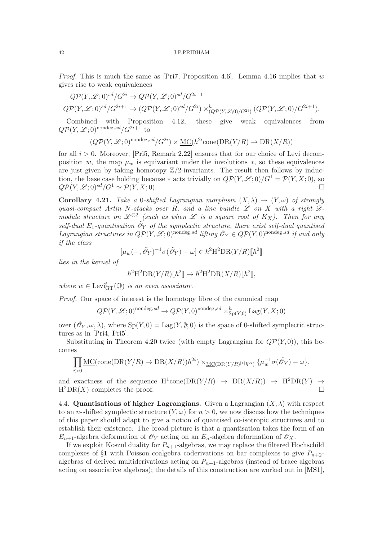*Proof.* This is much the same as [\[Pri7,](#page-59-2) Proposition [4.6\]](#page-36-2). Lemma [4.16](#page-39-3) implies that w gives rise to weak equivalences

$$
Q\mathcal{P}(Y,\mathcal{L};0)^{sd}/G^{2i} \to Q\mathcal{P}(Y,\mathcal{L};0)^{sd}/G^{2i-1}
$$
  

$$
Q\mathcal{P}(Y,\mathcal{L};0)^{sd}/G^{2i+1} \to (Q\mathcal{P}(Y,\mathcal{L};0)^{sd}/G^{2i}) \times_{(Q\mathcal{P}(Y,\mathcal{L};0)/G^{2i})}^{h}(Q\mathcal{P}(Y,\mathcal{L};0)/G^{2i+1}).
$$

Combined with Proposition [4.12,](#page-38-0) these give weak equivalences from  $QP(Y, \mathcal{L}:0)$ <sup>nondeg,sd</sup>/ $G^{2i+1}$  to

$$
(Q\mathcal{P}(Y,\mathcal{L};0)^{\text{nondeg}, sd}/G^{2i}) \times \underline{\mathrm{MC}}(\hbar^{2i}\mathrm{cone}(\mathrm{DR}(Y/R) \to \mathrm{DR}(X/R))
$$

for all  $i > 0$ . Moreover, [\[Pri5,](#page-59-1) Remark [2.22\]](#page-23-0) ensures that for our choice of Levi decomposition w, the map  $\mu_w$  is equivariant under the involutions  $\ast$ , so these equivalences are just given by taking homotopy  $\mathbb{Z}/2$ -invariants. The result then follows by induction, the base case holding because  $*$  acts trivially on  $Q\mathcal{P}(Y,\mathcal{L};0)/G^1 = \mathcal{P}(Y,X;0)$ , so  $Q\mathcal{P}(Y,\mathcal{L};0)^{sd}/G^1 \simeq \mathcal{P}(Y,X;0).$ 

<span id="page-41-1"></span>Corollary 4.21. Take a 0-shifted Lagrangian morphism  $(X, \lambda) \rightarrow (Y, \omega)$  of strongly quasi-compact Artin N-stacks over R, and a line bundle  $\mathscr L$  on X with a right  $\mathscr D$ module structure on  $\mathscr{L}^{\otimes 2}$  (such as when  $\mathscr{L}$  is a square root of  $K_X$ ). Then for any self-dual E<sub>1</sub>-quantisation  $\tilde{\mathcal{O}}_Y$  of the symplectic structure, there exist self-dual quantised Lagrangian structures in  $Q\mathcal{P}(Y,\mathcal{L};0)$ <sup>nondeg,sd</sup> lifting  $\tilde{\mathcal{O}}_Y \in Q\mathcal{P}(Y,0)$ <sup>nondeg,sd</sup> if and only if the class

$$
[\mu_w(-, \tilde{\mathcal{O}}_Y)^{-1} \sigma(\tilde{\mathcal{O}}_Y) - \omega] \in \hbar^2 H^2DR(Y/R)[\![\hbar^2]\!]
$$

lies in the kernel of

$$
\hbar^2{\mathrm{H}}^2{\mathrm{DR}}(Y/R)[\![\hbar^2]\!]\to \hbar^2{\mathrm{H}}^2{\mathrm{DR}}(X/R)[\![\hbar^2]\!],
$$

where  $w \in \text{Levi}_{GT}^t(\mathbb{Q})$  is an even associator.

Proof. Our space of interest is the homotopy fibre of the canonical map

$$
Q\mathcal{P}(Y,\mathcal{L};0)^{\text{nondeg},sd} \to Q\mathcal{P}(Y,0)^{\text{nondeg},sd} \times_{\text{Sp}(Y,0)}^h \text{Lag}(Y,X;0)
$$

over  $(\tilde{\mathcal{O}}_Y, \omega, \lambda)$ , where  $Sp(Y, 0) = \text{Lag}(Y, \emptyset; 0)$  is the space of 0-shifted symplectic structures as in [\[Pri4,](#page-59-0) [Pri5\]](#page-59-1).

Substituting in Theorem [4.20](#page-40-0) twice (with empty Lagrangian for  $\mathcal{OP}(Y, 0)$ ), this becomes

$$
\prod_{i>0}\underline{\mathrm{MC}}(\mathrm{cone}(\mathrm{DR}(Y/R)\rightarrow \mathrm{DR}(X/R))\hbar^{2i})\times_{\underline{\mathrm{MC}}(\mathrm{DR}(Y/R)^{[1]}\hbar^{2i})}\{\mu_w^{-1}\sigma(\tilde{\mathscr{O}}_Y)-\omega\},
$$

and exactness of the sequence  $H^1$ cone $(DR(Y/R) \rightarrow DR(X/R)) \rightarrow H^2DR(Y) \rightarrow$  $H^2DR(X)$  completes the proof.

<span id="page-41-0"></span>4.4. Quantisations of higher Lagrangians. Given a Lagrangian  $(X, \lambda)$  with respect to an *n*-shifted symplectic structure  $(Y, \omega)$  for  $n > 0$ , we now discuss how the techniques of this paper should adapt to give a notion of quantised co-isotropic structures and to establish their existence. The broad picture is that a quantisation takes the form of an  $E_{n+1}$ -algebra deformation of  $\mathscr{O}_Y$  acting on an  $E_n$ -algebra deformation of  $\mathscr{O}_X$ .

If we exploit Koszul duality for  $P_{n+1}$ -algebras, we may replace the filtered Hochschild complexes of §[1](#page-5-0) with Poisson coalgebra coderivations on bar complexes to give  $P_{n+2}$ algebras of derived multiderivations acting on  $P_{n+1}$ -algebras (instead of brace algebras acting on associative algebras); the details of this construction are worked out in [\[MS1\]](#page-59-16),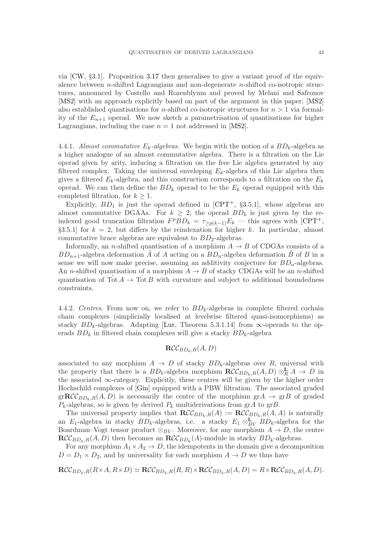via [\[CW,](#page-58-12) §3.1]. Proposition [3.17](#page-30-0) then generalises to give a variant proof of the equivalence between n-shifted Lagrangians and non-degenerate n-shifted co-isotropic structures, announced by Costello and Rozenblyum and proved by Melani and Safronov [\[MS2\]](#page-59-17) with an approach explicitly based on part of the argument in this paper; [\[MS2\]](#page-59-17) also established quantisations for *n*-shifted co-isotropic structures for  $n > 1$  via formality of the  $E_{n+1}$  operad. We now sketch a parametrisation of quantisations for higher Lagrangians, including the case  $n = 1$  not addressed in [\[MS2\]](#page-59-17).

4.4.1. Almost commutative  $E_k$ -algebras. We begin with the notion of a  $BD_k$ -algebra as a higher analogue of an almost commutative algebra. There is a filtration on the Lie operad given by arity, inducing a filtration on the free Lie algebra generated by any filtered complex. Taking the universal enveloping  $E_k$ -algebra of this Lie algebra then gives a filtered  $E_k$ -algebra, and this construction corresponds to a filtration on the  $E_k$ operad. We can then define the  $BD_k$  operad to be the  $E_k$  operad equipped with this completed filtration, for  $k \geq 1$ .

Explicitly,  $BD_1$  is just the operad defined in  $[CPT^+$ , §3.5.1], whose algebras are almost commutative DGAAs. For  $k \geq 2$ , the operad  $BD_k$  is just given by the reindexed good truncation filtration  $F^p BD_k = \tau_{\geq p(k-1)} E_k$  — this agrees with [\[CPT](#page-58-0)<sup>+</sup>,  $\S3.5.1$  for  $k = 2$ , but differs by the reindexation for higher k. In particular, almost commutative brace algebras are equivalent to  $BD_2$ -algebras.

Informally, an *n*-shifted quantisation of a morphism  $A \rightarrow B$  of CDGAs consists of a  $BD_{n+1}$ -algebra deformation A of A acting on a  $BD_n$ -algebra deformation B of B in a sense we will now make precise, assuming an additivity conjecture for  $BD_n$ -algebras. An n-shifted quantisation of a morphism  $A \rightarrow B$  of stacky CDGAs will be an n-shifted quantisation of  $\hat{\text{Tot}} A \to \hat{\text{Tot}} B$  with curvature and subject to additional boundedness constraints.

4.4.2. Centres. From now on, we refer to  $BD_k$ -algebras in complete filtered cochain chain complexes (simplicially localised at levelwise filtered quasi-isomorphisms) as stacky  $BD_k$ -algebras. Adapting [\[Lur,](#page-59-21) Theorem 5.3.1.14] from  $\infty$ -operads to the operads  $BD_k$  in filtered chain complexes will give a stacky  $BD_k$ -algebra

# $\mathbf{RCC}_{BD_1,B}(A, D)$

associated to any morphism  $A \to D$  of stacky  $BD_k$ -algebras over R, universal with the property that there is a  $BD_k$ -algebra morphism  $\mathbf{RCC}_{BD_k,R}(A, D) \otimes_R^{\mathbf{L}} A \to D$  in the associated ∞-category. Explicitly, these centres will be given by the higher order Hochschild complexes of [\[Gin\]](#page-58-13) equipped with a PBW filtration. The associated graded  $gr\mathbf{RCC}_{BD_k,B}(A, D)$  is necessarily the centre of the morphism  $grA \rightarrow grB$  of graded  $P_k$ -algebras, so is given by derived  $P_k$  multiderivations from grA to grB.

The universal property implies that  $\mathbf{RCC}_{BD_k,R}(A) := \mathbf{RCC}_{BD_k,R}(A,A)$  is naturally an E<sub>1</sub>-algebra in stacky  $BD_k$ -algebras, i.e. a stacky  $E_1 \otimes_{BV}^{L} BD_k$ -algebra for the Boardman–Vogt tensor product  $\otimes_{BV}$ . Moreover, for any morphism  $A \to D$ , the centre  $\mathbf{RCC}_{BD_k,R}(A, D)$  then becomes an  $\mathbf{RCC}_{BD_k}(A)$ -module in stacky  $BD_k$ -algebras.

For any morphism  $A_1 \times A_2 \to D$ , the idempotents in the domain give a decomposition  $D = D_1 \times D_2$ , and by universality for each morphism  $A \to D$  we thus have

 $\mathbf{RCC}_{BD_k,R}(R\times A, R\times D) \simeq \mathbf{RCC}_{BD_k,R}(R, R)\times \mathbf{RCC}_{BD_k,R}(A, D) = R\times \mathbf{RCC}_{BD_k,R}(A, D).$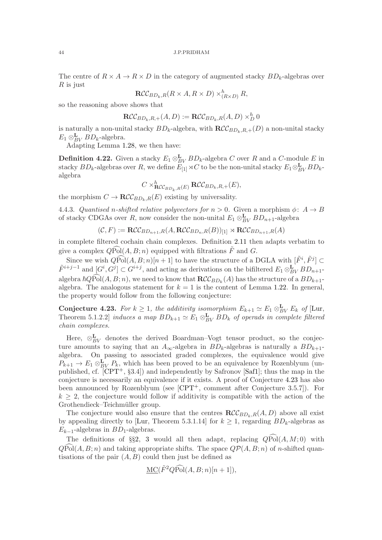The centre of  $R \times A \to R \times D$  in the category of augmented stacky  $BD_k$ -algebras over  $R$  is just

$$
\mathbf{RCC}_{BD_k,R}(R \times A, R \times D) \times_{(R \times D)}^h R,
$$

so the reasoning above shows that

$$
\mathbf{RCC}_{BD_k,R,+}(A,D) := \mathbf{RCC}_{BD_k,R}(A,D) \times_D^h 0
$$

is naturally a non-unital stacky  $BD_k$ -algebra, with  $\mathbf{RCC}_{BD_k,R,+}(D)$  a non-unital stacky  $E_1 \otimes_{BV}^{\mathbf{L}} BD_k$ -algebra.

Adapting Lemma [1.28,](#page-13-1) we then have:

**Definition 4.22.** Given a stacky  $E_1 \otimes_{BV}^{\mathbf{L}} BD_k$ -algebra C over R and a C-module E in stacky  $BD_k$ -algebras over R, we define  $E_{[1]}^{\bullet} \rtimes C$  to be the non-unital stacky  $E_1 \otimes_{BV}^{\mathbf{L}} BD_k$ algebra

$$
C \times_{\mathbf{RCC}_{BD_k,R}(E)}^h \mathbf{RCC}_{BD_k,R,+}(E),
$$

the morphism  $C \to \mathbf{RCC}_{BD_k,R}(E)$  existing by universality.

4.4.3. Quantised n-shifted relative polyvectors for  $n > 0$ . Given a morphism  $\phi: A \rightarrow B$ of stacky CDGAs over R, now consider the non-unital  $E_1 \otimes_{BV}^{\mathbf{L}} BD_{n+1}$ -algebra

$$
(\mathcal{C}, F) := \mathbf{RCC}_{BD_{n+1},R}(A, \mathbf{RCC}_{BD_n, R}(B))_{[1]} \rtimes \mathbf{RCC}_{BD_{n+1},R}(A)
$$

in complete filtered cochain chain complexes. Definition [2.11](#page-17-2) then adapts verbatim to give a complex  $\widehat{QPol}(A, B; n)$  equipped with filtrations  $\widetilde{F}$  and  $G$ .

Since we wish  $Q\widehat{\text{Pol}}(A, B; n)[n + 1]$  to have the structure of a DGLA with  $[\tilde{F}^i, \tilde{F}^j] \subset$  $\tilde{F}^{i+j-1}$  and  $[G^i, G^j] \subset G^{i+j}$ , and acting as derivations on the bifiltered  $E_1 \otimes_{BV}^{\mathbf{L}} BD_{n+1}$ algebra  $\hbar Q$ Pol $(A, B; n)$ , we need to know that  $\mathbf{RCC}_{BD_k}(A)$  has the structure of a  $BD_{k+1}$ algebra. The analogous statement for  $k = 1$  is the content of Lemma [1.22.](#page-10-4) In general, the property would follow from the following conjecture:

<span id="page-43-0"></span>Conjecture 4.23. For  $k \geq 1$ , the additivity isomorphism  $E_{k+1} \simeq E_1 \otimes_{BV}^{\mathbf{L}} E_k$  of [\[Lur,](#page-59-21) Theorem 5.1.2.2] induces a map  $BD_{k+1} \simeq E_1 \otimes_{BV}^{\mathbf{L}} BD_k$  of operads in complete filtered chain complexes.

Here,  $\otimes_{BV}^{\mathbf{L}}$  denotes the derived Boardman–Vogt tensor product, so the conjecture amounts to saying that an  $A_{\infty}$ -algebra in  $BD_k$ -algebras is naturally a  $BD_{k+1}$ algebra. On passing to associated graded complexes, the equivalence would give  $P_{k+1} \to E_1 \otimes_{BV}^{\mathbf{L}} P_k$ , which has been proved to be an equivalence by Rozenblyum (unpublished, cf.  $[CPT^{+}, \S 3.4]$  and independently by Safronov [\[Saf1\]](#page-60-4); thus the map in the conjecture is necessarily an equivalence if it exists. A proof of Conjecture [4.23](#page-43-0) has also been announced by Rozenblyum (see [\[CPT](#page-58-0)<sup>+</sup>, comment after Conjecture 3.5.7]). For  $k \geq 2$ , the conjecture would follow if additivity is compatible with the action of the Grothendieck–Teichmüller group.

The conjecture would also ensure that the centres  $\mathbf{RCC}_{BD_k,R}(A, D)$  above all exist by appealing directly to [\[Lur,](#page-59-21) Theorem 5.3.1.14] for  $k \geq 1$ , regarding  $BD_k$ -algebras as  $E_{k-1}$ -algebras in  $BD_1$ -algebras.

The definitions of §§[2,](#page-14-0) [3](#page-24-0) would all then adapt, replacing  $Q\widehat{Pol}(A, M; 0)$  with  $QPol(A, B; n)$  and taking appropriate shifts. The space  $QP(A, B; n)$  of n-shifted quantisations of the pair  $(A, B)$  could then just be defined as

$$
\underline{\mathrm{MC}}(\tilde{F}^2 Q \widehat{\mathrm{Pol}}(A, B; n)[n+1]),
$$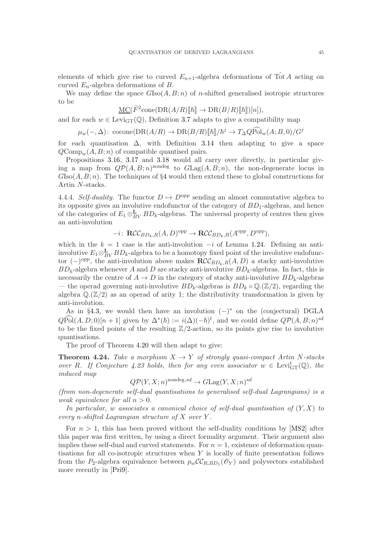elements of which give rise to curved  $E_{n+1}$ -algebra deformations of Tot A acting on curved  $E_n$ -algebra deformations of B.

We may define the space  $G\text{Iso}(A, B; n)$  of *n*-shifted generalised isotropic structures to be

$$
\underline{\mathrm{MC}}(\tilde{F}^2 \text{cone}(\mathrm{DR}(A/R)[\![\hbar]\!]) \to \mathrm{DR}(B/R)[\![\hbar]\!])[n]),
$$

and for each  $w \in \text{Levi}_{GT}(\mathbb{Q})$ , Definition [3.7](#page-26-0) adapts to give a compatibility map

$$
\mu_w(-, \Delta): \text{ cocone}(\text{DR}(A/R) \to \text{DR}(B/R)[\![\hbar]\!]/\hbar^j \to T_{\Delta}Q\widehat{\text{Pol}}_w(A;B,0)/G^j
$$

for each quantisation  $\Delta$ , with Definition [3.14](#page-29-2) then adapting to give a space  $QComp_{w}(A, B; n)$  of compatible quantised pairs.

Propositions [3.16,](#page-29-0) [3.17](#page-30-0) and [3.18](#page-32-0) would all carry over directly, in particular giving a map from  $Q\mathcal{P}(A, B; n)$ <sup>nondeg</sup> to  $GLag(A, B; n)$ , the non-degenerate locus in  $G\text{Iso}(A, B; n)$ . The techniques of §[4](#page-33-0) would then extend these to global constructions for Artin N-stacks.

4.4.4. Self-duality. The functor  $D \mapsto D^{\text{opp}}$  sending an almost commutative algebra to its opposite gives an involutive endofunctor of the category of  $BD_1$ -algebras, and hence of the categories of  $E_1 \otimes_{BV}^{\mathbf{L}} BD_k$ -algebras. The universal property of centres then gives an anti-involution

$$
-i\colon \mathbf{RCC}_{BD_k,R}(A,D)^{\text{opp}} \to \mathbf{RCC}_{BD_k,R}(A^{\text{opp}},D^{\text{opp}}),
$$

which in the  $k = 1$  case is the anti-involution  $-i$  of Lemma [1.24.](#page-11-4) Defining an antiinvolutive  $E_1 \otimes_{BV}^{\mathbf{L}} BD_k$ -algebra to be a homotopy fixed point of the involutive endofunctor  $(-)$ <sup>opp</sup>, the anti-involution above makes  $\mathbf{RCC}_{BD_k,R}(A, D)$  a stacky anti-involutive  $BD_k$ -algebra whenever A and D are stacky anti-involutive  $BD_k$ -algebras. In fact, this is necessarily the centre of  $A \to D$  in the category of stacky anti-involutive  $BD_k$ -algebras — the operad governing anti-involutive  $BD_k$ -algebras is  $BD_k \circ \mathbb{Q}.(\mathbb{Z}/2)$ , regarding the algebra  $\mathbb{Q}(\mathbb{Z}/2)$  as an operad of arity 1; the distributivity transformation is given by anti-involution.

As in §[4.3,](#page-39-0) we would then have an involution  $(-)^*$  on the (conjectural) DGLA  $Q\widehat{Pol}(A, D; 0)[n + 1]$  given by  $\Delta^*(\hbar) := i(\Delta)(-\hbar)^t$ , and we could define  $Q\mathcal{P}(A, B; n)^{sd}$ to be the fixed points of the resulting  $\mathbb{Z}/2$ -action, so its points give rise to involutive quantisations.

The proof of Theorem [4.20](#page-40-0) will then adapt to give:

<span id="page-44-0"></span>**Theorem 4.24.** Take a morphism  $X \to Y$  of strongly quasi-compact Artin N-stacks over R. If Conjecture [4.23](#page-43-0) holds, then for any even associator  $w \in \text{Levi}_{GT}^t(\mathbb{Q})$ , the induced map

$$
Q\mathcal{P}(Y, X; n)^{\text{nondeg}, sd} \to G\text{Lag}(Y, X; n)^{sd}
$$

(from non-degenerate self-dual quantisations to generalised self-dual Lagrangians) is a weak equivalence for all  $n > 0$ .

In particular, w associates a canonical choice of self-dual quantisation of  $(Y, X)$  to every *n*-shifted Lagrangian structure of  $X$  over  $Y$ .

For  $n > 1$ , this has been proved without the self-duality conditions by [\[MS2\]](#page-59-17) after this paper was first written, by using a direct formality argument. Their argument also implies these self-dual and curved statements. For  $n = 1$ , existence of deformation quantisations for all co-isotropic structures when  $Y$  is locally of finite presentation follows from the P<sub>2</sub>-algebra equivalence between  $p_w\mathcal{CC}_{R,BD_1}(\mathcal{O}_Y)$  and polyvectors established more recently in [\[Pri9\]](#page-59-22).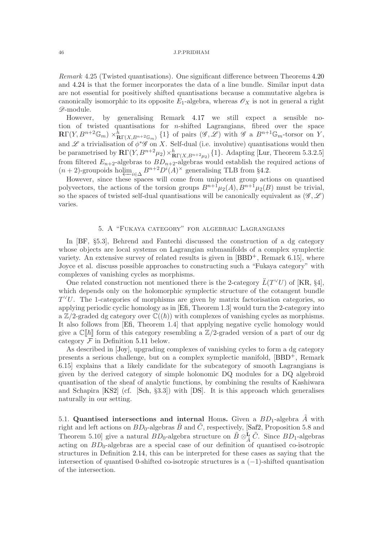Remark 4.25 (Twisted quantisations). One significant difference between Theorems [4.20](#page-40-0) and [4.24](#page-44-0) is that the former incorporates the data of a line bundle. Similar input data are not essential for positively shifted quantisations because a commutative algebra is canonically isomorphic to its opposite  $E_1$ -algebra, whereas  $\mathscr{O}_X$  is not in general a right D-module.

However, by generalising Remark [4.17](#page-39-4) we still expect a sensible notion of twisted quantisations for n-shifted Lagrangians, fibred over the space  $\mathbb{R}\Gamma(Y, B^{n+2}\mathbb{G}_m)\times_{\mathbb{R}\Gamma(X, B^{n+2}\mathbb{G}_m)}^{h} \{1\}$  of pairs  $(\mathscr{G}, \mathscr{L})$  with  $\mathscr{G}$  a  $B^{n+1}\mathbb{G}_m$ -torsor on Y, and  $\mathscr L$  a trivialisation of  $\phi^*\mathscr G$  on X. Self-dual (i.e. involutive) quantisations would then be parametrised by  $\mathbb{R}\Gamma(Y, B^{n+2}\mu_2) \times_{\mathbb{R}\Gamma(X, B^{n+2}\mu_2)}^{h} \{1\}$ . Adapting [\[Lur,](#page-59-21) Theorem 5.3.2.5] from filtered  $E_{n+2}$ -algebras to  $BD_{n+2}$ -algebras would establish the required actions of  $(n+2)$ -groupoids holim<sub>i∈△</sub>  $B^{n+2}D^{i}(A)^{\times}$  generalising TLB from §[4.2.](#page-35-0)

However, since these spaces will come from unipotent group actions on quantised polyvectors, the actions of the torsion groups  $B^{n+1}\mu_2(A), B^{n+1}\mu_2(B)$  must be trivial, so the spaces of twisted self-dual quantisations will be canonically equivalent as  $(\mathscr{G}, \mathscr{L})$ varies.

# 5. A "Fukaya category" for algebraic Lagrangians

<span id="page-45-0"></span>In [\[BF,](#page-58-3) §5.3], Behrend and Fantechi discussed the construction of a dg category whose objects are local systems on Lagrangian submanifolds of a complex symplectic variety. An extensive survey of related results is given in  $[BBD^+,$  Remark 6.15], where Joyce et al. discuss possible approaches to constructing such a "Fukaya category" with complexes of vanishing cycles as morphisms.

One related construction not mentioned there is the 2-category  $\ddot{L}(T^{\vee}U)$  of [\[KR,](#page-59-23) §4], which depends only on the holomorphic symplectic structure of the cotangent bundle  $T^{\vee}U$ . The 1-categories of morphisms are given by matrix factorisation categories, so applying periodic cyclic homology as in [\[Efi,](#page-58-14) Theorem 1.3] would turn the 2-category into a  $\mathbb{Z}/2$ -graded dg category over  $\mathbb{C}((\hbar))$  with complexes of vanishing cycles as morphisms. It also follows from [\[Efi,](#page-58-14) Theorem 1.4] that applying negative cyclic homology would give a  $\mathbb{C}[\![\hbar]\!]$  form of this category resembling a  $\mathbb{Z}/2$ -graded version of a part of our dg category  $\mathcal F$  in Definition [5.11](#page-50-0) below.

As described in [\[Joy\]](#page-59-5), upgrading complexes of vanishing cycles to form a dg category presents a serious challenge, but on a complex symplectic manifold, [\[BBD](#page-58-4)+, Remark 6.15] explains that a likely candidate for the subcategory of smooth Lagrangians is given by the derived category of simple holonomic DQ modules for a DQ algebroid quantisation of the sheaf of analytic functions, by combining the results of Kashiwara and Schapira [\[KS2\]](#page-59-24) (cf. [\[Sch,](#page-60-5) §3.3]) with [\[DS\]](#page-58-1). It is this approach which generalises naturally in our setting.

<span id="page-45-1"></span>5.1. Quantised intersections and internal Homs. Given a  $BD_1$ -algebra A with right and left actions on  $BD_0$ -algebras  $\tilde{B}$  and  $\tilde{C}$ , respectively, [\[Saf2,](#page-60-2) Proposition 5.8 and Theorem 5.10] give a natural  $BD_0$ -algebra structure on  $\tilde{B} \otimes \tilde{A} \tilde{C}$ . Since  $BD_1$ -algebras acting on  $BD_0$ -algebras are a special case of our definition of quantised co-isotropic structures in Definition [2.14,](#page-18-0) this can be interpreted for these cases as saying that the intersection of quantised 0-shifted co-isotropic structures is a  $(-1)$ -shifted quantisation of the intersection.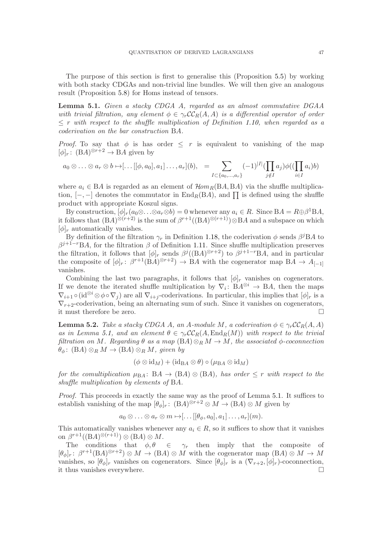The purpose of this section is first to generalise this (Proposition [5.5\)](#page-47-0) by working with both stacky CDGAs and non-trivial line bundles. We will then give an analogous result (Proposition [5.8\)](#page-49-1) for Homs instead of tensors.

<span id="page-46-0"></span>Lemma 5.1. Given a stacky CDGA A, regarded as an almost commutative DGAA with trivial filtration, any element  $\phi \in \gamma_r C_c C_R(A, A)$  is a differential operator of order  $\leq r$  with respect to the shuffle multiplication of Definition [1.10,](#page-7-1) when regarded as a coderivation on the bar construction BA.

*Proof.* To say that  $\phi$  is has order  $\leq r$  is equivalent to vanishing of the map  $[\phi]_r: (\text{B}A)^{\otimes r+2} \to \text{B}A$  given by

$$
a_0 \otimes \ldots \otimes a_r \otimes b \mapsto [\ldots[[\phi, a_0], a_1] \ldots, a_r](b), \quad = \sum_{I \subset \{a_0, \ldots, a_r\}} (-1)^{|I|} (\prod_{j \notin I} a_j) \phi((\prod_{i \in I} a_i)b)
$$

where  $a_i \in BA$  is regarded as an element of  $\mathcal{H}om_B(BA, BA)$  via the shuffle multiplication,  $[-,-]$  denotes the commutator in  $\text{End}_R(BA)$ , and  $\prod$  is defined using the shuffle product with appropriate Koszul signs.

By construction,  $[\phi]_r(a_0 \otimes \ldots \otimes a_r \otimes b) = 0$  whenever any  $a_i \in R$ . Since  $BA = R \oplus \beta^1 BA$ , it follows that  $(BA)^{\otimes (r+2)}$  is the sum of  $\beta^{r+1}((BA)^{\otimes (r+1)})\otimes BA$  and a subspace on which  $[\phi]_r$  automatically vanishes.

By definition of the filtration  $\gamma_r$  in Definition [1.18,](#page-9-2) the coderivation  $\phi$  sends  $\beta^jBA$  to  $\beta^{j+1-r}BA$ , for the filtration  $\beta$  of Definition [1.11.](#page-7-2) Since shuffle multiplication preserves the filtration, it follows that  $[\phi]_r$  sends  $\beta^{j}((BA)^{\otimes r+2})$  to  $\beta^{j+1-r}BA$ , and in particular the composite of  $[\phi]_r: \beta^{r+1}(BA)^{\otimes r+2} \to BA$  with the cogenerator map  $BA \to A_{[-1]}$ vanishes.

Combining the last two paragraphs, it follows that  $[\phi]_r$  vanishes on cogenerators. If we denote the iterated shuffle multiplication by  $\nabla_i: B A^{\otimes i} \to BA$ , then the maps  $\nabla_{i+1} \circ (\mathrm{id}^{\otimes i} \otimes \phi \circ \nabla_j)$  are all  $\nabla_{i+j}$ -coderivations. In particular, this implies that  $[\phi]_r$  is a  $\nabla_{r+2}$ -coderivation, being an alternating sum of such. Since it vanishes on cogenerators, it must therefore be zero.

<span id="page-46-1"></span>**Lemma 5.2.** Take a stacky CDGA A, an A-module M, a coderivation  $\phi \in \gamma_r C_c(R,A)$ as in Lemma [5.1,](#page-46-0) and an element  $\theta \in \gamma_r C C_R(A, \text{End}_R(M))$  with respect to the trivial filtration on M. Regarding  $\theta$  as a map  $(BA) \otimes_R M \to M$ , the associated  $\phi$ -coconnection  $\theta_{\phi}$ : (BA)  $\otimes_R M \to (\text{B}A) \otimes_R M$ , given by

$$
(\phi \otimes id_M) + (id_{\mathbf{B} A} \otimes \theta) \circ (\mu_{\mathbf{B} A} \otimes id_M)
$$

for the comultiplication  $\mu_{BA}$ : BA  $\rightarrow$  (BA)  $\otimes$  (BA), has order  $\leq r$  with respect to the shuffle multiplication by elements of BA.

Proof. This proceeds in exactly the same way as the proof of Lemma [5.1.](#page-46-0) It suffices to establish vanishing of the map  $[\theta_{\phi}]_r$ :  $(BA)^{\otimes r+2} \otimes M \to (BA) \otimes M$  given by

$$
a_0 \otimes \ldots \otimes a_r \otimes m \mapsto [\ldots[[\theta_\phi, a_0], a_1] \ldots, a_r](m).
$$

This automatically vanishes whenever any  $a_i \in R$ , so it suffices to show that it vanishes on  $\beta^{r+1}((\text{B}A)^{\otimes (r+1)})\otimes (\text{B}A)\otimes M$ .

The conditions that  $\phi, \theta \in \gamma_r$  then imply that the composite of  $[\theta_{\phi}]_r: \beta^{r+1}(BA)^{\otimes r+2} \otimes M \to (BA) \otimes M$  with the cogenerator map  $(BA) \otimes M \to M$ vanishes, so  $[\theta_{\phi}]_r$  vanishes on cogenerators. Since  $[\theta_{\phi}]_r$  is a  $(\nabla_{r+2}, [\phi]_r)$ -coconnection, it thus vanishes everywhere.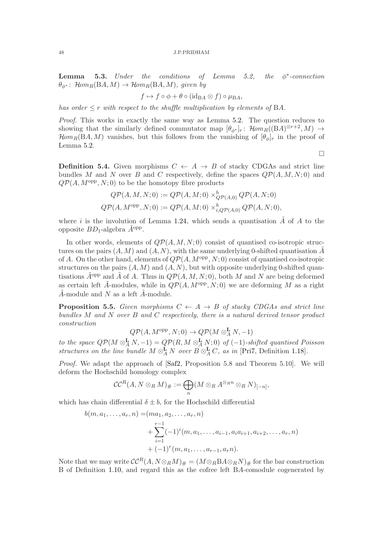<span id="page-47-1"></span>**Lemma 5.3.** Under the conditions of Lemma [5.2,](#page-46-1) ∗ -connection  $\theta_{\phi^*}$ : Hom<sub>R</sub>(BA, M)  $\rightarrow$  Hom<sub>R</sub>(BA, M), given by

$$
f \mapsto f \circ \phi + \theta \circ (\text{id}_{\text{BA}} \otimes f) \circ \mu_{\text{BA}},
$$

has order  $\leq r$  with respect to the shuffle multiplication by elements of BA.

Proof. This works in exactly the same way as Lemma [5.2.](#page-46-1) The question reduces to showing that the similarly defined commutator map  $[\theta_{\phi^*}]_r$ :  $\mathcal{H}om_R((BA)^{\otimes r+2}, M) \to$  $\mathcal{H}om_R(\text{B}A, M)$  vanishes, but this follows from the vanishing of  $[\theta_{\phi}]_r$  in the proof of Lemma [5.2.](#page-46-1)

 $\Box$ 

**Definition 5.4.** Given morphisms  $C \leftarrow A \rightarrow B$  of stacky CDGAs and strict line bundles M and N over B and C respectively, define the spaces  $\mathcal{QP}(A, M, N; 0)$  and  $QP(A, M^{opp}, N; 0)$  to be the homotopy fibre products

$$
Q\mathcal{P}(A,M,N;0) := Q\mathcal{P}(A,M;0) \times_{Q\mathcal{P}(A,0)}^h Q\mathcal{P}(A,N;0)
$$
  

$$
Q\mathcal{P}(A,M^{\text{opp}},N;0) := Q\mathcal{P}(A,M;0) \times_{i,Q\mathcal{P}(A,0)}^h Q\mathcal{P}(A,N;0),
$$

where i is the involution of Lemma [1.24,](#page-11-4) which sends a quantisation  $\tilde{A}$  of A to the opposite  $BD_1$ -algebra  $\tilde{A}^{\text{opp}}$ .

In other words, elements of  $Q\mathcal{P}(A, M, N; 0)$  consist of quantised co-isotropic structures on the pairs  $(A, M)$  and  $(A, N)$ , with the same underlying 0-shifted quantisation  $\tilde{A}$ of A. On the other hand, elements of  $Q\mathcal{P}(A, M^{\text{opp}}, N; 0)$  consist of quantised co-isotropic structures on the pairs  $(A, M)$  and  $(A, N)$ , but with opposite underlying 0-shifted quantisations  $\tilde{A}^{opp}$  and  $\tilde{A}$  of A. Thus in  $QP(A, M, N; 0)$ , both M and N are being deformed as certain left  $\tilde{A}$ -modules, while in  $Q\mathcal{P}(A, M^{\text{opp}}, N; 0)$  we are deforming M as a right  $\tilde{A}$ -module and N as a left  $\tilde{A}$ -module.

<span id="page-47-0"></span>**Proposition 5.5.** Given morphisms  $C \leftarrow A \rightarrow B$  of stacky CDGAs and strict line bundles  $M$  and  $N$  over  $B$  and  $C$  respectively, there is a natural derived tensor product construction

$$
Q\mathcal{P}(A,M^{\mathrm{opp}},N;0)\rightarrow Q\mathcal{P}(M\otimes^{\mathbf{L}}_A N,-1)
$$

to the space  $Q\mathcal{P}(M\otimes^{\mathbf{L}}_A N,-1)=Q\mathcal{P}(R,M\otimes^{\mathbf{L}}_A N;0)$  of  $(-1)$ -shifted quantised Poisson structures on the line bundle  $M \otimes_A^{\mathbf{L}} N$  over  $B \otimes_A^{\mathbf{L}} C$ , as in [\[Pri7,](#page-59-2) Definition [1.18\]](#page-9-2).

Proof. We adapt the approach of [\[Saf2,](#page-60-2) Proposition 5.8 and Theorem 5.10]. We will deform the Hochschild homology complex

$$
\mathcal{CC}^{R}(A, N \otimes_{R} M)_{\#} := \bigoplus_{n} (M \otimes_{R} A^{\otimes_{R} n} \otimes_{R} N)_{[-n]},
$$

which has chain differential  $\delta \pm b$ , for the Hochschild differential

$$
b(m, a_1, \ldots, a_r, n) = (ma_1, a_2, \ldots, a_r, n)
$$
  
+ 
$$
\sum_{i=1}^{r-1} (-1)^i (m, a_1, \ldots, a_{i-1}, a_i a_{i+1}, a_{i+2}, \ldots, a_r, n)
$$
  
+ 
$$
(-1)^r (m, a_1, \ldots, a_{r-1}, a_r n).
$$

Note that we may write  $\mathcal{CC}^{R}(A, N \otimes_R M)_{\#} = (M \otimes_R B A \otimes_R N)_{\#}$  for the bar construction B of Definition [1.10,](#page-7-1) and regard this as the cofree left BA-comodule cogenerated by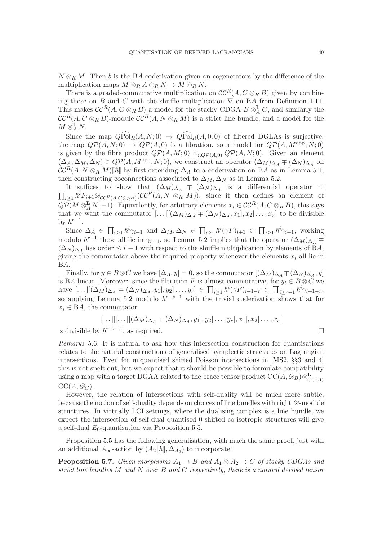$N \otimes_R M$ . Then b is the BA-coderivation given on cogenerators by the difference of the multiplication maps  $M \otimes_R A \otimes_R N \to M \otimes_R N$ .

There is a graded-commutative multiplication on  $\mathcal{CC}^R(A, C \otimes_R B)$  given by combining those on B and C with the shuffle multiplication  $\nabla$  on BA from Definition [1.11.](#page-7-2) This makes  $\mathcal{CC}^{R}(A, C \otimes_{R} B)$  a model for the stacky CDGA  $B \otimes_A^{\mathbf{L}} C$ , and similarly the  $\mathcal{CC}^{R}(A, C \otimes_{R} B)$ -module  $\mathcal{CC}^{R}(A, N \otimes_{R} M)$  is a strict line bundle, and a model for the  $M\otimes_A^{\mathbf{L}} N.$ 

Since the map  $\widehat{QPol}_R(A, N; 0) \rightarrow \widehat{QPol}_R(A, 0; 0)$  of filtered DGLAs is surjective, the map  $QP(A, N; 0) \rightarrow QP(A, 0)$  is a fibration, so a model for  $QP(A, M^{\text{opp}}, N; 0)$ is given by the fibre product  $Q\mathcal{P}(A,M;0) \times_{i, Q\mathcal{P}(A,0)} Q\mathcal{P}(A,N;0)$ . Given an element  $(\Delta_A, \Delta_M, \Delta_N) \in QP(A, M^{\text{opp}}, N; 0)$ , we construct an operator  $(\Delta_M)_{\Delta_A} \mp (\Delta_N)_{\Delta_A}$  on  $\mathcal{CC}^{R}(A, N \otimes_R M)[\![\hbar]\!]$  by first extending  $\Delta_A$  to a coderivation on BA as in Lemma [5.1,](#page-46-0) then constructing coconnections associated to  $\Delta_M$ ,  $\Delta_N$  as in Lemma [5.2.](#page-46-1)

It suffices to show that  $(\Delta_M)_{\Delta_A}$   $\mp$   $(\Delta_N)_{\Delta_A}$  is a differential operator in  $\prod_{i\geq 1} \hbar^i F_{i+1} \mathscr{D}_{\mathcal{CC}^R(A,C\otimes_R B)}(\mathcal{CC}^R(A,N\otimes_R M))$ , since it then defines an element of  $Q\overline{\mathcal{P}}(M\otimes_A^{\mathbf{L}} N,-1)$ . Equivalently, for arbitrary elements  $x_i\in \mathcal{CC}^{R}(A,C\otimes_R B)$ , this says that we want the commutator  $[\dots[[(\Delta_M)_{\Delta_A} \mp (\Delta_N)_{\Delta_A}, x_1], x_2] \dots, x_r]$  to be divisible by  $\hbar^{r-1}$ .

Since  $\Delta_A \in \prod_{i\geq 1} \hbar^i \gamma_{i+1}$  and  $\Delta_M, \Delta_N \in \prod_{i\geq 1} \hbar^i (\gamma F)_{i+1} \subset \prod_{i\geq 1} \hbar^i \gamma_{i+1}$ , working modulo  $\hbar^{r-1}$  these all lie in  $\gamma_{r-1}$ , so Lemma [5.2](#page-46-1) implies that the operator  $(\Delta_M)_{\Delta_A}$  ∓  $(\Delta_N)_{\Delta_A}$  has order  $\leq r-1$  with respect to the shuffle multiplication by elements of BA, giving the commutator above the required property whenever the elements  $x_i$  all lie in BA.

Finally, for  $y \in B \otimes C$  we have  $[\Delta_A, y] = 0$ , so the commutator  $[(\Delta_M)_{\Delta_A} \mp (\Delta_N)_{\Delta_A}, y]$ is BA-linear. Moreover, since the filtration F is almost commutative, for  $y_i \in B \otimes C$  we have  $[\dots[[(\Delta_M)_{\Delta_A} \mp (\Delta_N)_{\Delta_A}, y_1], y_2] \dots, y_r] \in \prod_{i \geq 1} \hbar^i(\gamma F)_{i+1-r} \subset \prod_{i \geq r-1} \hbar^i \gamma_{i+1-r}$ so applying Lemma [5.2](#page-46-1) modulo  $\hbar^{r+s-1}$  with the trivial coderivation shows that for  $x_i \in BA$ , the commutator

$$
[\dots[[\dots[[(\Delta_M)_{\Delta_A} \mp (\Delta_N)_{\Delta_A}, y_1], y_2] \dots, y_r], x_1], x_2] \dots, x_s]
$$

is divisible by  $\hbar^{r+s-1}$ , as required.  $□$ 

<span id="page-48-1"></span>Remarks 5.6. It is natural to ask how this intersection construction for quantisations relates to the natural constructions of generalised symplectic structures on Lagrangian intersections. Even for unquantised shifted Poisson intersections in [\[MS2,](#page-59-17) §§3 and 4] this is not spelt out, but we expect that it should be possible to formulate compatibility using a map with a target DGAA related to the brace tensor product  $\text{CC}(A, \mathscr{D}_B) \otimes_{\text{CC}(A)}^{\mathbf{L}}$  $CC(A, \mathscr{D}_C)$ .

However, the relation of intersections with self-duality will be much more subtle, because the notion of self-duality depends on choices of line bundles with right  $\mathscr{D}$ -module structures. In virtually LCI settings, where the dualising complex is a line bundle, we expect the intersection of self-dual quantised 0-shifted co-isotropic structures will give a self-dual  $E_0$ -quantisation via Proposition [5.5.](#page-47-0)

Proposition [5.5](#page-47-0) has the following generalisation, with much the same proof, just with an additional  $A_{\infty}$ -action by  $(A_2[\![\hbar]\!], \Delta_{A_2})$  to incorporate:

<span id="page-48-0"></span>**Proposition 5.7.** Given morphisms  $A_1 \rightarrow B$  and  $A_1 \otimes A_2 \rightarrow C$  of stacky CDGAs and strict line bundles  $M$  and  $N$  over  $B$  and  $C$  respectively, there is a natural derived tensor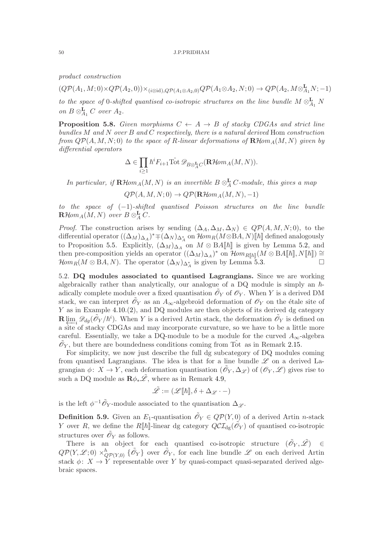product construction

 $(Q\mathcal{P}(A_1,M;0) \times Q\mathcal{P}(A_2,0)) \times_{(i \otimes \text{id}), Q\mathcal{P}(A_1 \otimes A_2,0)} Q\mathcal{P}(A_1 \otimes A_2, N;0) \to Q\mathcal{P}(A_2,M \otimes_{A_1}^{\mathbf{L}} N;-1)$ 

to the space of 0-shifted quantised co-isotropic structures on the line bundle  $M \otimes_{A_1}^{\mathbf{L}} N$ on  $B \otimes_{A_1}^{\mathbf{L}} C$  over  $A_2$ .

<span id="page-49-1"></span>**Proposition 5.8.** Given morphisms  $C \leftarrow A \rightarrow B$  of stacky CDGAs and strict line bundles  $M$  and  $N$  over  $B$  and  $C$  respectively, there is a natural derived Hom construction from  $Q\mathcal{P}(A, M, N; 0)$  to the space of R-linear deformations of  $\mathbf{R}\mathcal{H}$ om $_A(M, N)$  given by differential operators

$$
\Delta\in \prod_{i\geq 1}\hbar^iF_{i+1}\hat{\operatorname{Tot}}\mathscr{D}_{B\otimes^{\mathbf{L}}_{A}C}(\mathbf{R}\mathcal{H}\hspace{-0.06cm}\mathit{om}_A(M,N)).
$$

In particular, if  $\mathbf{R}$ Hom<sub>A</sub> $(M, N)$  is an invertible  $B \otimes_A^{\mathbf{L}} C$ -module, this gives a map

$$
Q\mathcal{P}(A,M,N;0) \to Q\mathcal{P}(\mathbf{R}\mathcal{H}\text{om}_A(M,N),-1)
$$

to the space of  $(-1)$ -shifted quantised Poisson structures on the line bundle  $\mathbf{R}\mathcal{H}\hspace{-1pt}\mathit{om}_A(M,N)$  over  $B\mathop{\otimes}^\mathbf{L}_A C$ .

*Proof.* The construction arises by sending  $(\Delta_A, \Delta_M, \Delta_N) \in QP(A, M, N; 0)$ , to the differential operator  $((\Delta_M)_{\Delta_A})^* \mp (\Delta_N)_{\Delta_A^*}$  on  $\mathcal{H}om_R(M \otimes BA, N)[\![\hbar]\!]$  defined analogously to Proposition [5.5.](#page-47-0) Explicitly,  $(\Delta_M)_{\Delta_A}$  on  $M \otimes BA[\![\hbar]\!]$  is given by Lemma [5.2,](#page-46-1) and then pre-composition yields an operator  $((\Delta_M)_{\Delta_A})^*$  on  $\mathcal{H}om_{R[\![\hbar]\!]}(M \otimes BA[\![\hbar]\!], N[\![\hbar]\!]) \cong$  $\mathcal{H}om_R(M \otimes \mathrm{B}A, N)$ . The operator  $(\Delta_N)_{\Delta_A^*}$  is given by Lemma [5.3.](#page-47-1)

<span id="page-49-0"></span>5.2. DQ modules associated to quantised Lagrangians. Since we are working algebraically rather than analytically, our analogue of a DQ module is simply an  $\hbar$ adically complete module over a fixed quantisation  $\tilde{\mathcal{O}}_Y$  of  $\mathcal{O}_Y$ . When Y is a derived DM stack, we can interpret  $\tilde{\mathscr{O}}_Y$  as an  $A_{\infty}$ -algebroid deformation of  $\mathscr{O}_Y$  on the étale site of Y as in Example [4.10.](#page-37-0)[\(2\)](#page-37-2), and DQ modules are then objects of its derived dg category  $\mathbf{R} \varprojlim_i \mathscr{D}_{dg}(\tilde{\mathscr{O}}_Y/\hbar^i)$ . When Y is a derived Artin stack, the deformation  $\tilde{\mathscr{O}}_Y$  is defined on a site of stacky CDGAs and may incorporate curvature, so we have to be a little more careful. Essentially, we take a DQ-module to be a module for the curved  $A_{\infty}$ -algebra  $\tilde{\mathcal{O}}_Y$ , but there are boundedness conditions coming from Tot as in Remark [2.15.](#page-18-1)

For simplicity, we now just describe the full dg subcategory of DQ modules coming from quantised Lagrangians. The idea is that for a line bundle  $\mathscr L$  on a derived Lagrangian  $\phi: X \to Y$ , each deformation quantisation  $(\tilde{\mathcal{O}}_Y, \Delta_{\mathscr{L}})$  of  $(\mathcal{O}_Y, \mathscr{L})$  gives rise to such a DQ module as  $\mathbb{R}\phi_*\tilde{\mathscr{L}}$ , where as in Remark [4.9,](#page-36-1)

$$
\tilde{\mathscr{L}} := (\mathscr{L}[\![\hbar]\!], \delta + \Delta_{\mathscr{L}} \cdot -)
$$

is the left  $\phi^{-1}\tilde{\mathcal{O}}_Y$ -module associated to the quantisation  $\Delta_{\mathscr{L}}$ .

<span id="page-49-2"></span>**Definition 5.9.** Given an  $E_1$ -quantisation  $\tilde{\mathcal{O}}_Y \in Q\mathcal{P}(Y,0)$  of a derived Artin *n*-stack Y over R, we define the R[[h]-linear dg category  $QCL_{dg}(\tilde{\mathscr{O}}_Y)$  of quantised co-isotropic structures over  $\tilde{\mathscr{O}}_Y$  as follows.

There is an object for each quantised co-isotropic structure  $(\tilde{\mathscr{O}}_Y, \tilde{\mathscr{L}}) \in$  $Q\mathcal{P}(Y,\mathcal{L};0) \times_{Q\mathcal{P}(Y,0)}^h \{\tilde{\mathcal{O}}_Y\}$  over  $\tilde{\mathcal{O}}_Y$ , for each line bundle  $\mathcal{L}$  on each derived Artin stack  $\phi: X \to Y$  representable over Y by quasi-compact quasi-separated derived algebraic spaces.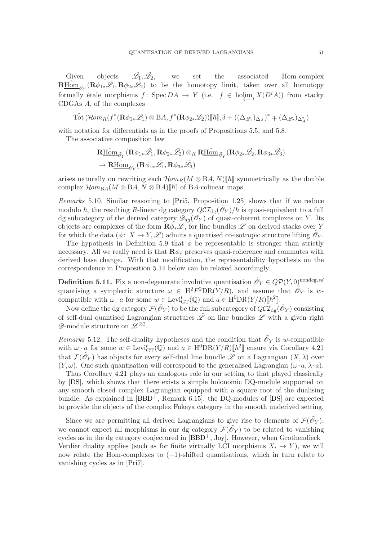Given objects  $\tilde{\mathscr{L}_1}, \tilde{\mathscr{L}_2},$ we set the associated Hom-complex  $\mathbf{R\underline{H}\hat{\boldsymbol{\omega}}_{\tilde{\mathcal{O}}}}(\mathbf{R}\phi_{1*}\tilde{\mathscr{L}}_1,\mathbf{R}\phi_{2*}\tilde{\mathscr{L}}_2)$  to be the homotopy limit, taken over all homotopy formally étale morphisms  $f: \text{Spec } DA \to Y$  (i.e.  $f \in \text{holim}_{i} X(D^{i}A)$ ) from stacky CDGAs A, of the complexes

$$
\hat{\operatorname{Tot}}\left( \mathcal{H}om_R(f^*(\mathbf{R} \phi_{1*}\mathscr{L}_1) \otimes \operatorname{B}\! A, f^*(\mathbf{R} \phi_{2*}\mathscr{L}_2))[\![\hbar]\!], \delta + ((\Delta_{\mathscr{L}_1})_{\Delta_A})^* \mp (\Delta_{\mathscr{L}_2})_{\Delta_A^*} \right)
$$

with notation for differentials as in the proofs of Propositions [5.5,](#page-47-0) and [5.8.](#page-49-1)

The associative composition law

$$
\begin{aligned} &\mathbf{R}\underline{\operatorname{Hom}}_{\tilde{\mathcal{O}}_{Y}}(\mathbf{R}\phi_{1*}\tilde{\mathscr{L}_{1}},\mathbf{R}\phi_{2*}\tilde{\mathscr{L}_{2}})\otimes_{R}\mathbf{R}\underline{\operatorname{Hom}}_{\tilde{\mathcal{O}}_{Y}}(\mathbf{R}\phi_{2*}\tilde{\mathscr{L}_{2}},\mathbf{R}\phi_{3*}\tilde{\mathscr{L}_{3}})\\ &\to\mathbf{R}\underline{\operatorname{Hom}}_{\tilde{\mathcal{O}}_{Y}}(\mathbf{R}\phi_{1*}\tilde{\mathscr{L}_{1}},\mathbf{R}\phi_{3*}\tilde{\mathscr{L}_{3}}) \end{aligned}
$$

arises naturally on rewriting each  $\mathcal{H}om_B(M \otimes BA, N)\llbracket \hbar \rrbracket$  symmetrically as the double complex  $\mathcal{H}om_{BA}(M \otimes BA, N \otimes BA)\llbracket \hbar \rrbracket$  of BA-colinear maps.

Remarks 5.10. Similar reasoning to [\[Pri5,](#page-59-1) Proposition [1.25\]](#page-11-2) shows that if we reduce modulo  $\hbar$ , the resulting R-linear dg category  $QCL_{dg}(\tilde{\mathscr{O}}_Y)/\hbar$  is quasi-equivalent to a full dg subcategory of the derived category  $\mathscr{D}_{dq}(\mathscr{O}_Y)$  of quasi-coherent complexes on Y. Its objects are complexes of the form  $\mathbf{R}\phi_*\mathscr{L}$ , for line bundles  $\mathscr{L}$  on derived stacks over Y for which the data  $(\phi: X \to Y, \mathcal{L})$  admits a quantised co-isotropic structure lifting  $\tilde{\mathcal{O}}_Y$ .

The hypothesis in Definition [5.9](#page-49-2) that  $\phi$  be representable is stronger than strictly necessary. All we really need is that  $\mathbf{R}\phi_*$  preserves quasi-coherence and commutes with derived base change. With that modification, the representability hypothesis on the correspondence in Proposition [5.14](#page-52-0) below can be relaxed accordingly.

<span id="page-50-0"></span>**Definition 5.11.** Fix a non-degenerate involutive quantisation  $\tilde{\mathscr{O}}_Y \in Q\mathcal{P}(Y,0)^{\text{nondeg}, sd}$ quantising a symplectic structure  $\omega \in H^2F^2DR(Y/R)$ , and assume that  $\tilde{\mathscr{O}}_Y$  is wcompatible with  $\omega \cdot a$  for some  $w \in \text{Levi}_{GT}^t(\mathbb{Q})$  and  $a \in H^0 \text{DR}(Y/R)[\![\hbar^2]\!]$ .

Now define the dg category  $\mathcal{F}(\tilde{\mathscr{O}}_Y)$  to be the full subcategory of  $Q\mathcal{C}\mathcal{I}_{\rm dg}(\tilde{\mathscr{O}}_Y)$  consisting of self-dual quantised Lagrangian structures  $\tilde{\mathscr{L}}$  on line bundles  $\mathscr{L}$  with a given right  $\mathscr{D}$ -module structure on  $\mathscr{L}^{\otimes 2}$ .

Remarks 5.12. The self-duality hypotheses and the condition that  $\tilde{\mathcal{O}}_Y$  is w-compatible with  $\omega \cdot a$  for some  $w \in \text{Levi}_{GT}^t(\mathbb{Q})$  and  $a \in H^0DR(Y/R)[\hbar^2]$  ensure via Corollary [4.21](#page-41-1) that  $\mathcal{F}(\tilde{\mathcal{O}}_Y)$  has objects for every self-dual line bundle  $\mathscr{L}$  on a Lagrangian  $(X, \lambda)$  over  $(Y, \omega)$ . One such quantisation will correspond to the generalised Lagrangian  $(\omega \cdot a, \lambda \cdot a)$ .

Thus Corollary [4.21](#page-41-1) plays an analogous role in our setting to that played classically by [\[DS\]](#page-58-1), which shows that there exists a simple holonomic DQ-module supported on any smooth closed complex Lagrangian equipped with a square root of the dualising bundle. As explained in  $[BBD^+,$  Remark 6.15], the DQ-modules of  $[DS]$  are expected to provide the objects of the complex Fukaya category in the smooth underived setting.

Since we are permitting all derived Lagrangians to give rise to elements of  $\mathcal{F}(\tilde{\mathcal{O}}_Y)$ , we cannot expect all morphisms in our dg category  $\mathcal{F}(\tilde{\mathcal{O}}_Y)$  to be related to vanishing cycles as in the dg category conjectured in  $[BBD^+, Joy]$  $[BBD^+, Joy]$ . However, when Grothendieck– Verdier duality applies (such as for finite virtually LCI morphisms  $X_i \to Y$ ), we will now relate the Hom-complexes to  $(-1)$ -shifted quantisations, which in turn relate to vanishing cycles as in [\[Pri7\]](#page-59-2).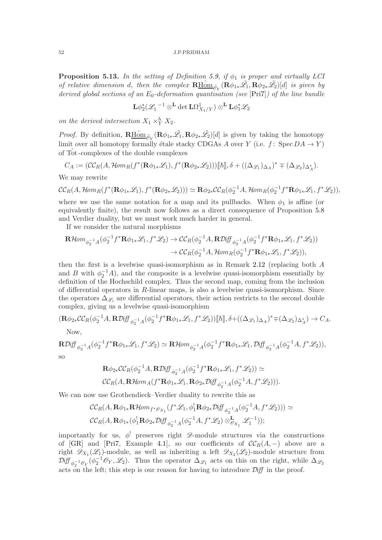<span id="page-51-0"></span>**Proposition 5.13.** In the setting of Definition [5.9,](#page-49-2) if  $\phi_1$  is proper and virtually LCI of relative dimension d, then the complex  $\mathbf{R\underline{H\hat{o}m}}_{\tilde{\mathcal{O}}_Y}(\mathbf{R}\phi_{1*}\tilde{\mathscr{L}_1},\mathbf{R}\phi_{2*}\tilde{\mathscr{L}_2})[d]$  is given by derived global sections of an  $E_0$ -deformation quantisation (see [\[Pri7\]](#page-59-2)) of the line bundle

$$
\mathbf{L} \phi_2^*({\mathscr L_1}^{-1}\otimes^{\mathbf{L}} \det \mathbf{L}\Omega^1_{X_1/Y})\otimes^{\mathbf{L}} \mathbf{L} \phi_1^*{\mathscr L_2}
$$

on the derived intersection  $X_1 \times_Y^h X_2$ .

*Proof.* By definition,  $\mathbf{R\underline{Hom}}_{\tilde{\mathcal{O}}_Y}(\mathbf{R}\phi_{1*}\tilde{\mathscr{L}_1}, \mathbf{R}\phi_{2*}\tilde{\mathscr{L}_2})[d]$  is given by taking the homotopy limit over all homotopy formally étale stacky CDGAs A over Y (i.e. f: Spec  $DA \rightarrow Y$ ) of Tot-complexes of the double complexes

$$
C_A := (\mathcal{CC}_R(A, \mathcal{H}om_R(f^*(\mathbf{R}\phi_{1*}\mathscr{L}_1), f^*(\mathbf{R}\phi_{2*}\mathscr{L}_2)))[[\hbar]], \delta + ((\Delta_{\mathscr{L}_1})_{\Delta_A})^* \mp (\Delta_{\mathscr{L}_2})_{\Delta_A^*}).
$$

We may rewrite

$$
\mathcal{CC}_R(A, \mathcal{H}om_R(f^*(\mathbf{R}\phi_{1*}\mathscr{L}_1), f^*(\mathbf{R}\phi_{2*}\mathscr{L}_2))) \simeq \mathbf{R}\phi_{2*}\mathcal{CC}_R(\phi_2^{-1}A, \mathcal{H}om_R(\phi_2^{-1}f^*\mathbf{R}\phi_{1*}\mathscr{L}_1, f^*\mathscr{L}_2)),
$$

where we use the same notation for a map and its pullbacks. When  $\phi_1$  is affine (or equivalently finite), the result now follows as a direct consequence of Proposition [5.8](#page-49-1) and Verdier duality, but we must work much harder in general.

If we consider the natural morphisms

$$
\mathbf{R}\mathcal{H}\text{om}_{\phi_2^{-1}A}(\phi_2^{-1}f^*\mathbf{R}\phi_{1*}\mathscr{L}_1, f^*\mathscr{L}_2) \to \mathcal{CC}_R(\phi_2^{-1}A, \mathbf{R}\mathcal{D}\text{iff}_{\phi_2^{-1}A}(\phi_2^{-1}f^*\mathbf{R}\phi_{1*}\mathscr{L}_1, f^*\mathscr{L}_2))
$$

$$
\to \mathcal{CC}_R(\phi_2^{-1}A, \mathcal{H}\text{om}_R(\phi_2^{-1}f^*\mathbf{R}\phi_{1*}\mathscr{L}_1, f^*\mathscr{L}_2)),
$$

then the first is a levelwise quasi-isomorphism as in Remark [2.12](#page-18-2) (replacing both  $A$ and B with  $\phi_2^{-1}A$ , and the composite is a levelwise quasi-isomorphism essentially by definition of the Hochschild complex. Thus the second map, coming from the inclusion of differential operators in  $R$ -linear maps, is also a levelwise quasi-isomorphism. Since the operators  $\Delta_{\mathscr{L}_i}$  are differential operators, their action restricts to the second double complex, giving us a levelwise quasi-isomorphism

$$
(\mathbf{R}\phi_{2*}\mathcal{C}\mathcal{C}_{R}(\phi_{2}^{-1}A,\mathbf{R}\mathcal{D}\mathit{iff}\_{\phi_{2}^{-1}A}(\phi_{2}^{-1}f^{*}\mathbf{R}\phi_{1*}\mathcal{L}_{1},f^{*}\mathcal{L}_{2}))\llbracket\hbar\rrbracket,\delta+\left((\Delta_{\mathcal{L}_{1}})_{\Delta_{A}}\right)^{*}\mp\left(\Delta_{\mathcal{L}_{2}}\right)_{\Delta_{A}^{*}})\rightarrow C_{A}.
$$

Now,

$$
\mathbf{R}\mathcal{D}iff_{\phi_2^{-1}A}(\phi_2^{-1}f^*\mathbf{R}\phi_{1*}\mathcal{L}_1, f^*\mathcal{L}_2) \simeq \mathbf{R}\mathcal{H}om_{\phi_2^{-1}A}(\phi_2^{-1}f^*\mathbf{R}\phi_{1*}\mathcal{L}_1, \mathcal{D}iff_{\phi_2^{-1}A}(\phi_2^{-1}A, f^*\mathcal{L}_2)),
$$
 so

$$
\mathbf{R}\phi_{2*}\mathcal{C}\mathcal{C}_R(\phi_2^{-1}A,\mathbf{R}\mathcal{D}\mathit{iff}_{\phi_2^{-1}A}(\phi_2^{-1}f^*\mathbf{R}\phi_{1*}\mathcal{L}_1,f^*\mathcal{L}_2)) \simeq
$$
  

$$
\mathcal{C}\mathcal{C}_R(A,\mathbf{R}\mathcal{H}\text{om}_A(f^*\mathbf{R}\phi_{1*}\mathcal{L}_1,\mathbf{R}\phi_{2*}\mathcal{D}\mathit{iff}_{\phi_2^{-1}A}(\phi_2^{-1}A,f^*\mathcal{L}_2))).
$$

We can now use Grothendieck–Verdier duality to rewrite this as

$$
\mathcal{CC}_{R}(A, \mathbf{R}\phi_{1*}\mathbf{R}\mathcal{H}om_{f^*\mathscr{O}_{X_1}}(f^*\mathscr{L}_1, \phi_1^1\mathbf{R}\phi_{2*}\mathcal{D}\mathcal{H}\phi_{2^{-1}A}(\phi_2^{-1}A, f^*\mathscr{L}_2))) \simeq
$$
  

$$
\mathcal{CC}_{R}(A, \mathbf{R}\phi_{1*}(\phi_1^1\mathbf{R}\phi_{2*}\mathcal{D}\mathcal{H}\phi_2^{-1}A(\phi_2^{-1}A, f^*\mathscr{L}_2) \otimes_{\mathscr{O}_{X_1}}^{\mathbf{L}}\mathscr{L}_1^{-1}));
$$

importantly for us,  $\phi^!$  preserves right  $\mathscr{D}$ -module structures via the constructions of [\[GR\]](#page-58-11) and [\[Pri7,](#page-59-2) Example [4.1\]](#page-33-2), so our coefficients of  $\mathcal{C}\mathcal{C}_R(A,-)$  above are a right  $\mathscr{D}_{X_1}(\mathscr{L}_1)$ -module, as well as inheriting a left  $\mathscr{D}_{X_2}(\mathscr{L}_2)$ -module structure from  $\mathcal{D}iff_{\phi_2^{-1}\mathscr{O}_Y}(\phi_2^{-1}\mathscr{O}_Y,\mathscr{L}_2)$ . Thus the operator  $\Delta_{\mathscr{L}_1}$  acts on this on the right, while  $\Delta_{\mathscr{L}_2}$ acts on the left; this step is our reason for having to introduce  $\mathcal{D}iff$  in the proof.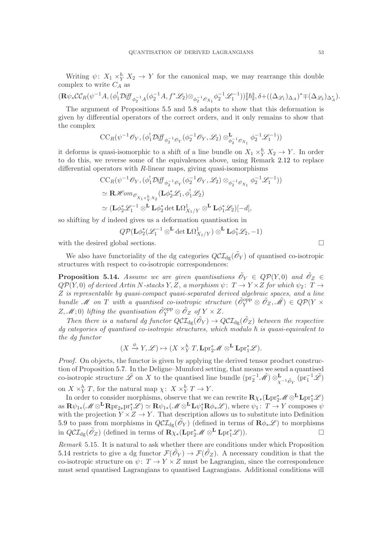Writing  $\psi: X_1 \times_Y^h X_2 \to Y$  for the canonical map, we may rearrange this double complex to write  $C_A$  as

$$
(\mathbf{R}\psi_*\mathcal{CC}_R(\psi^{-1}A, (\phi_1^!\mathcal{D}\mathrm{iff}_{\phi_2^{-1}A}(\phi_2^{-1}A, f^*\mathscr{L}_2)\otimes_{\phi_2^{-1}\mathscr{O}_{X_1}}\phi_2^{-1}\mathscr{L}_1^{-1}))\llbracket \hbar \rrbracket, \delta + ((\Delta_{\mathscr{L}_1})_{\Delta_A})^* \mp (\Delta_{\mathscr{L}_2})_{\Delta_A^*}).
$$

The argument of Propositions [5.5](#page-47-0) and [5.8](#page-49-1) adapts to show that this deformation is given by differential operators of the correct orders, and it only remains to show that the complex

$$
\text{CC}_{R}(\psi^{-1} \mathscr{O}_{Y}, (\phi_{1}^{!}\mathcal{D}{\rm i} \mathit{ff}_{\phi_{2}^{-1}\mathscr{O}_{Y}}(\phi_{2}^{-1}\mathscr{O}_{Y}, \mathscr{L}_{2})\otimes_{\phi_{2}^{-1}\mathscr{O}_{X_{1}}}^{\mathbf{L}} \phi_{2}^{-1}\mathscr{L}_{1}^{-1}))
$$

it deforms is quasi-isomorphic to a shift of a line bundle on  $X_1 \times_Y^h X_2 \to Y$ . In order to do this, we reverse some of the equivalences above, using Remark [2.12](#page-18-2) to replace differential operators with  $R$ -linear maps, giving quasi-isomorphisms

$$
\begin{split} &\text{CC}_{R}(\psi^{-1}\mathscr{O}_{Y},(\phi_{1}^{!}\mathcal{D}{\rm i}\mathit{ff}_{\phi_{2}^{-1}\mathscr{O}_{Y}}(\phi_{2}^{-1}\mathscr{O}_{Y},\mathscr{L}_{2})\otimes_{\phi_{2}^{-1}\mathscr{O}_{X_{1}}}\phi_{2}^{-1}\mathscr{L}_{1}^{-1}))\\ &\simeq \mathbf{R}\mathscr{H}\hspace{-1pt}\mathit{om}_{\mathscr{O}_{X_{1}\times_{Y}^{k}X_{2}}}(\mathbf{L}\phi_{2}^{*}\mathscr{L}_{1},\phi_{1}^{!}\mathscr{L}_{2})\\ &\simeq (\mathbf{L}\phi_{2}^{*}\mathscr{L}_{1}^{-1}\otimes^{\mathbf{L}}\mathbf{L}\phi_{2}^{*}\det\mathbf{L}\Omega_{X_{1}/Y}^{1}\otimes^{\mathbf{L}}\mathbf{L}\phi_{1}^{*}\mathscr{L}_{2})[-d], \end{split}
$$

so shifting by d indeed gives us a deformation quantisation in

$$
Q\mathcal{P}(\mathbf{L}\phi_2^*(\mathscr{L}_1^{-1}\otimes^{\mathbf{L}}\det\mathbf{L}\Omega^1_{X_1/Y})\otimes^{\mathbf{L}}\mathbf{L}\phi_1^*\mathscr{L}_2,-1)
$$

with the desired global sections.  $\Box$ 

We also have functoriality of the dg categories  $Q\mathcal{CI}_{dg}(\tilde{\mathcal{O}}_Y)$  of quantised co-isotropic structures with respect to co-isotropic correspondences:

<span id="page-52-0"></span>**Proposition 5.14.** Assume we are given quantisations  $\tilde{\mathscr{O}}_Y \in Q\mathcal{P}(Y,0)$  and  $\tilde{\mathscr{O}}_Z \in$  $QP(Y,0)$  of derived Artin N-stacks Y, Z, a morphism  $\psi: T \to Y \times Z$  for which  $\psi_2: T \to Y \times Z$ Z is representable by quasi-compact quasi-separated derived algebraic spaces, and a line bundle M on T with a quantised co-isotropic structure  $(\tilde{\mathcal{O}}_Y^{\text{opp}} \otimes \tilde{\mathcal{O}}_Z, \tilde{\mathcal{M}}) \in Q\mathcal{P}(Y \times$  $(Z, \mathscr{M}; 0)$  lifting the quantisation  $\tilde{\mathscr{O}}_Y^{\text{opp}} \otimes \tilde{\mathscr{O}}_Z$  of  $Y \times Z$ .

Then there is a natural dg functor  $Q\mathcal{CI}_{dg}(\tilde{\mathcal{O}}_Y) \to Q\mathcal{CI}_{dg}(\tilde{\mathcal{O}}_Z)$  between the respective  $dq$  categories of quantised co-isotropic structures, which modulo  $\hbar$  is quasi-equivalent to the dg functor

$$
(X \xrightarrow{\phi} Y, \mathscr{L}) \mapsto (X \times_Y^h T, \mathbf{L} \mathrm{pr}_2^* \mathscr{M} \otimes^{\mathbf{L}} \mathbf{L} \mathrm{pr}_1^* \mathscr{L}).
$$

Proof. On objects, the functor is given by applying the derived tensor product construction of Proposition [5.7.](#page-48-0) In the Deligne–Mumford setting, that means we send a quantised co-isotropic structure  $\tilde{\mathscr{L}}$  on X to the quantised line bundle  $(\text{pr}_2^{-1}\tilde{\mathscr{M}}) \otimes_{\chi^{-1}\tilde{\mathscr{O}}_{\chi}}^{\mathbf{L}} (\text{pr}_1^{-1}\tilde{\mathscr{L}})$ on  $X \times_Y^h T$ , for the natural map  $\chi: X \times_Y^h T \to Y$ .

In order to consider morphisms, observe that we can rewrite  $\mathbf{R} \chi_*(\mathbf{L} \mathrm{pr}_2^* \mathscr{M} \otimes^{\mathbf{L}} \mathbf{L} \mathrm{pr}_1^* \mathscr{L})$  $\text{as } \mathbf{R} \psi_{1*}(\mathscr{M} \otimes^{\mathbf{L}} \mathbf{R} \text{pr}_{2*} \text{pr}_1^* \mathscr{L}) \simeq \mathbf{R} \psi_{1*}(\mathscr{M} \otimes^{\mathbf{L}} \mathbf{L} \psi_1^* \mathbf{R} \phi_* \mathscr{L}), \text{ where } \psi_1: T \to Y \text{ composes } \psi_2$ with the projection  $Y \times Z \to Y$ . That description allows us to substitute into Definition [5.9](#page-49-2) to pass from morphisms in  $QCL_{dg}(\tilde{\mathscr{O}}_Y)$  (defined in terms of  $\mathbf{R}\phi_*\mathscr{L}$ ) to morphisms in  $Q\mathcal{CI}_{dg}(\tilde{\mathscr{O}}_Z)$  (defined in terms of  $\mathbf{R}\chi_*(\mathbf{Lpr}_2^*\mathscr{M}\otimes^{\mathbf{L}}\mathbf{Lpr}_1^*\mathscr{L})$ ).

Remark 5.15. It is natural to ask whether there are conditions under which Proposition [5.14](#page-52-0) restricts to give a dg functor  $\mathcal{F}(\tilde{\mathcal{O}}_Y) \to \mathcal{F}(\tilde{\mathcal{O}}_Z)$ . A necessary condition is that the co-isotropic structure on  $\psi: T \to Y \times Z$  must be Lagrangian, since the correspondence must send quantised Lagrangians to quantised Lagrangians. Additional conditions will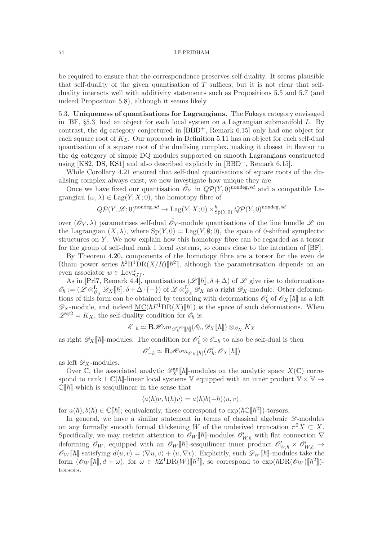be required to ensure that the correspondence preserves self-duality. It seems plausible that self-duality of the given quantisation of  $T$  suffices, but it is not clear that selfduality interacts well with additivity statements such as Propositions [5.5](#page-47-0) and [5.7](#page-48-0) (and indeed Proposition [5.8\)](#page-49-1), although it seems likely.

<span id="page-53-0"></span>5.3. Uniqueness of quantisations for Lagrangians. The Fukaya category envisaged in [\[BF,](#page-58-3) §5.3] had an object for each local system on a Lagrangian submanifold L. By contrast, the dg category conjectured in [\[BBD](#page-58-4)+, Remark 6.15] only had one object for each square root of  $K_L$ . Our approach in Definition [5.11](#page-50-0) has an object for each self-dual quantisation of a square root of the dualising complex, making it closest in flavour to the dg category of simple DQ modules supported on smooth Lagrangians constructed using  $[KS2, DS, KS1]$  $[KS2, DS, KS1]$  $[KS2, DS, KS1]$  $[KS2, DS, KS1]$  and also described explicitly in  $[BBD^+,$  Remark 6.15].

While Corollary [4.21](#page-41-1) ensured that self-dual quantisations of square roots of the dualising complex always exist, we now investigate how unique they are.

Once we have fixed our quantisation  $\tilde{\mathcal{O}}_Y$  in  $Q\mathcal{P}(Y,0)$ <sup>nondeg,sd</sup> and a compatible Lagrangian  $(\omega, \lambda) \in \text{Lag}(Y, X; 0)$ , the homotopy fibre of

$$
Q\mathcal{P}(Y,\mathcal{L};0)^{\text{nondeg},sd} \to \text{Lag}(Y,X;0) \times_{\text{Sp}(Y,0)}^h Q\mathcal{P}(Y,0)^{\text{nondeg},sd}
$$

over  $(\tilde{\mathcal{O}}_Y, \lambda)$  parametrises self-dual  $\tilde{\mathcal{O}}_Y$ -module quantisations of the line bundle  $\mathscr L$  on the Lagrangian  $(X, \lambda)$ , where  $Sp(Y, 0) = \text{Lag}(Y, \emptyset; 0)$ , the space of 0-shifted symplectic structures on Y. We now explain how this homotopy fibre can be regarded as a torsor for the group of self-dual rank 1 local systems, so comes close to the intention of [\[BF\]](#page-58-3).

By Theorem [4.20,](#page-40-0) components of the homotopy fibre are a torsor for the even de Rham power series  $\hbar^2 H^1DR(X/R)[\hbar^2]$ , although the parametrisation depends on an even associator  $w \in \text{Levi}_{\text{GT}}^t$ .

As in [\[Pri7,](#page-59-2) Remark [4.4\]](#page-35-2), quantisations  $(\mathscr{L}[[\hbar]], \delta + \Delta)$  of  $\mathscr{L}$  give rise to deformations  $\mathscr{E}_{\hbar} := (\mathscr{L} \otimes_{\mathscr{O}_X}^{\mathbf{L}} \mathscr{D}_X [\![\hbar]\!], \delta + \Delta \cdot \{-\})$  of  $\mathscr{L} \otimes_{\mathscr{O}_X}^{\mathbf{L}} \mathscr{D}_X$  as a right  $\mathscr{D}_X$ -module. Other deformations of this form can be obtained by tensoring with deformations  $\mathcal{O}'_h$  of  $\mathcal{O}_X[\![\hbar]\!]$  as a left  $\mathscr{D}_X$ -module, and indeed  $\underline{\mathrm{MC}}(\hbar F^1 \mathrm{DR}(X)[\![\hbar]\!])$  is the space of such deformations. When  $\mathscr{L}^{\otimes 2} = K_X$ , the self-duality condition for  $\mathscr{E}_\hbar$  is

$$
\mathscr{E}_{-\hbar}\simeq\mathbf{R}\mathscr{H}\hspace{-1pt}\mathit{om}_{\mathscr{D}^{\mathrm{opp}}_{X}[\![\hbar]\!]}(\mathscr{E}_{\hbar},\mathscr{D}_{X}[\![\hbar]\!])\otimes_{\mathscr{O}_{X}}K_{X}
$$

as right  $\mathscr{D}_X[\![\hbar]\!]$ -modules. The condition for  $\mathscr{O}'_\hbar \otimes \mathscr{E}_{-\hbar}$  to also be self-dual is then

$$
\mathscr{O}'_{-\hbar} \simeq \mathbf{R}\mathscr{H}\hspace{-1pt}\mathit{om}_{\mathscr{O}_X[\![\hbar]\!]}(\mathscr{O}'_{\hbar},\mathscr{O}_X[\![\hbar]\!])
$$

as left  $\mathscr{D}_X$ -modules.

Over  $\mathbb{C}$ , the associated analytic  $\mathscr{D}_X^{\text{an}}[\![\hbar]\!]$ -modules on the analytic space  $X(\mathbb{C})$  correspond to rank 1  $\mathbb{C}[\![\hbar]\!]$ -linear local systems V equipped with an inner product  $\mathbb{V} \times \mathbb{V} \to$  $\mathbb{C}[\![\hbar]\!]$  which is sesquilinear in the sense that

$$
\langle a(\hbar)u, b(\hbar)v \rangle = a(\hbar)b(-\hbar)\langle u, v \rangle,
$$

for  $a(\hbar), b(\hbar) \in \mathbb{C}[\![\hbar]\!]$ ; equivalently, these correspond to  $\exp(\hbar \mathbb{C}[\![\hbar^2]\!])$ -torsors.

In general, we have a similar statement in terms of classical algebraic  $\mathscr{D}\text{-modules}$ on any formally smooth formal thickening W of the underived truncation  $\pi^0 X \subset X$ . Specifically, we may restrict attention to  $\mathscr{O}_W[\![\hbar]\!]$ -modules  $\mathscr{O}'_{W,\hbar}$  with flat connection  $\nabla$ deforming  $\mathscr{O}_W$ , equipped with an  $\mathscr{O}_W[\![\hbar]\!]$ -sesquilinear inner product  $\mathscr{O}'_{W,\hbar} \times \mathscr{O}'_{W,\hbar} \to$  $\mathscr{O}_W[\![\hbar]\!]$  satisfying  $d\langle u, v\rangle = \langle \nabla u, v\rangle + \langle u, \nabla v\rangle$ . Explicitly, such  $\mathscr{D}_W[\![\hbar]\!]$ -modules take the form  $(\mathscr{O}_W[\![\hbar]\!], d + \omega)$ , for  $\omega \in \hbar Z^1 \text{DR}(W)[\![\hbar^2]\!],$  so correspond to  $\exp(\hbar \text{DR}(\mathscr{O}_W)[\![\hbar^2]\!]).$ torsors.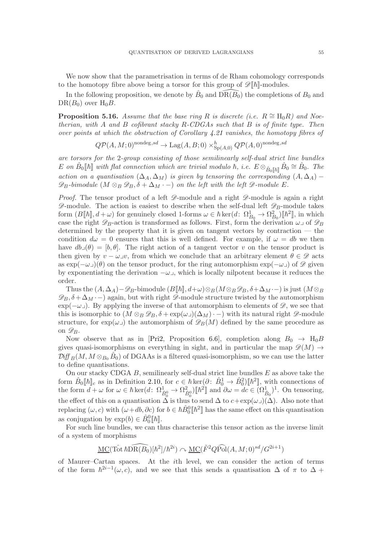We now show that the parametrisation in terms of de Rham cohomology corresponds to the homotopy fibre above being a torsor for this group of  $\mathscr{D}[\![\hbar]\!]$ -modules.

In the following proposition, we denote by  $\hat{B}_0$  and  $\widehat{\text{DR}(B_0)}$  the completions of  $B_0$  and  $DR(B_0)$  over  $H_0B$ .

<span id="page-54-0"></span>**Proposition 5.16.** Assume that the base ring R is discrete (i.e.  $R \cong H_0R$ ) and Noetherian, with  $A$  and  $B$  cofibrant stacky  $R$ -CDGAs such that  $B$  is of finite type. Then over points at which the obstruction of Corollary [4.21](#page-41-1) vanishes, the homotopy fibres of

 $Q\mathcal{P}(A,M;0)^{\text{nondeg},sd} \to \text{Lag}(A,B;0) \times_{\text{Sp}(A,0)}^h Q\mathcal{P}(A,0)^{\text{nondeg},sd}$ 

are torsors for the 2-group consisting of those semilinearly self-dual strict line bundles  $E$  on  $\hat{B}_0[\![\hbar]\!]$  with flat connection which are trivial modulo  $\hbar$ , i.e.  $E \otimes_{\hat{B}_0[\![\hbar]\!]} \hat{B}_0 \cong \hat{B}_0$ . The action on a quantisation  $(\Delta_A, \Delta_M)$  is given by tensoring the corresponding  $(A, \Delta_A)$  –  $\mathscr{D}_B$ -bimodule  $(M \otimes_B \mathscr{D}_B, \delta + \Delta_M \cdot -)$  on the left with the left  $\mathscr{D}$ -module E.

*Proof.* The tensor product of a left  $\mathscr{D}$ -module and a right  $\mathscr{D}$ -module is again a right  $\mathscr{D}$ -module. The action is easiest to describe when the self-dual left  $\mathscr{D}_B$ -module takes form  $(B[\![\hbar]\!], d + \omega)$  for genuinely closed 1-forms  $\omega \in \hbar \ker(d: \Omega^1_{B_0} \to \Omega^2_{B_0})[\![\hbar^2]\!],$  in which case the right  $\mathscr{D}_B$ -action is transformed as follows. First, form the derivation  $\omega \lrcorner$  of  $\mathscr{D}_B$ determined by the property that it is given on tangent vectors by contraction — the condition  $d\omega = 0$  ensures that this is well defined. For example, if  $\omega = db$  we then have  $db\lrcorner(\theta) = [b, \theta]$ . The right action of a tangent vector v on the tensor product is then given by  $v - \omega \mathcal{I}v$ , from which we conclude that an arbitrary element  $\theta \in \mathcal{D}$  acts as  $\exp(-\omega_{\perp})(\theta)$  on the tensor product, for the ring automorphism  $\exp(-\omega_{\perp})$  of  $\mathscr{D}$  given by exponentiating the derivation  $-\omega_{\perp}$ , which is locally nilpotent because it reduces the order.

Thus the  $(A, \Delta_A)$ – $\mathscr{D}_B$ -bimodule  $(B|\![\hbar]\!], d+\omega) \otimes_B (M \otimes_B \mathscr{D}_B, \delta+\Delta_M -)$  is just  $(M \otimes_B \mathscr{D}_B)$  $\mathscr{D}_B$ ,  $\delta + \Delta_M \cdot -$ ) again, but with right  $\mathscr{D}$ -module structure twisted by the automorphism exp( $-\omega$ ). By applying the inverse of that automorphism to elements of  $\mathscr{D}$ , we see that this is isomorphic to  $(M \otimes_B \mathscr{D}_B, \delta + \exp(\omega_{-1})(\Delta_M) \cdot -)$  with its natural right  $\mathscr{D}$ -module structure, for  $\exp(\omega)$  the automorphism of  $\mathscr{D}_B(M)$  defined by the same procedure as on  $\mathscr{D}_B$ .

Now observe that as in [\[Pri2,](#page-59-13) Proposition 6.6], completion along  $B_0 \rightarrow H_0B$ gives quasi-isomorphisms on everything in sight, and in particular the map  $\mathscr{D}(M) \rightarrow$  $\mathcal{Diff}_B(M, M \otimes_{B_0} \hat{B}_0)$  of DGAAs is a filtered quasi-isomorphism, so we can use the latter to define quantisations.

On our stacky CDGA  $B$ , semilinearly self-dual strict line bundles  $E$  as above take the form  $\hat{B}_0[\![\hbar]\!]_c$  as in Definition [2.10,](#page-17-1) for  $c \in \hbar \ker(\partial: \hat{B}_0^1 \to \hat{B}_0^2)[\![\hbar^2]\!]$ , with connections of the form  $d + \omega$  for  $\omega \in \hbar \ker(d: \Omega_{\hat{B}_0^0}^1 \to \Omega_{\hat{B}_0^0}^2) [\hbar^2]$  and  $\partial \omega = dc \in (\Omega_{\hat{B}_0}^1)^1$ . On tensoring, the effect of this on a quantisation  $\Delta$  is thus to send  $\Delta$  to  $c+\exp(\omega_{-})(\Delta)$ . Also note that replacing  $(\omega, c)$  with  $(\omega + db, \partial c)$  for  $b \in \hbar \hat{B}_0^0[\hbar^2]$  has the same effect on this quantisation as conjugation by  $\exp(b) \in \hat{B}_0^0[\![\hbar]\!]$ .

For such line bundles, we can thus characterise this tensor action as the inverse limit of a system of morphisms

$$
\underline{\mathrm{MC}}(\mathrm{Tot}\,\hbar\mathrm{DR}(\widehat{B_0})[\hbar^2]/\hbar^{2i}) \curvearrowright \underline{\mathrm{MC}}(\tilde{F}^2Q\widehat{\mathrm{Pol}}(A,M;0)^{sd}/G^{2i+1})
$$

of Maurer–Cartan spaces. At the ith level, we can consider the action of terms of the form  $\hbar^{2i-1}(\omega, c)$ , and we see that this sends a quantisation  $\Delta$  of  $\pi$  to  $\Delta$  +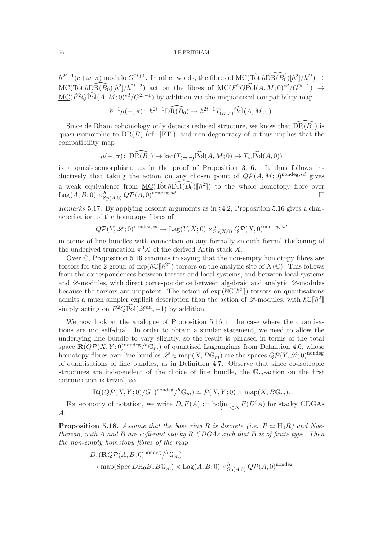$\hbar^{2i-1}(c+\omega_-\pi)$  modulo  $G^{2i+1}$ . In other words, the fibres of  $\underline{\mathrm{MC}}(\hat{\mathrm{Tot}} \hbar \widehat{\mathrm{DR}}(B_0)[\hbar^2]/\hbar^{2i}) \to$  $\underline{MC}(\tilde{\operatorname{Tot}} \hbar \widehat{\operatorname{DR}}(\widehat{B_0})[\hbar^2]/\hbar^{2i-2})$  act on the fibres of  $\underline{MC}(\tilde{F}^2Q\widehat{\operatorname{Pol}}(A,M;0)^{sd}/G^{2i+1}) \rightarrow$  $\underline{\mathrm{MC}}(\tilde{F}^2Q\widehat{\mathrm{Pol}}(A,M;0)^{sd}/G^{2i-1})$  by addition via the unquantised compatibility map

$$
\hbar^{-1}\mu(-,\pi)\colon \hbar^{2i-1}\widehat{\text{DR}(B_0)} \to \hbar^{2i-1}T_{(\varpi,\pi)}\widehat{\text{Pol}}(A,M;0).
$$

Since de Rham cohomology only detects reduced structure, we know that  $\widehat{\text{DR}}(\widehat{B_0})$  is quasi-isomorphic to DR(B) (cf. [\[FT\]](#page-58-15)), and non-degeneracy of  $\pi$  thus implies that the compatibility map

$$
\mu(-,\pi) \colon \widehat{\text{DR}(B_0)} \to \text{ker}(T_{(\varpi,\pi)}\widehat{\text{Pol}}(A,M;0) \to T_{\varpi}\widehat{\text{Pol}}(A,0))
$$

is a quasi-isomorphism, as in the proof of Proposition [3.16.](#page-29-0) It thus follows inductively that taking the action on any chosen point of  $Q\mathcal{P}(A, M; 0)$ <sup>nondeg,sd</sup> gives a weak equivalence from  $\underline{MC}(\hat{Tot} \hbar \widehat{DR(B_0)}[\![\hbar^2]\!])$  to the whole homotopy fibre over  $\text{Lag}(A,B;0)\times^{h}_{\text{Sp}(A,0)} Q\mathcal{P}(A,0)^{\text{nondeg}, sd}$ .

Remarks 5.17. By applying descent arguments as in §[4.2,](#page-35-0) Proposition [5.16](#page-54-0) gives a characterisation of the homotopy fibres of

$$
Q\mathcal{P}(Y,\mathcal{L};0)^{\text{nondeg},sd} \to \text{Lag}(Y,X;0) \times_{\text{Sp}(X,0)}^h Q\mathcal{P}(X,0)^{\text{nondeg},sd}
$$

in terms of line bundles with connection on any formally smooth formal thickening of the underived truncation  $\pi^0 X$  of the derived Artin stack X.

Over C, Proposition [5.16](#page-54-0) amounts to saying that the non-empty homotopy fibres are torsors for the 2-group of  $\exp(h\mathbb{C}[\![\hbar^2]\!])$ -torsors on the analytic site of  $X(\mathbb{C})$ . This follows from the correspondences between torsors and local systems, and between local systems and  $\mathscr{D}$ -modules, with direct correspondence between algebraic and analytic  $\mathscr{D}$ -modules because the torsors are unipotent. The action of  $\exp(\hbar C \lbrack \lbrack \hbar^2 \rbrack \rbrack)$ -torsors on quantisations admits a much simpler explicit description than the action of  $\mathscr{D}$ -modules, with  $\hbar \mathbb{C} [\![\hbar^2]\!]$ simply acting on  $\tilde{F}^2 Q \widehat{\text{Pol}}(\mathscr{L}^{\text{an}}, -1)$  by addition.

We now look at the analogue of Proposition [5.16](#page-54-0) in the case where the quantisations are not self-dual. In order to obtain a similar statement, we need to allow the underlying line bundle to vary slightly, so the result is phrased in terms of the total space  $\mathbf{R}(Q\mathcal{P}(X,Y;0)^{\text{nondeg}}/h\mathbb{G}_m)$  of quantised Lagrangians from Definition [4.6,](#page-36-2) whose homotopy fibres over line bundles  $\mathscr{L} \in \text{map}(X, B\mathbb{G}_m)$  are the spaces  $Q\mathcal{P}(Y, \mathscr{L}; 0)$ <sup>nondeg</sup> of quantisations of line bundles, as in Definition [4.7.](#page-36-0) Observe that since co-isotropic structures are independent of the choice of line bundle, the  $\mathbb{G}_m$ -action on the first cotruncation is trivial, so

$$
\mathbf{R}((Q\mathcal{P}(X,Y;0)/G^1)^{\text{nondeg}}/^h\mathbb{G}_m) \simeq \mathcal{P}(X,Y;0) \times \text{map}(X,B\mathbb{G}_m).
$$

For economy of notation, we write  $D_*F(A) := \text{holim}_{i \in \Delta} F(D^i A)$  for stacky CDGAs A.

<span id="page-55-0"></span>**Proposition 5.18.** Assume that the base ring R is discrete (i.e.  $R \simeq H_0R$ ) and Noetherian, with A and B are cofibrant stacky  $R$ -CDGAs such that B is of finite type. Then the non-empty homotopy fibres of the map

$$
D_*(\mathbf{R}QP(A, B; 0)^{\text{nondeg}}/^h\mathbb{G}_m)
$$
  

$$
\rightarrow \text{map}(\text{Spec } D\text{H}_0B, B\mathbb{G}_m) \times \text{Lag}(A, B; 0) \times_{\text{Sp}(A, 0)}^h QP(A, 0)^{\text{nondeg}}
$$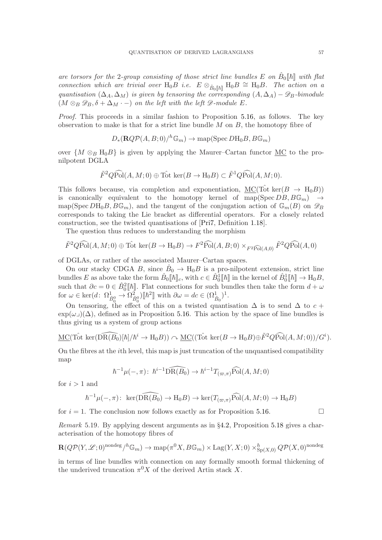are torsors for the 2-group consisting of those strict line bundles E on  $\hat{B}_0[\![\hbar]\!]$  with flat connection which are trivial over H<sub>0</sub>B i.e.  $E \otimes_{\hat{B}_0[[\hbar]]} H_0B \cong H_0B$ . The action on a quantisation  $(\Delta_A, \Delta_M)$  is given by tensoring the corresponding  $(A, \Delta_A) - \mathscr{D}_B$ -bimodule  $(M \otimes_B \mathscr{D}_B, \delta + \Delta_M \cdot -)$  on the left with the left  $\mathscr{D}\text{-module } E$ .

Proof. This proceeds in a similar fashion to Proposition [5.16,](#page-54-0) as follows. The key observation to make is that for a strict line bundle  $M$  on  $B$ , the homotopy fibre of

$$
D_*(\mathbf{R}QP(A,B;0)/^h\mathbb{G}_m) \to \mathrm{map}(\mathrm{Spec}\, D\mathrm{H}_0B,B\mathbb{G}_m)
$$

over  $\{M \otimes_B H_0B\}$  is given by applying the Maurer–Cartan functor MC to the pronilpotent DGLA

$$
\tilde{F}^2 Q \widehat{Pol}(A, M; 0) \oplus \hat{Tot} \ker(B \to H_0 B) \subset \tilde{F}^1 Q \widehat{Pol}(A, M; 0).
$$

This follows because, via completion and exponentiation,  $MC(Tot \n\text{ker}(B \rightarrow H_0B))$ is canonically equivalent to the homotopy kernel of map(Spec  $DB, B\mathbb{G}_m$ )  $\rightarrow$ map(Spec  $DH_0B, B\mathbb{G}_m$ ), and the tangent of the conjugation action of  $\mathbb{G}_m(B)$  on  $\mathscr{D}_B$ corresponds to taking the Lie bracket as differential operators. For a closely related construction, see the twisted quantisations of [\[Pri7,](#page-59-2) Definition [1.18\]](#page-9-2).

The question thus reduces to understanding the morphism

$$
\tilde{F}^2 Q \widehat{Pol}(A, M; 0) \oplus \hat{Tot} \ker(B \to H_0 B) \to F^2 \widehat{Pol}(A, B; 0) \times_{F^2 \widehat{Pol}(A, 0)} \tilde{F}^2 Q \widehat{Pol}(A, 0)
$$

of DGLAs, or rather of the associated Maurer–Cartan spaces.

On our stacky CDGA B, since  $\hat{B}_0 \to H_0 B$  is a pro-nilpotent extension, strict line bundles E as above take the form  $\hat{B}_0[\![\hbar]\!]_c$ , with  $c \in \hat{B}_0^1[\![\hbar]\!]$  in the kernel of  $\hat{B}_0^1[\![\hbar]\!] \to \mathcal{H}_0B$ , such that  $\partial c = 0 \in \hat{B}_0^2[\![\hbar]\!]$ . Flat connections for such bundles then take the form  $d + \omega$ for  $\omega \in \ker(d: \Omega^1_{\hat{B}_0^0} \to \Omega^2_{\hat{B}_0^0})[\![\hbar^2]\!]$  with  $\partial \omega = dc \in (\Omega^1_{\hat{B}_0})^1$ .

On tensoring, the effect of this on a twisted quantisation  $\Delta$  is to send  $\Delta$  to  $c +$  $\exp(\omega_{\text{I}})(\Delta)$ , defined as in Proposition [5.16.](#page-54-0) This action by the space of line bundles is thus giving us a system of group actions

$$
\underline{\mathrm{MC}}(\mathrm{Tot} \ker(\widehat{\mathrm{DR}(B_0)}[\hbar]/\hbar^i \to \mathrm{H}_0 B)) \curvearrowright \underline{\mathrm{MC}}((\mathrm{Tot} \ker(B \to \mathrm{H}_0 B) \oplus \tilde{F}^2 Q \widehat{\mathrm{Pol}}(A, M; 0))/G^i).
$$

On the fibres at the ith level, this map is just truncation of the unquantised compatibility map

$$
\hbar^{-1}\mu(-,\pi): \ \hbar^{i-1}\widehat{\text{DR}(B_0)} \to \hbar^{i-1}T_{(\varpi,\pi)}\widehat{\text{Pol}}(A,M;0)
$$

for  $i > 1$  and

$$
\hbar^{-1}\mu(-,\pi): \ \ker(\widehat{\text{DR}(B_0)} \to \text{H}_0B) \to \ker(T_{(\varpi,\pi)}\widehat{\text{Pol}}(A,M;0) \to \text{H}_0B)
$$

for  $i = 1$ . The conclusion now follows exactly as for Proposition [5.16.](#page-54-0)

Remark 5.19. By applying descent arguments as in §[4.2,](#page-35-0) Proposition [5.18](#page-55-0) gives a characterisation of the homotopy fibres of

$$
\mathbf{R}(Q\mathcal{P}(Y,\mathcal{L};0)^{\text{nondeg}}/\hbar\mathbb{G}_m) \to \text{map}(\pi^0 X, B\mathbb{G}_m) \times \text{Lag}(Y,X;0) \times_{\text{Sp}(X,0)}^h Q\mathcal{P}(X,0)^{\text{nondeg}}
$$

in terms of line bundles with connection on any formally smooth formal thickening of the underived truncation  $\pi^0 X$  of the derived Artin stack X.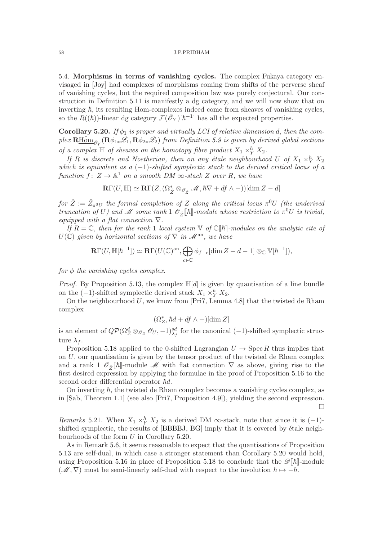<span id="page-57-1"></span>5.4. Morphisms in terms of vanishing cycles. The complex Fukaya category envisaged in [\[Joy\]](#page-59-5) had complexes of morphisms coming from shifts of the perverse sheaf of vanishing cycles, but the required composition law was purely conjectural. Our construction in Definition [5.11](#page-50-0) is manifestly a dg category, and we will now show that on inverting  $\hbar$ , its resulting Hom-complexes indeed come from sheaves of vanishing cycles, so the  $R((\hbar))$ -linear dg category  $\mathcal{F}(\tilde{\mathscr{O}}_Y)[\hbar^{-1}]$  has all the expected properties.

<span id="page-57-0"></span>Corollary 5.20. If  $\phi_1$  is proper and virtually LCI of relative dimension d, then the complex  ${\bf R\underline{H\hat{o}m}}_{\tilde{\mathcal{O}}_Y}({\bf R}\phi_{1*}\tilde{\mathscr{L}_1},{\bf R}\phi_{2*}\tilde{\mathscr{L}_2})$  from Definition [5.9](#page-49-2) is given by derived global sections of a complex  $\mathbb H$  of sheaves on the homotopy fibre product  $X_1 \times_Y^h X_2$ .

If R is discrete and Noetherian, then on any étale neighbourhood U of  $X_1 \times_Y^h X_2$ which is equivalent as a  $(-1)$ -shifted symplectic stack to the derived critical locus of a function  $f: Z \to \mathbb{A}^1$  on a smooth DM  $\infty$ -stack Z over R, we have

$$
\mathbf{R}\Gamma(U,\mathbb{H})\simeq\mathbf{R}\Gamma(Z,(\Omega_{\hat{Z}}^*\otimes_{\mathscr{O}_{\hat{Z}}}\mathscr{M},\hbar\nabla+df\wedge-))[\dim Z-d]
$$

for  $\hat{Z} := \hat{Z}_{\pi^0 U}$  the formal completion of Z along the critical locus  $\pi^0 U$  (the underived truncation of U) and M some rank  $1 \mathcal{O}_{\hat{Z}}[\![\hbar]\!]$ -module whose restriction to  $\pi^0 U$  is trivial, equipped with a flat connection  $\nabla$ .

If  $R = \mathbb{C}$ , then for the rank 1 local system  $\mathbb{V}$  of  $\mathbb{C}[\![\hbar]\!]$ -modules on the analytic site of  $U(\mathbb{C})$  given by horizontal sections of  $\nabla$  in  $\mathscr{M}^{\rm an}$ , we have

$$
\mathbf{R}\Gamma(U,\mathbb{H}[\hbar^{-1}])\simeq \mathbf{R}\Gamma(U(\mathbb{C})^{\mathrm{an}},\bigoplus_{c\in\mathbb{C}}\phi_{f-c}[\dim Z-d-1]\otimes_{\mathbb{C}}\mathbb{V}[\hbar^{-1}]),
$$

for  $\phi$  the vanishing cycles complex.

*Proof.* By Proposition [5.13,](#page-51-0) the complex  $\mathbb{H}[d]$  is given by quantisation of a line bundle on the  $(-1)$ -shifted symplectic derived stack  $X_1 \times_Y^h X_2$ .

On the neighbourhood  $U$ , we know from [\[Pri7,](#page-59-2) Lemma [4.8\]](#page-36-3) that the twisted de Rham complex

$$
(\Omega_Z^*,\hbar d + df \wedge -)[\dim Z]
$$

is an element of  $Q\mathcal{P}(\Omega_Z^d \otimes_{\mathcal{O}_Z} \mathcal{O}_U, -1)_{\lambda_f}^{sd}$  for the canonical (-1)-shifted symplectic structure  $\lambda_f$ .

Proposition [5.18](#page-55-0) applied to the 0-shifted Lagrangian  $U \rightarrow \text{Spec } R$  thus implies that on  $U$ , our quantisation is given by the tensor product of the twisted de Rham complex and a rank 1  $\mathscr{O}_{\hat{Z}}[\hbar]$ -module M with flat connection  $\nabla$  as above, giving rise to the first desired expression by applying the formulae in the proof of Proposition [5.16](#page-54-0) to the second order differential operator  $\hbar d$ .

On inverting  $\hbar$ , the twisted de Rham complex becomes a vanishing cycles complex, as in [\[Sab,](#page-60-6) Theorem 1.1] (see also [\[Pri7,](#page-59-2) Proposition [4.9\]](#page-36-1)), yielding the second expression.  $\Box$ 

Remarks 5.21. When  $X_1 \times_Y^h X_2$  is a derived DM ∞-stack, note that since it is  $(-1)$ -shifted symplectic, the results of [\[BBBBJ,](#page-58-16) [BG\]](#page-58-17) imply that it is covered by étale neighbourhoods of the form U in Corollary [5.20.](#page-57-0)

As in Remark [5.6,](#page-48-1) it seems reasonable to expect that the quantisations of Proposition [5.13](#page-51-0) are self-dual, in which case a stronger statement than Corollary [5.20](#page-57-0) would hold, using Proposition [5.16](#page-54-0) in place of Proposition [5.18](#page-55-0) to conclude that the  $\mathscr{D}[\hbar]$ -module  $(\mathcal{M}, \nabla)$  must be semi-linearly self-dual with respect to the involution  $\hbar \mapsto -\hbar$ .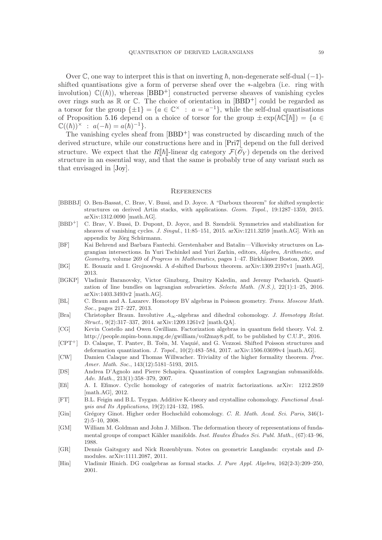Over  $\mathbb C$ , one way to interpret this is that on inverting  $\hbar$ , non-degenerate self-dual (-1)shifted quantisations give a form of perverse sheaf over the ∗-algebra (i.e. ring with involution)  $\mathbb{C}((\hbar))$ , whereas [\[BBD](#page-58-4)<sup>+</sup>] constructed perverse sheaves of vanishing cycles over rings such as  $\mathbb R$  or  $\mathbb C$ . The choice of orientation in  $[BBD^+]$  could be regarded as a torsor for the group  $\{\pm 1\} = \{a \in \mathbb{C}^\times : a = a^{-1}\},\$  while the self-dual quantisations of Proposition [5.16](#page-54-0) depend on a choice of torsor for the group  $\pm \exp(\hbar \mathbb{C}[\hbar]) = \{a \in$  $\mathbb{C}((\hbar))^{\times} : a(-\hbar) = a(\hbar)^{-1}.$ 

The vanishing cycles sheaf from  $[BBD^+]$  was constructed by discarding much of the derived structure, while our constructions here and in [\[Pri7\]](#page-59-2) depend on the full derived structure. We expect that the  $R[\![\hbar]\!]$ -linear dg category  $\mathcal{F}(\tilde{\mathscr{O}}_Y)$  depends on the derived structure in an essential way, and that the same is probably true of any variant such as that envisaged in [\[Joy\]](#page-59-5).

#### <span id="page-58-6"></span>**REFERENCES**

- <span id="page-58-16"></span>[BBBBJ] O. Ben-Bassat, C. Brav, V. Bussi, and D. Joyce. A "Darboux theorem" for shifted symplectic structures on derived Artin stacks, with applications. Geom. Topol., 19:1287–1359, 2015. arXiv:1312.0090 [math.AG].
- <span id="page-58-4"></span>[BBD<sup>+</sup>] C. Brav, V. Bussi, D. Dupont, D. Joyce, and B. Szendröi. Symmetries and stabilization for sheaves of vanishing cycles. J. Singul., 11:85-151, 2015. arXiv:1211.3259 [math.AG]. With an appendix by Jörg Schürmann.
- <span id="page-58-3"></span>[BF] Kai Behrend and Barbara Fantechi. Gerstenhaber and Batalin—Vilkovisky structures on Lagrangian intersections. In Yuri Tschinkel and Yuri Zarhin, editors, Algebra, Arithmetic, and Geometry, volume 269 of Progress in Mathematics, pages 1–47. Birkhäuser Boston, 2009.
- <span id="page-58-17"></span>[BG] E. Bouaziz and I. Grojnowski. A d-shifted Darboux theorem. arXiv:1309.2197v1 [math.AG], 2013.
- <span id="page-58-2"></span>[BGKP] Vladimir Baranovsky, Victor Ginzburg, Dmitry Kaledin, and Jeremy Pecharich. Quantization of line bundles on lagrangian subvarieties. Selecta Math. (N.S.), 22(1):1-25, 2016. arXiv:1403.3493v2 [math.AG].
- <span id="page-58-10"></span>[BL] C. Braun and A. Lazarev. Homotopy BV algebras in Poisson geometry. Trans. Moscow Math. Soc., pages 217–227, 2013.
- <span id="page-58-8"></span>[Bra] Christopher Braun. Involutive  $A_{\infty}$ -algebras and dihedral cohomology. J. Homotopy Relat. Struct., 9(2):317–337, 2014. arXiv:1209.1261v2 [math.QA].
- <span id="page-58-7"></span>[CG] Kevin Costello and Owen Gwilliam. Factorization algebras in quantum field theory. Vol. 2. http://people.mpim-bonn.mpg.de/gwilliam/vol2may8.pdf, to be published by C.U.P., 2016.
- <span id="page-58-0"></span>[CPT<sup>+</sup>] D. Calaque, T. Pantev, B. Toën, M. Vaquié, and G. Vezzosi. Shifted Poisson structures and deformation quantization. J. Topol., 10(2):483–584, 2017. arXiv:1506.03699v4 [math.AG].
- <span id="page-58-12"></span>[CW] Damien Calaque and Thomas Willwacher. Triviality of the higher formality theorem. Proc. Amer. Math. Soc., 143(12):5181-5193, 2015.
- <span id="page-58-1"></span>[DS] Andrea D'Agnolo and Pierre Schapira. Quantization of complex Lagrangian submanifolds. Adv. Math., 213(1):358–379, 2007.
- <span id="page-58-14"></span>[Efi] A. I. Efimov. Cyclic homology of categories of matrix factorizations. arXiv: 1212.2859 [math.AG], 2012.
- <span id="page-58-15"></span>[FT] B.L. Feigin and B.L. Tsygan. Additive K-theory and crystalline cohomology. Functional Analysis and Its Applications, 19(2):124–132, 1985.
- <span id="page-58-13"></span>[Gin] Grégory Ginot. Higher order Hochschild cohomology. C. R. Math. Acad. Sci. Paris, 346(1-2):5–10, 2008.
- <span id="page-58-5"></span>[GM] William M. Goldman and John J. Millson. The deformation theory of representations of fundamental groups of compact Kähler manifolds. Inst. Hautes Études Sci. Publ. Math.,  $(67):43-96$ , 1988.
- <span id="page-58-11"></span>[GR] Dennis Gaitsgory and Nick Rozenblyum. Notes on geometric Langlands: crystals and Dmodules. arXiv:1111.2087, 2011.
- <span id="page-58-9"></span>[Hin] Vladimir Hinich. DG coalgebras as formal stacks. J. Pure Appl. Algebra, 162(2-3):209–250, 2001.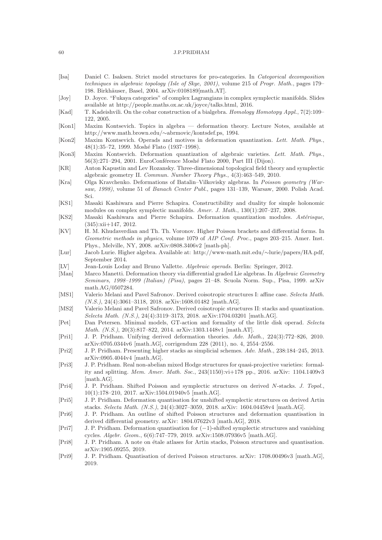- <span id="page-59-14"></span>[Isa] Daniel C. Isaksen. Strict model structures for pro-categories. In Categorical decomposition techniques in algebraic topology (Isle of Skye, 2001), volume 215 of Progr. Math., pages 179– 198. Birkh¨auser, Basel, 2004. arXiv:0108189[math.AT].
- <span id="page-59-5"></span>[Joy] D. Joyce. "Fukaya categories" of complex Lagrangians in complex symplectic manifolds. Slides available at http://people.maths.ox.ac.uk/joyce/talks.html, 2016.
- <span id="page-59-10"></span>[Kad] T. Kadeishvili. On the cobar construction of a bialgebra. Homology Homotopy Appl., 7(2):109– 122, 2005.
- <span id="page-59-6"></span>[Kon1] Maxim Kontsevich. Topics in algebra — deformation theory. Lecture Notes, available at http://www.math.brown.edu/∼abrmovic/kontsdef.ps, 1994.
- <span id="page-59-11"></span>[Kon2] Maxim Kontsevich. Operads and motives in deformation quantization. Lett. Math. Phys., 48(1):35–72, 1999. Moshé Flato (1937–1998).
- <span id="page-59-4"></span>[Kon3] Maxim Kontsevich. Deformation quantization of algebraic varieties. Lett. Math. Phys., 56(3):271–294, 2001. EuroConférence Moshé Flato 2000, Part III (Dijon).
- <span id="page-59-23"></span>[KR] Anton Kapustin and Lev Rozansky. Three-dimensional topological field theory and symplectic algebraic geometry II. Commun. Number Theory Phys., 4(3):463–549, 2010.
- <span id="page-59-3"></span>[Kra] Olga Kravchenko. Deformations of Batalin–Vilkovisky algebras. In Poisson geometry (Warsaw, 1998), volume 51 of Banach Center Publ., pages 131–139, Warsaw, 2000. Polish Acad. Sci.
- <span id="page-59-25"></span>[KS1] Masaki Kashiwara and Pierre Schapira. Constructibility and duality for simple holonomic modules on complex symplectic manifolds. Amer. J. Math., 130(1):207–237, 2008.
- <span id="page-59-24"></span>[KS2] Masaki Kashiwara and Pierre Schapira. Deformation quantization modules. Astérisque, (345):xii+147, 2012.
- <span id="page-59-20"></span>[KV] H. M. Khudaverdian and Th. Th. Voronov. Higher Poisson brackets and differential forms. In Geometric methods in physics, volume 1079 of AIP Conf. Proc., pages 203-215. Amer. Inst. Phys., Melville, NY, 2008. arXiv:0808.3406v2 [math-ph].
- <span id="page-59-21"></span>[Lur] Jacob Lurie. Higher algebra. Available at: http://www-math.mit.edu/∼lurie/papers/HA.pdf, September 2014.
- <span id="page-59-19"></span>[LV] Jean-Louis Loday and Bruno Vallette. Algebraic operads. Berlin: Springer, 2012.
- <span id="page-59-7"></span>[Man] Marco Manetti. Deformation theory via differential graded Lie algebras. In Algebraic Geometry Seminars, 1998–1999 (Italian) (Pisa), pages 21–48. Scuola Norm. Sup., Pisa, 1999. arXiv math.AG/0507284.
- <span id="page-59-16"></span>[MS1] Valerio Melani and Pavel Safronov. Derived coisotropic structures I: affine case. Selecta Math. (N.S.), 24(4):3061–3118, 2018. arXiv:1608.01482 [math.AG].
- <span id="page-59-17"></span>[MS2] Valerio Melani and Pavel Safronov. Derived coisotropic structures II: stacks and quantization. Selecta Math. (N.S.), 24(4):3119–3173, 2018. arXiv:1704.03201 [math.AG].
- <span id="page-59-18"></span>[Pet] Dan Petersen. Minimal models, GT-action and formality of the little disk operad. Selecta Math. (N.S.), 20(3):817–822, 2014. arXiv:1303.1448v1 [math.AT].
- <span id="page-59-8"></span>[Pri1] J. P. Pridham. Unifying derived deformation theories. Adv. Math., 224(3):772–826, 2010. arXiv:0705.0344v6 [math.AG], corrigendum 228 (2011), no. 4, 2554–2556.
- <span id="page-59-13"></span>[Pri2] J. P. Pridham. Presenting higher stacks as simplicial schemes. Adv. Math., 238:184–245, 2013. arXiv:0905.4044v4 [math.AG].
- <span id="page-59-9"></span>[Pri3] J. P. Pridham. Real non-abelian mixed Hodge structures for quasi-projective varieties: formality and splitting. Mem. Amer. Math. Soc., 243(1150):vi+178 pp., 2016. arXiv: 1104.1409v3 [math.AG].
- <span id="page-59-0"></span>[Pri4] J. P. Pridham. Shifted Poisson and symplectic structures on derived N-stacks. J. Topol., 10(1):178–210, 2017. arXiv:1504.01940v5 [math.AG].
- <span id="page-59-1"></span>[Pri5] J. P. Pridham. Deformation quantisation for unshifted symplectic structures on derived Artin stacks. Selecta Math. (N.S.), 24(4):3027–3059, 2018. arXiv: 1604.04458v4 [math.AG].
- <span id="page-59-12"></span>[Pri6] J. P. Pridham. An outline of shifted Poisson structures and deformation quantisation in derived differential geometry. arXiv: 1804.07622v3 [math.AG], 2018.
- <span id="page-59-2"></span>[Pri7] J. P. Pridham. Deformation quantisation for (−1)-shifted symplectic structures and vanishing cycles. Algebr. Geom., 6(6):747–779, 2019. arXiv:1508.07936v5 [math.AG].
- <span id="page-59-15"></span>[Pri8] J. P. Pridham. A note on étale atlases for Artin stacks, Poisson structures and quantisation. arXiv:1905.09255, 2019.
- <span id="page-59-22"></span>[Pri9] J. P. Pridham. Quantisation of derived Poisson structures. arXiv: 1708.00496v3 [math.AG], 2019.